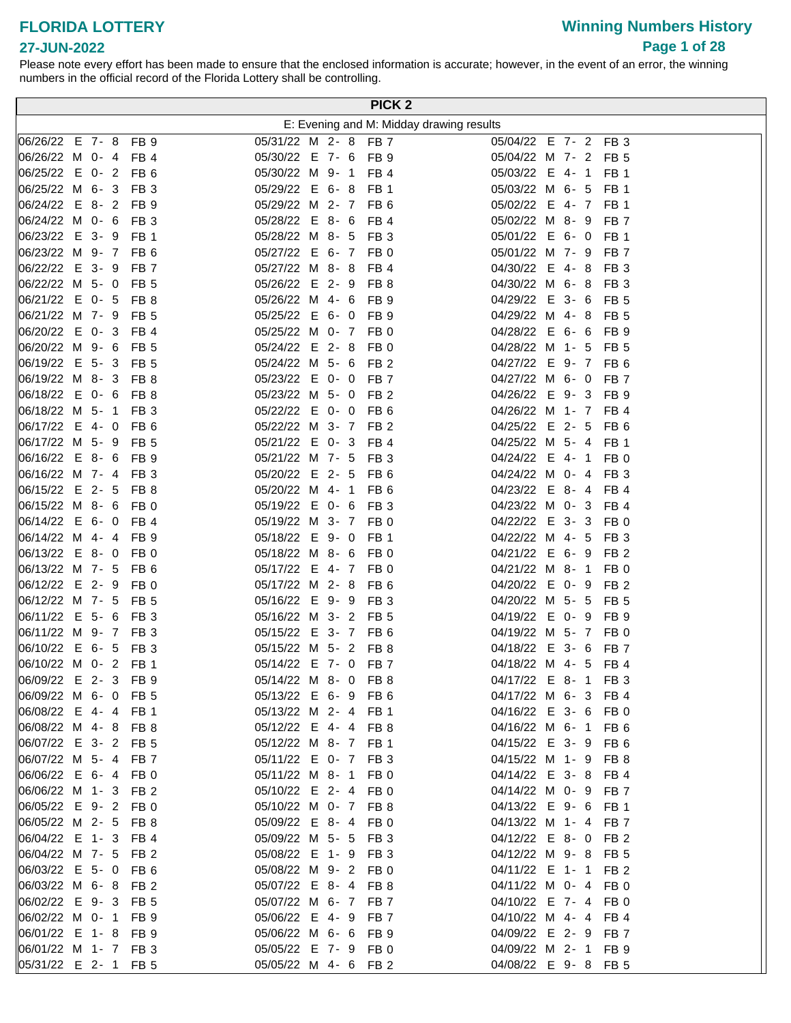# **Winning Numbers History Page 1 of 28**

#### **27-JUN-2022**

| PICK <sub>2</sub>    |  |  |  |                 |                      |  |  |  |                 |                                          |
|----------------------|--|--|--|-----------------|----------------------|--|--|--|-----------------|------------------------------------------|
|                      |  |  |  |                 |                      |  |  |  |                 | E: Evening and M: Midday drawing results |
| 06/26/22 E 7-8 FB 9  |  |  |  |                 | 05/31/22 M 2- 8 FB 7 |  |  |  |                 | 05/04/22 E 7- 2 FB 3                     |
| 06/26/22 M 0-4 FB 4  |  |  |  |                 | 05/30/22 E 7- 6 FB 9 |  |  |  |                 | 05/04/22 M 7- 2 FB 5                     |
| 06/25/22 E 0- 2 FB 6 |  |  |  |                 | 05/30/22 M 9- 1 FB 4 |  |  |  |                 | 05/03/22 E 4- 1<br>FB <sub>1</sub>       |
| 06/25/22 M 6- 3 FB 3 |  |  |  |                 | 05/29/22 E 6-8 FB 1  |  |  |  |                 | 05/03/22 M 6- 5 FB 1                     |
| 06/24/22 E 8-2 FB 9  |  |  |  |                 | 05/29/22 M 2- 7 FB 6 |  |  |  |                 | 05/02/22 E 4- 7<br>FB 1                  |
| 06/24/22 M 0- 6 FB 3 |  |  |  |                 | 05/28/22 E 8- 6      |  |  |  | FB <sub>4</sub> | 05/02/22 M 8-9<br>FB <sub>7</sub>        |
| 06/23/22 E 3-9       |  |  |  | FB <sub>1</sub> | 05/28/22 M 8- 5 FB 3 |  |  |  |                 | 05/01/22 E 6-0<br>FB 1                   |
| 06/23/22 M 9- 7 FB 6 |  |  |  |                 | 05/27/22 E 6- 7 FB 0 |  |  |  |                 | 05/01/22 M 7- 9 FB 7                     |
| 06/22/22 E 3- 9      |  |  |  | FB <sub>7</sub> | 05/27/22 M 8-8 FB 4  |  |  |  |                 | 04/30/22 E 4-8 FB 3                      |
| 06/22/22 M 5- 0      |  |  |  | FB <sub>5</sub> | 05/26/22 E 2- 9      |  |  |  | FB 8            | 04/30/22 M 6-8<br>FB 3                   |
| 06/21/22 E 0- 5 FB 8 |  |  |  |                 | 05/26/22 M 4- 6      |  |  |  | FB 9            | 04/29/22 E 3- 6<br>FB 5                  |
| 06/21/22 M 7- 9 FB 5 |  |  |  |                 | 05/25/22 E 6- 0 FB 9 |  |  |  |                 | 04/29/22 M 4-8<br>FB 5                   |
| 06/20/22 E 0- 3 FB 4 |  |  |  |                 | 05/25/22 M 0- 7 FB 0 |  |  |  |                 | 04/28/22 E 6- 6<br>FB 9                  |
| 06/20/22 M 9- 6 FB 5 |  |  |  |                 | 05/24/22 E 2- 8 FB 0 |  |  |  |                 | 04/28/22 M 1- 5<br>FB 5                  |
| 06/19/22 E 5- 3 FB 5 |  |  |  |                 | 05/24/22 M 5- 6 FB 2 |  |  |  |                 | 04/27/22 E 9- 7 FB 6                     |
| 06/19/22 M 8- 3 FB 8 |  |  |  |                 | 05/23/22 E 0- 0 FB 7 |  |  |  |                 | 04/27/22 M 6- 0<br>FB 7                  |
| 06/18/22 E 0-6 FB 8  |  |  |  |                 | 05/23/22 M 5- 0      |  |  |  | FB 2            | 04/26/22 E 9- 3 FB 9                     |
| 06/18/22 M 5- 1      |  |  |  | FB <sub>3</sub> | 05/22/22 E 0- 0      |  |  |  | FB <sub>6</sub> | 04/26/22 M 1- 7 FB 4                     |
| 06/17/22 E 4-0       |  |  |  | FB <sub>6</sub> | 05/22/22 M 3- 7 FB 2 |  |  |  |                 | 04/25/22 E 2- 5<br>FB 6                  |
| 06/17/22 M 5- 9      |  |  |  | FB <sub>5</sub> | 05/21/22 E 0-3       |  |  |  | FB <sub>4</sub> | 04/25/22 M 5- 4<br>FB 1                  |
| 06/16/22 E 8-6 FB 9  |  |  |  |                 | 05/21/22 M 7- 5 FB 3 |  |  |  |                 | 04/24/22 E 4-1<br>FB 0                   |
| 06/16/22 M 7-4       |  |  |  | FB <sub>3</sub> | 05/20/22 E 2- 5      |  |  |  | FB <sub>6</sub> | 04/24/22 M 0- 4<br>FB 3                  |
| 06/15/22 E 2- 5      |  |  |  | FB <sub>8</sub> | 05/20/22 M 4- 1 FB 6 |  |  |  |                 | 04/23/22 E 8- 4 FB 4                     |
| 06/15/22 M 8- 6 FB 0 |  |  |  |                 | 05/19/22 E 0- 6 FB 3 |  |  |  |                 | 04/23/22 M 0- 3 FB 4                     |
| 06/14/22 E 6-0 FB 4  |  |  |  |                 | 05/19/22 M 3- 7 FB 0 |  |  |  |                 | 04/22/22 E 3- 3 FB 0                     |
| 06/14/22 M 4-4       |  |  |  | FB <sub>9</sub> | 05/18/22 E 9- 0 FB 1 |  |  |  |                 | 04/22/22 M 4- 5<br>FB <sub>3</sub>       |
| 06/13/22 E 8-0       |  |  |  | FB <sub>0</sub> | 05/18/22 M 8- 6 FB 0 |  |  |  |                 | 04/21/22 E 6- 9 FB 2                     |
| 06/13/22 M 7- 5 FB 6 |  |  |  |                 | 05/17/22 E 4- 7 FB 0 |  |  |  |                 | 04/21/22 M 8- 1<br>FB <sub>0</sub>       |
| 06/12/22 E 2-9       |  |  |  | FB <sub>0</sub> | 05/17/22 M 2- 8 FB 6 |  |  |  |                 | 04/20/22 E 0- 9<br>FB <sub>2</sub>       |
| 06/12/22 M 7- 5 FB 5 |  |  |  |                 | 05/16/22 E 9- 9 FB 3 |  |  |  |                 | 04/20/22 M 5- 5<br>FB 5                  |
| 06/11/22 E 5- 6 FB 3 |  |  |  |                 | 05/16/22 M 3- 2 FB 5 |  |  |  |                 | 04/19/22 E 0- 9<br>FB 9                  |
| 06/11/22 M 9- 7 FB 3 |  |  |  |                 | 05/15/22 E 3- 7 FB 6 |  |  |  |                 | 04/19/22 M 5- 7 FB 0                     |
| 06/10/22 E 6- 5      |  |  |  | FB 3            | 05/15/22 M 5- 2 FB 8 |  |  |  |                 | 04/18/22 E 3- 6<br>FB 7                  |
| 06/10/22 M 0- 2 FB 1 |  |  |  |                 | 05/14/22 E 7- 0 FB 7 |  |  |  |                 | 04/18/22 M 4- 5 FB 4                     |
| 06/09/22 E 2-3 FB 9  |  |  |  |                 | 05/14/22 M 8- 0 FB 8 |  |  |  |                 | 04/17/22 E 8- 1 FB 3                     |
| 06/09/22 M 6- 0 FB 5 |  |  |  |                 | 05/13/22 E 6- 9 FB 6 |  |  |  |                 | 04/17/22 M 6- 3 FB 4                     |
| 06/08/22 E 4-4 FB 1  |  |  |  |                 | 05/13/22 M 2- 4 FB 1 |  |  |  |                 | 04/16/22 E 3- 6 FB 0                     |
| 06/08/22 M 4-8 FB 8  |  |  |  |                 | 05/12/22 E 4- 4 FB 8 |  |  |  |                 | 04/16/22 M 6- 1 FB 6                     |
| 06/07/22 E 3- 2 FB 5 |  |  |  |                 | 05/12/22 M 8- 7 FB 1 |  |  |  |                 | 04/15/22 E 3- 9 FB 6                     |
| 06/07/22 M 5- 4 FB 7 |  |  |  |                 | 05/11/22 E 0- 7 FB 3 |  |  |  |                 | 04/15/22 M 1- 9 FB 8                     |
| 06/06/22 E 6-4 FB 0  |  |  |  |                 | 05/11/22 M 8-1       |  |  |  | FB 0            | 04/14/22 E 3- 8 FB 4                     |
| 06/06/22 M 1- 3 FB 2 |  |  |  |                 | 05/10/22 E 2- 4 FB 0 |  |  |  |                 | 04/14/22 M 0- 9 FB 7                     |
| 06/05/22 E 9- 2 FB 0 |  |  |  |                 | 05/10/22 M 0- 7 FB 8 |  |  |  |                 | 04/13/22 E 9- 6 FB 1                     |
| 06/05/22 M 2- 5 FB 8 |  |  |  |                 | 05/09/22 E 8-4       |  |  |  | FB 0            | 04/13/22 M 1- 4 FB 7                     |
| 06/04/22 E 1-3 FB 4  |  |  |  |                 | 05/09/22 M 5- 5 FB 3 |  |  |  |                 | 04/12/22 E 8- 0 FB 2                     |
| 06/04/22 M 7- 5      |  |  |  | FB <sub>2</sub> | 05/08/22 E 1- 9 FB 3 |  |  |  |                 | 04/12/22 M 9-8 FB 5                      |
| 06/03/22 E 5-0 FB 6  |  |  |  |                 | 05/08/22 M 9- 2 FB 0 |  |  |  |                 | 04/11/22 E 1- 1 FB 2                     |
| 06/03/22 M 6-8 FB 2  |  |  |  |                 | 05/07/22 E 8- 4 FB 8 |  |  |  |                 | 04/11/22 M 0- 4 FB 0                     |
| 06/02/22 E 9-3       |  |  |  | FB <sub>5</sub> | 05/07/22 M 6- 7 FB 7 |  |  |  |                 | 04/10/22 E 7- 4 FB 0                     |
|                      |  |  |  | FB <sub>9</sub> | 05/06/22 E 4-9       |  |  |  | FB 7            | 04/10/22 M 4- 4 FB 4                     |
| 06/01/22 E 1-8 FB 9  |  |  |  |                 | 05/06/22 M 6- 6 FB 9 |  |  |  |                 | 04/09/22 E 2- 9 FB 7                     |
| 06/01/22 M 1- 7 FB 3 |  |  |  |                 | 05/05/22 E 7- 9 FB 0 |  |  |  |                 | 04/09/22 M 2-1<br>FB <sub>9</sub>        |
| 05/31/22 E 2- 1 FB 5 |  |  |  |                 | 05/05/22 M 4- 6 FB 2 |  |  |  |                 | 04/08/22 E 9-8 FB 5                      |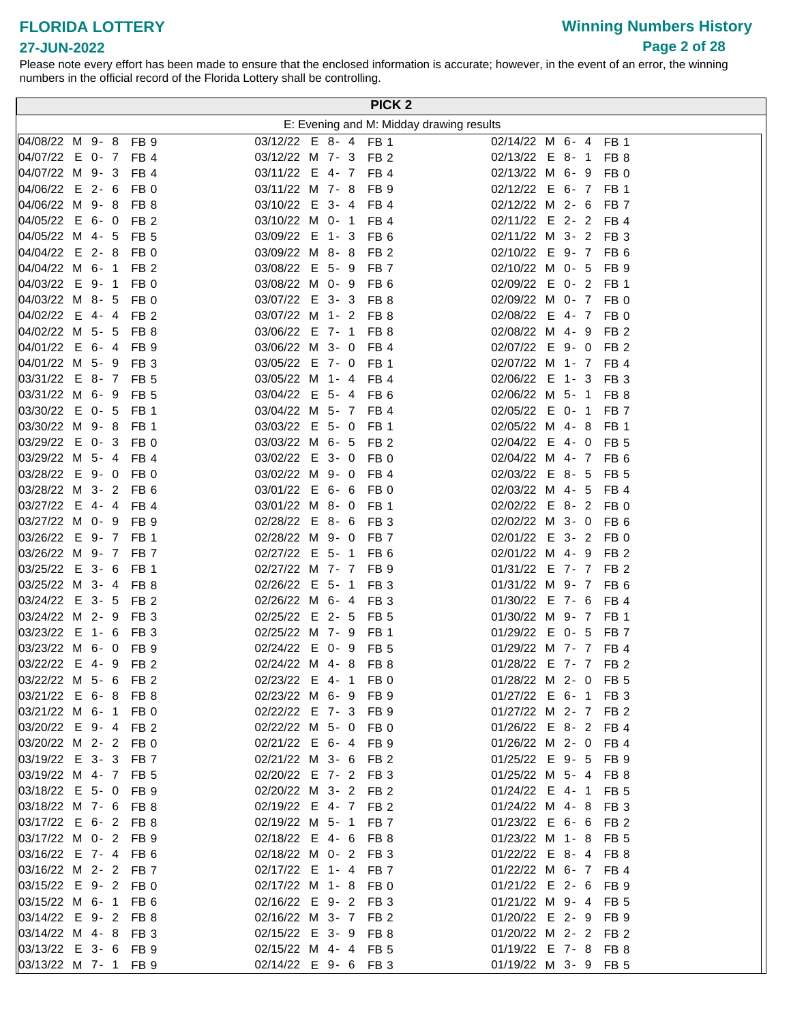# **Winning Numbers History Page 2 of 28**

#### **27-JUN-2022**

| PICK <sub>2</sub>    |  |  |  |                 |                      |  |  |  |             |                                          |
|----------------------|--|--|--|-----------------|----------------------|--|--|--|-------------|------------------------------------------|
|                      |  |  |  |                 |                      |  |  |  |             | E: Evening and M: Midday drawing results |
| 04/08/22 M 9-8 FB 9  |  |  |  |                 | 03/12/22 E 8- 4 FB 1 |  |  |  |             | 02/14/22 M 6- 4 FB 1                     |
| 04/07/22 E 0- 7 FB 4 |  |  |  |                 | 03/12/22 M 7- 3 FB 2 |  |  |  |             | 02/13/22 E 8- 1 FB 8                     |
| 04/07/22 M 9- 3 FB 4 |  |  |  |                 | 03/11/22 E 4- 7 FB 4 |  |  |  |             | 02/13/22 M 6- 9 FB 0                     |
| 04/06/22 E 2- 6 FB 0 |  |  |  |                 | 03/11/22 M 7- 8 FB 9 |  |  |  |             | 02/12/22 E 6- 7 FB 1                     |
| 04/06/22 M 9-8 FB 8  |  |  |  |                 | 03/10/22 E 3- 4 FB 4 |  |  |  |             | 02/12/22 M 2- 6 FB 7                     |
| 04/05/22 E 6- 0 FB 2 |  |  |  |                 | 03/10/22 M 0- 1 FB 4 |  |  |  |             | 02/11/22 E 2- 2 FB 4                     |
| 04/05/22 M 4- 5 FB 5 |  |  |  |                 | 03/09/22 E 1- 3 FB 6 |  |  |  |             | 02/11/22 M 3- 2 FB 3                     |
| 04/04/22 E 2-8 FB 0  |  |  |  |                 | 03/09/22 M 8-8 FB 2  |  |  |  |             | 02/10/22 E 9- 7 FB 6                     |
| 04/04/22 M 6- 1 FB 2 |  |  |  |                 | 03/08/22 E 5- 9 FB 7 |  |  |  |             | 02/10/22 M 0- 5 FB 9                     |
| 04/03/22 E 9- 1 FB 0 |  |  |  |                 | 03/08/22 M 0- 9 FB 6 |  |  |  |             | 02/09/22 E 0- 2 FB 1                     |
| 04/03/22 M 8- 5 FB 0 |  |  |  |                 | 03/07/22 E 3- 3 FB 8 |  |  |  |             | 02/09/22 M 0- 7 FB 0                     |
| 04/02/22 E 4-4 FB 2  |  |  |  |                 | 03/07/22 M 1- 2 FB 8 |  |  |  |             | 02/08/22 E 4- 7 FB 0                     |
| 04/02/22 M 5- 5 FB 8 |  |  |  |                 | 03/06/22 E 7- 1 FB 8 |  |  |  |             | 02/08/22 M 4- 9 FB 2                     |
| 04/01/22 E 6-4 FB 9  |  |  |  |                 | 03/06/22 M 3- 0 FB 4 |  |  |  |             | 02/07/22 E 9- 0 FB 2                     |
| 04/01/22 M 5- 9 FB 3 |  |  |  |                 | 03/05/22 E 7- 0 FB 1 |  |  |  |             | 02/07/22 M 1- 7 FB 4                     |
| 03/31/22 E 8- 7 FB 5 |  |  |  |                 | 03/05/22 M 1- 4 FB 4 |  |  |  |             | 02/06/22 E 1- 3 FB 3                     |
| 03/31/22 M 6- 9 FB 5 |  |  |  |                 | 03/04/22 E 5- 4 FB 6 |  |  |  |             | 02/06/22 M 5- 1<br>FB 8                  |
| 03/30/22 E 0- 5 FB 1 |  |  |  |                 | 03/04/22 M 5- 7 FB 4 |  |  |  |             | 02/05/22 E 0-1<br>FB 7                   |
| 03/30/22 M 9-8 FB 1  |  |  |  |                 | 03/03/22 E 5- 0 FB 1 |  |  |  |             | 02/05/22 M 4-8<br>FB 1                   |
| 03/29/22 E 0-3       |  |  |  | FB <sub>0</sub> | 03/03/22 M 6- 5 FB 2 |  |  |  |             | 02/04/22 E 4-0<br>FB 5                   |
| 03/29/22 M 5- 4      |  |  |  | FB <sub>4</sub> | 03/02/22 E 3- 0 FB 0 |  |  |  |             | 02/04/22 M 4- 7 FB 6                     |
| 03/28/22 E 9- 0 FB 0 |  |  |  |                 | 03/02/22 M 9- 0 FB 4 |  |  |  |             | 02/03/22 E 8- 5<br>FB 5                  |
| 03/28/22 M 3- 2 FB 6 |  |  |  |                 | 03/01/22 E 6- 6 FB 0 |  |  |  |             | 02/03/22 M 4- 5<br>FB 4                  |
| 03/27/22 E 4-4 FB4   |  |  |  |                 | 03/01/22 M 8- 0 FB 1 |  |  |  |             | 02/02/22 E 8- 2 FB 0                     |
| 03/27/22 M 0- 9 FB 9 |  |  |  |                 | 02/28/22 E 8- 6 FB 3 |  |  |  |             | 02/02/22 M 3- 0<br>FB 6                  |
| 03/26/22 E 9- 7 FB 1 |  |  |  |                 | 02/28/22 M 9- 0 FB 7 |  |  |  |             | 02/01/22 E 3- 2 FB 0                     |
| 03/26/22 M 9- 7 FB 7 |  |  |  |                 | 02/27/22 E 5- 1 FB 6 |  |  |  |             | 02/01/22 M 4- 9 FB 2                     |
| 03/25/22 E 3- 6 FB 1 |  |  |  |                 | 02/27/22 M 7- 7 FB 9 |  |  |  |             | 01/31/22 E 7- 7 FB 2                     |
| 03/25/22 M 3- 4 FB 8 |  |  |  |                 | 02/26/22 E 5- 1 FB 3 |  |  |  |             | 01/31/22 M 9- 7 FB 6                     |
| 03/24/22 E 3- 5 FB 2 |  |  |  |                 | 02/26/22 M 6- 4 FB 3 |  |  |  |             | 01/30/22 E 7- 6<br>FB 4                  |
| 03/24/22 M 2- 9      |  |  |  | FB <sub>3</sub> | 02/25/22 E 2- 5 FB 5 |  |  |  |             | 01/30/22 M 9- 7 FB 1                     |
| 03/23/22 E 1- 6      |  |  |  | FB <sub>3</sub> | 02/25/22 M 7- 9      |  |  |  | <b>FB</b> 1 | 01/29/22 E 0- 5<br>FB 7                  |
| 03/23/22 M 6- 0 FB 9 |  |  |  |                 | 02/24/22 E 0- 9 FB 5 |  |  |  |             | 01/29/22 M 7- 7 FB 4                     |
| 03/22/22 E 4- 9 FB 2 |  |  |  |                 | 02/24/22 M 4- 8 FB 8 |  |  |  |             | 01/28/22 E 7- 7 FB 2                     |
| 03/22/22 M 5- 6 FB 2 |  |  |  |                 | 02/23/22 E 4- 1 FB 0 |  |  |  |             | 01/28/22 M 2- 0 FB 5                     |
| 03/21/22 E 6-8 FB 8  |  |  |  |                 | 02/23/22 M 6-9 FB 9  |  |  |  |             | 01/27/22 E 6- 1 FB 3                     |
| 03/21/22 M 6- 1 FB 0 |  |  |  |                 | 02/22/22 E 7- 3 FB 9 |  |  |  |             | 01/27/22 M 2- 7 FB 2                     |
| 03/20/22 E 9-4 FB 2  |  |  |  |                 | 02/22/22 M 5- 0 FB 0 |  |  |  |             | 01/26/22 E 8- 2 FB 4                     |
| 03/20/22 M 2- 2 FB 0 |  |  |  |                 | 02/21/22 E 6- 4 FB 9 |  |  |  |             | 01/26/22 M 2- 0 FB 4                     |
| 03/19/22 E 3- 3 FB 7 |  |  |  |                 | 02/21/22 M 3- 6 FB 2 |  |  |  |             | 01/25/22 E 9- 5 FB 9                     |
| 03/19/22 M 4- 7 FB 5 |  |  |  |                 | 02/20/22 E 7- 2 FB 3 |  |  |  |             | 01/25/22 M 5- 4 FB 8                     |
| 03/18/22 E 5- 0 FB 9 |  |  |  |                 | 02/20/22 M 3- 2 FB 2 |  |  |  |             | 01/24/22 E 4- 1 FB 5                     |
| 03/18/22 M 7- 6 FB 8 |  |  |  |                 | 02/19/22 E 4- 7 FB 2 |  |  |  |             | 01/24/22 M 4-8 FB 3                      |
| 03/17/22 E 6- 2 FB 8 |  |  |  |                 | 02/19/22 M 5- 1 FB 7 |  |  |  |             | 01/23/22 E 6- 6 FB 2                     |
| 03/17/22 M 0- 2 FB 9 |  |  |  |                 | 02/18/22 E 4- 6 FB 8 |  |  |  |             | 01/23/22 M 1-8 FB 5                      |
| 03/16/22 E 7- 4 FB 6 |  |  |  |                 | 02/18/22 M 0- 2 FB 3 |  |  |  |             | 01/22/22 E 8- 4 FB 8                     |
| 03/16/22 M 2- 2 FB 7 |  |  |  |                 | 02/17/22 E 1- 4 FB 7 |  |  |  |             | 01/22/22 M 6- 7 FB 4                     |
| 03/15/22 E 9- 2 FB 0 |  |  |  |                 | 02/17/22 M 1- 8 FB 0 |  |  |  |             | 01/21/22 E 2- 6 FB 9                     |
| 03/15/22 M 6- 1 FB 6 |  |  |  |                 | 02/16/22 E 9- 2 FB 3 |  |  |  |             | 01/21/22 M 9- 4 FB 5                     |
| 03/14/22 E 9- 2 FB 8 |  |  |  |                 | 02/16/22 M 3- 7 FB 2 |  |  |  |             | 01/20/22 E 2- 9 FB 9                     |
| 03/14/22 M 4-8 FB 3  |  |  |  |                 | 02/15/22 E 3- 9 FB 8 |  |  |  |             | 01/20/22 M 2- 2 FB 2                     |
| 03/13/22 E 3- 6 FB 9 |  |  |  |                 | 02/15/22 M 4- 4 FB 5 |  |  |  |             | 01/19/22 E 7- 8 FB 8                     |
| 03/13/22 M 7- 1 FB 9 |  |  |  |                 | 02/14/22 E 9- 6 FB 3 |  |  |  |             | 01/19/22 M 3- 9 FB 5                     |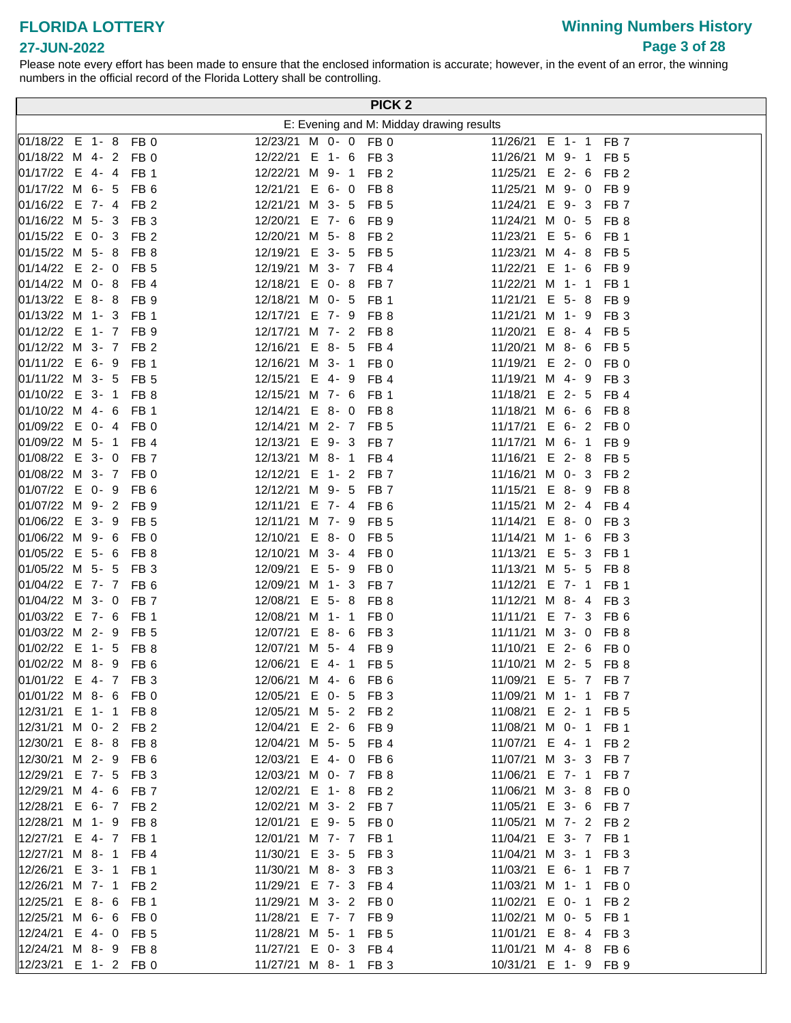# **Winning Numbers History Page 3 of 28**

|                                                                         | PICK <sub>2</sub>                            |                                                               |
|-------------------------------------------------------------------------|----------------------------------------------|---------------------------------------------------------------|
|                                                                         |                                              | E: Evening and M: Midday drawing results                      |
| 01/18/22 E 1-8 FB 0                                                     | 12/23/21 M 0- 0 FB 0                         | 11/26/21 E 1- 1<br>FB 7                                       |
| 01/18/22 M 4- 2<br>FB 0                                                 | 12/22/21 E 1- 6 FB 3                         | 11/26/21 M 9-1<br>FB <sub>5</sub>                             |
| 01/17/22 E 4-4<br>FB <sub>1</sub>                                       | 12/22/21 M 9- 1 FB 2                         | 11/25/21 E 2- 6<br>FB <sub>2</sub>                            |
| $ 01/17/22 \, M \, 6 - 5 $<br>FB <sub>6</sub>                           | 12/21/21 E 6- 0 FB 8                         | 11/25/21 M 9- 0<br>FB <sub>9</sub>                            |
| $ 01/16/22 \t E 7 - 4 $<br>FB <sub>2</sub>                              | 12/21/21 M 3- 5 FB 5                         | 11/24/21 E 9-3<br>FB 7                                        |
| 01/16/22 M 5-3<br>FB <sub>3</sub>                                       | 12/20/21 E 7- 6 FB 9                         | 11/24/21 M 0- 5<br>FB 8                                       |
| 01/15/22 E 0- 3 FB 2                                                    | 12/20/21 M 5- 8 FB 2                         | 11/23/21 E 5- 6<br>FB 1                                       |
| $ 01/15/22 \, M 5 - 8 $<br>FB 8                                         | 12/19/21 E 3- 5 FB 5                         | 11/23/21 M 4-8<br>FB 5                                        |
| $ 01/14/22 \quad E \quad 2 - 0$<br>FB <sub>5</sub>                      | 12/19/21 M 3- 7 FB 4                         | 11/22/21 E 1- 6<br>FB 9                                       |
| 01/14/22 M 0-8<br>FB <sub>4</sub>                                       | 12/18/21 E 0- 8 FB 7                         | 11/22/21 M 1- 1<br>FB 1                                       |
| $ 01/13/22 \t E 8 - 8$<br>FB <sub>9</sub>                               | 12/18/21 M 0- 5<br>FB 1                      | 11/21/21 E 5-8<br>FB 9                                        |
| $ 01/13/22 \, M \, 1 - 3 $<br>FB <sub>1</sub>                           | 12/17/21 E 7- 9 FB 8                         | 11/21/21 M 1- 9<br>FB <sub>3</sub>                            |
| 01/12/22 E 1- 7<br>FB <sub>9</sub>                                      | 12/17/21 M 7- 2 FB 8                         | 11/20/21 E 8-4<br>FB <sub>5</sub>                             |
| 01/12/22 M 3- 7<br>FB <sub>2</sub>                                      | 12/16/21 E 8- 5 FB 4                         | 11/20/21 M 8- 6 FB 5                                          |
| $ 01/11/22 \tE 6 - 9 $<br>FB <sub>1</sub>                               | 12/16/21 M 3- 1 FB 0                         | 11/19/21 E 2-0<br>FB 0                                        |
| $ 01/11/22 \, M \, 3 - 5$<br>FB <sub>5</sub>                            | 12/15/21 E 4- 9 FB 4                         | 11/19/21 M 4- 9<br>FB <sub>3</sub>                            |
| $ 01/10/22 \quad E \quad 3 - 1$<br>FB <sub>8</sub>                      | 12/15/21 M 7- 6 FB 1                         | 11/18/21 E 2- 5<br>FB 4                                       |
| 01/10/22 M 4- 6<br>FB <sub>1</sub>                                      | 12/14/21 E 8- 0 FB 8                         | 11/18/21 M 6- 6<br>FB 8                                       |
| 01/09/22 E 0- 4 FB 0                                                    | 12/14/21 M 2- 7 FB 5                         | 11/17/21 E 6- 2 FB 0                                          |
| 01/09/22 M 5- 1<br>FB <sub>4</sub>                                      | 12/13/21 E 9- 3 FB 7                         | 11/17/21 M 6- 1<br>FB 9                                       |
| $ 01/08/22 \quad E \quad 3 - 0$<br>FB <sub>7</sub>                      | 12/13/21 M 8- 1 FB 4                         | 11/16/21 E 2- 8 FB 5                                          |
| $ 01/08/22 \, M \, 3 - 7$<br>FB <sub>0</sub>                            | 12/12/21 E 1- 2 FB 7                         | 11/16/21 M 0- 3<br>FB <sub>2</sub>                            |
| 01/07/22 E 0-9<br>FB <sub>6</sub>                                       | 12/12/21 M 9- 5 FB 7                         | 11/15/21 E 8-9<br>FB <sub>8</sub>                             |
| 01/07/22 M 9- 2 FB 9                                                    | 12/11/21 E 7- 4 FB 6                         | 11/15/21 M 2- 4<br>FB 4                                       |
| $ 01/06/22 \quad E \quad 3 - 9$<br>FB <sub>5</sub>                      | 12/11/21 M 7- 9 FB 5                         | 11/14/21 E 8-0<br>FB <sub>3</sub>                             |
| 01/06/22 M 9- 6<br>FB <sub>0</sub>                                      | 12/10/21 E 8- 0 FB 5                         | 11/14/21 M 1- 6<br>FB <sub>3</sub>                            |
| 01/05/22 E 5- 6<br>FB <sub>8</sub>                                      | 12/10/21 M 3- 4 FB 0                         | 11/13/21 E 5- 3<br>FB <sub>1</sub>                            |
| 01/05/22 M 5- 5<br>FB <sub>3</sub>                                      | 12/09/21 E 5- 9 FB 0                         | 11/13/21 M 5- 5<br>FB 8                                       |
| 01/04/22 E 7- 7 FB 6                                                    | 12/09/21 M 1- 3 FB 7                         | 11/12/21 E 7- 1<br>FB 1                                       |
| 01/04/22 M 3- 0<br>FB <sub>7</sub>                                      | 12/08/21 E 5- 8 FB 8                         | 11/12/21 M 8-4<br>FB <sub>3</sub>                             |
| 01/03/22 E 7- 6<br>FB <sub>1</sub>                                      | 12/08/21 M 1- 1 FB 0                         | 11/11/21 E 7- 3<br>FB 6                                       |
| 01/03/22 M 2- 9<br>FB <sub>5</sub>                                      | 12/07/21 E 8- 6 FB 3                         | 11/11/21 M 3- 0<br>FB 8                                       |
| 01/02/22 E 1- 5<br>FB <sub>8</sub>                                      | 12/07/21 M 5- 4 FB 9                         | 11/10/21 E 2- 6<br>FB 0                                       |
| 01/02/22 M 8- 9 FB 6                                                    | 12/06/21 E 4- 1 FB 5                         | 11/10/21 M 2- 5 FB 8                                          |
| $ 01/01/22 \tE 4 - 7 \tFB 3$                                            | 12/06/21 M 4- 6 FB 6                         | 11/09/21 E 5- 7 FB 7                                          |
| $ 01/01/22 \, M \, 8 - 6$<br>FB 0                                       | 12/05/21 E 0- 5 FB 3                         | 11/09/21 M 1- 1<br>FB 7                                       |
| 12/31/21 E 1- 1 FB 8                                                    | 12/05/21 M 5- 2 FB 2                         | 11/08/21 E 2- 1 FB 5                                          |
| 12/31/21 M 0- 2 FB 2                                                    | 12/04/21 E 2- 6 FB 9                         | 11/08/21 M 0- 1<br>FB 1                                       |
| $ 12/30/21 \t E 8 - 8$<br>FB <sub>8</sub>                               | 12/04/21 M 5- 5<br>FB 4                      | 11/07/21 E 4- 1<br>FB <sub>2</sub>                            |
| 12/30/21 M 2- 9<br>FB 6                                                 | 12/03/21 E 4- 0 FB 6                         | 11/07/21 M 3- 3 FB 7                                          |
| 12/29/21 E 7- 5<br>FB <sub>3</sub>                                      | 12/03/21 M 0- 7 FB 8                         | 11/06/21 E 7- 1 FB 7                                          |
| 12/29/21 M 4- 6<br>FB 7<br>12/28/21 E 6- 7 FB 2                         | 12/02/21 E 1- 8 FB 2<br>12/02/21 M 3- 2 FB 7 | 11/06/21 M 3- 8 FB 0                                          |
| 12/28/21 M 1-9                                                          | 12/01/21 E 9- 5 FB 0                         | 11/05/21 E 3- 6 FB 7<br>11/05/21 M 7- 2 FB 2                  |
| FB 8                                                                    | 12/01/21 M 7- 7 FB 1                         |                                                               |
| 12/27/21 E 4-7<br>FB <sub>1</sub><br>12/27/21 M 8- 1<br>FB <sub>4</sub> | 11/30/21 E 3- 5<br>FB <sub>3</sub>           | 11/04/21 E 3- 7<br>FB 1<br>11/04/21 M 3- 1<br>FB <sub>3</sub> |
| 12/26/21 E 3- 1<br>FB <sub>1</sub>                                      | 11/30/21 M 8- 3 FB 3                         | 11/03/21 E 6- 1<br>FB 7                                       |
| 12/26/21 M 7- 1<br>FB <sub>2</sub>                                      | 11/29/21 E 7- 3 FB 4                         | 11/03/21 M 1- 1<br>FB 0                                       |
| 12/25/21 E 8- 6<br>FB <sub>1</sub>                                      | 11/29/21 M 3- 2 FB 0                         | 11/02/21 E 0- 1<br>FB <sub>2</sub>                            |
| 12/25/21 M 6- 6<br>FB 0                                                 | 11/28/21 E 7- 7 FB 9                         | 11/02/21 M 0- 5<br>FB 1                                       |
| 12/24/21 E 4-0<br>FB 5                                                  | 11/28/21 M 5- 1 FB 5                         | 11/01/21 E 8-4<br>FB 3                                        |
| 12/24/21 M 8-9<br>FB 8                                                  | 11/27/21 E 0- 3 FB 4                         | 11/01/21 M 4-8<br>FB 6                                        |
| 12/23/21 E 1- 2 FB 0                                                    | 11/27/21 M 8- 1 FB 3                         | 10/31/21 E 1- 9 FB 9                                          |
|                                                                         |                                              |                                                               |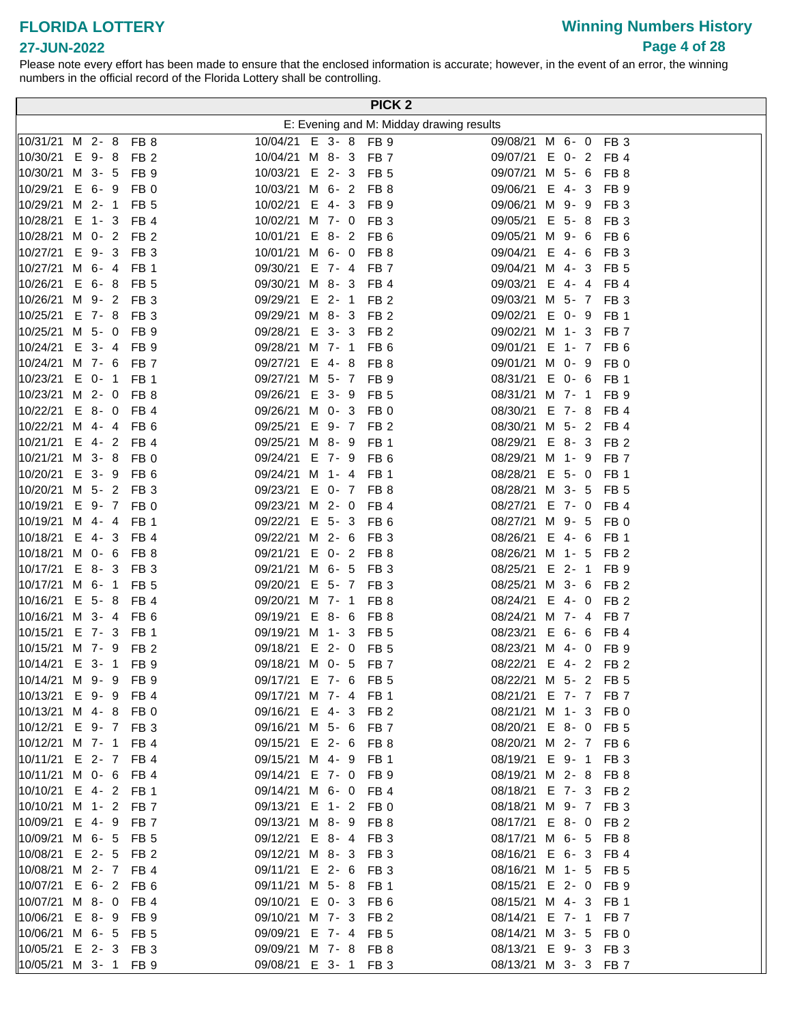# **Winning Numbers History Page 4 of 28**

|                                      |         |                                    |                                         |  | PICK <sub>2</sub>       |                                          |         |                         |  |
|--------------------------------------|---------|------------------------------------|-----------------------------------------|--|-------------------------|------------------------------------------|---------|-------------------------|--|
|                                      |         |                                    |                                         |  |                         | E: Evening and M: Midday drawing results |         |                         |  |
| 10/31/21 M 2- 8 FB 8                 |         |                                    | 10/04/21 E 3- 8 FB 9                    |  |                         | 09/08/21 M 6- 0 FB 3                     |         |                         |  |
| 10/30/21                             | E 9-8   | FB <sub>2</sub>                    | 10/04/21 M 8- 3 FB 7                    |  |                         | 09/07/21 E 0- 2 FB 4                     |         |                         |  |
| $ 10/30/21 \, M \, 3 - 5$            |         | FB 9                               | 10/03/21 E 2- 3 FB 5                    |  |                         | 09/07/21 M 5- 6                          |         | FB 8                    |  |
| 10/29/21                             | $E$ 6-9 | FB <sub>0</sub>                    | 10/03/21 M 6- 2 FB 8                    |  |                         | 09/06/21 E 4-3                           |         | FB 9                    |  |
| $10/29/21$ M 2- 1                    |         | FB <sub>5</sub>                    | 10/02/21 E 4-3                          |  | FB <sub>9</sub>         | 09/06/21 M 9- 9                          |         | FB <sub>3</sub>         |  |
| 10/28/21 E 1- 3 FB 4                 |         |                                    | 10/02/21 M 7- 0                         |  | FB <sub>3</sub>         | 09/05/21 E 5-8                           |         | FB <sub>3</sub>         |  |
| 10/28/21 M 0- 2 FB 2                 |         |                                    | 10/01/21 E 8- 2 FB 6                    |  |                         | 09/05/21 M 9- 6                          |         | FB 6                    |  |
| 10/27/21 E 9- 3 FB 3                 |         |                                    | 10/01/21 M 6- 0 FB 8                    |  |                         | 09/04/21 E 4- 6                          |         | FB 3                    |  |
| 10/27/21 M 6-4                       |         | FB 1                               | 09/30/21 E 7- 4 FB 7                    |  |                         | 09/04/21 M 4-3                           |         | FB 5                    |  |
| 10/26/21                             | $E$ 6-8 | FB <sub>5</sub>                    | 09/30/21 M 8- 3 FB 4                    |  |                         | 09/03/21 E 4-4                           |         | FB 4                    |  |
| 10/26/21 M 9- 2 FB 3                 |         |                                    | 09/29/21 E 2-1                          |  | FB <sub>2</sub>         | 09/03/21 M 5- 7 FB 3                     |         |                         |  |
| $10/25/21$ E 7-8                     |         | FB <sub>3</sub>                    | 09/29/21 M 8- 3 FB 2                    |  |                         | 09/02/21 E 0- 9                          |         | FB 1                    |  |
| $10/25/21$ M 5- 0                    |         | FB <sub>9</sub>                    | 09/28/21 E 3- 3 FB 2                    |  |                         | 09/02/21 M 1-3                           |         | FB 7                    |  |
| 10/24/21                             | $E$ 3-4 | FB <sub>9</sub>                    | 09/28/21 M 7- 1                         |  | FB <sub>6</sub>         | 09/01/21 E 1- 7 FB 6                     |         |                         |  |
| $10/24/21$ M 7- 6                    |         | FB <sub>7</sub>                    | 09/27/21 E 4-8                          |  | FB <sub>8</sub>         | 09/01/21 M 0- 9                          |         | FB <sub>0</sub>         |  |
| 10/23/21                             | $E$ 0-1 | FB <sub>1</sub>                    | 09/27/21 M 5- 7 FB 9                    |  |                         | 08/31/21 E 0- 6                          |         | FB 1                    |  |
| 10/23/21                             | M 2-0   | FB <sub>8</sub>                    | 09/26/21 E 3-9                          |  | FB <sub>5</sub>         | 08/31/21 M 7- 1                          |         | FB <sub>9</sub>         |  |
| 10/22/21                             | $E$ 8-0 | FB 4                               | 09/26/21 M 0- 3 FB 0                    |  |                         | 08/30/21 E 7- 8 FB 4                     |         |                         |  |
| 10/22/21 M 4-4                       |         | FB <sub>6</sub>                    | 09/25/21 E 9- 7 FB 2                    |  |                         | 08/30/21 M 5- 2 FB 4                     |         |                         |  |
| 10/21/21 E 4- 2 FB 4                 |         |                                    | 09/25/21 M 8- 9 FB 1                    |  |                         | 08/29/21 E 8- 3 FB 2                     |         |                         |  |
| 10/21/21 M 3-8                       |         | FB <sub>0</sub>                    | 09/24/21 E 7- 9 FB 6                    |  |                         | 08/29/21 M 1- 9 FB 7                     |         |                         |  |
| 10/20/21 E 3- 9                      |         | FB <sub>6</sub>                    | 09/24/21 M 1- 4 FB 1                    |  |                         | 08/28/21 E 5- 0 FB 1                     |         |                         |  |
| 10/20/21 M 5- 2 FB 3                 |         |                                    | 09/23/21 E 0- 7 FB 8                    |  |                         | 08/28/21 M 3- 5 FB 5                     |         |                         |  |
| 10/19/21 E 9- 7 FB 0                 |         |                                    | 09/23/21 M 2- 0 FB 4                    |  |                         | 08/27/21 E 7- 0 FB 4                     |         |                         |  |
| 10/19/21 M 4- 4 FB 1                 |         |                                    | 09/22/21 E 5- 3 FB 6                    |  |                         | 08/27/21 M 9- 5                          |         | FB 0                    |  |
| 10/18/21                             |         | E 4-3 FB 4                         | 09/22/21 M 2- 6                         |  | FB <sub>3</sub>         | 08/26/21 E 4- 6                          |         | FB <sub>1</sub>         |  |
| 10/18/21                             | M 0- 6  | FB 8                               | 09/21/21 E 0- 2 FB 8                    |  |                         | 08/26/21 M 1- 5                          |         | FB <sub>2</sub>         |  |
| 10/17/21                             | $E$ 8-3 | FB <sub>3</sub>                    | 09/21/21 M 6- 5 FB 3                    |  |                         | 08/25/21 E 2- 1                          |         | FB <sub>9</sub>         |  |
| 10/17/21 M 6- 1 FB 5                 |         |                                    | 09/20/21 E 5- 7 FB 3<br>09/20/21 M 7- 1 |  |                         | 08/25/21 M 3- 6<br>08/24/21 E 4-0        |         | FB <sub>2</sub>         |  |
| 10/16/21<br>$10/16/21$ M 3- 4        | $E$ 5-8 | FB <sub>4</sub><br>FB <sub>6</sub> | 09/19/21 E 8- 6                         |  | FB 8<br>FB <sub>8</sub> | 08/24/21 M 7- 4                          |         | FB <sub>2</sub><br>FB 7 |  |
| $10/15/21$ E 7- 3                    |         | FB 1                               | 09/19/21 M 1-3                          |  | FB <sub>5</sub>         | 08/23/21                                 | $E$ 6-6 | FB 4                    |  |
| $10/15/21$ M 7- 9                    |         | FB <sub>2</sub>                    | 09/18/21 E 2- 0 FB 5                    |  |                         | 08/23/21 M 4- 0 FB 9                     |         |                         |  |
| 10/14/21 E 3- 1 FB 9                 |         |                                    | 09/18/21 M 0- 5 FB 7                    |  |                         | 08/22/21 E 4- 2 FB 2                     |         |                         |  |
| 10/14/21 M 9- 9 FB 9                 |         |                                    | 09/17/21 E 7- 6 FB 5                    |  |                         | 08/22/21 M 5- 2 FB 5                     |         |                         |  |
| $ 10/13/21 \tE 9 - 9 $               |         | FB 4                               | 09/17/21 M 7- 4                         |  | FB 1                    | 08/21/21 E 7- 7 FB 7                     |         |                         |  |
| $ 10/13/21 \, M \, 4 - 8 \, FB \, 0$ |         |                                    | 09/16/21 E 4-3                          |  | FB <sub>2</sub>         | 08/21/21 M 1- 3 FB 0                     |         |                         |  |
| 10/12/21                             |         | E 9-7 FB 3                         | 09/16/21 M 5- 6                         |  | FB 7                    | 08/20/21 E 8- 0 FB 5                     |         |                         |  |
| 10/12/21 M 7- 1                      |         | FB 4                               | 09/15/21 E 2- 6                         |  | FB 8                    | 08/20/21 M 2- 7 FB 6                     |         |                         |  |
| 10/11/21                             |         | E 2-7 FB 4                         | 09/15/21 M 4- 9                         |  | FB 1                    | 08/19/21 E 9-1                           |         | FB <sub>3</sub>         |  |
| $ 10/11/21 \, M \, 0 - 6 $           |         | FB 4                               | 09/14/21 E 7- 0                         |  | FB 9                    | 08/19/21 M 2- 8 FB 8                     |         |                         |  |
| 10/10/21 E 4- 2 FB 1                 |         |                                    | 09/14/21 M 6- 0 FB 4                    |  |                         | 08/18/21 E 7- 3 FB 2                     |         |                         |  |
| 10/10/21 M 1- 2 FB 7                 |         |                                    | 09/13/21 E 1- 2 FB 0                    |  |                         | 08/18/21 M 9- 7 FB 3                     |         |                         |  |
| $ 10/09/21 \t E 4 - 9 $              |         | FB 7                               | 09/13/21 M 8- 9 FB 8                    |  |                         | 08/17/21 E 8- 0 FB 2                     |         |                         |  |
| $ 10/09/21 \, M 6 - 5 $              |         | FB 5                               | 09/12/21 E 8- 4 FB 3                    |  |                         | 08/17/21 M 6- 5 FB 8                     |         |                         |  |
| 10/08/21 E 2- 5                      |         | FB <sub>2</sub>                    | 09/12/21 M 8- 3 FB 3                    |  |                         | 08/16/21 E 6- 3 FB 4                     |         |                         |  |
| 10/08/21 M 2- 7 FB 4                 |         |                                    | 09/11/21 E 2- 6                         |  | FB 3                    | 08/16/21 M 1- 5 FB 5                     |         |                         |  |
| 10/07/21                             |         | E 6-2 FB 6                         | 09/11/21 M 5-8                          |  | FB <sub>1</sub>         | 08/15/21 E 2- 0                          |         | FB 9                    |  |
| $10/07/21$ M 8-0                     |         | FB <sub>4</sub>                    | 09/10/21 E 0-3                          |  | FB <sub>6</sub>         | 08/15/21 M 4-3                           |         | FB 1                    |  |
| 10/06/21                             | $E$ 8-9 | FB 9                               | 09/10/21 M 7- 3 FB 2                    |  |                         | 08/14/21 E 7- 1                          |         | FB <sub>7</sub>         |  |
| 10/06/21                             |         | M 6- 5 FB 5                        | 09/09/21 E 7-4                          |  | FB 5                    | 08/14/21 M 3- 5                          |         | FB 0                    |  |
| 10/05/21                             |         | E 2- 3 FB 3                        | 09/09/21 M 7-8                          |  | FB 8                    | 08/13/21 E 9- 3 FB 3                     |         |                         |  |
| 10/05/21 M 3- 1 FB 9                 |         |                                    | 09/08/21 E 3-1                          |  | FB <sub>3</sub>         | 08/13/21 M 3- 3 FB 7                     |         |                         |  |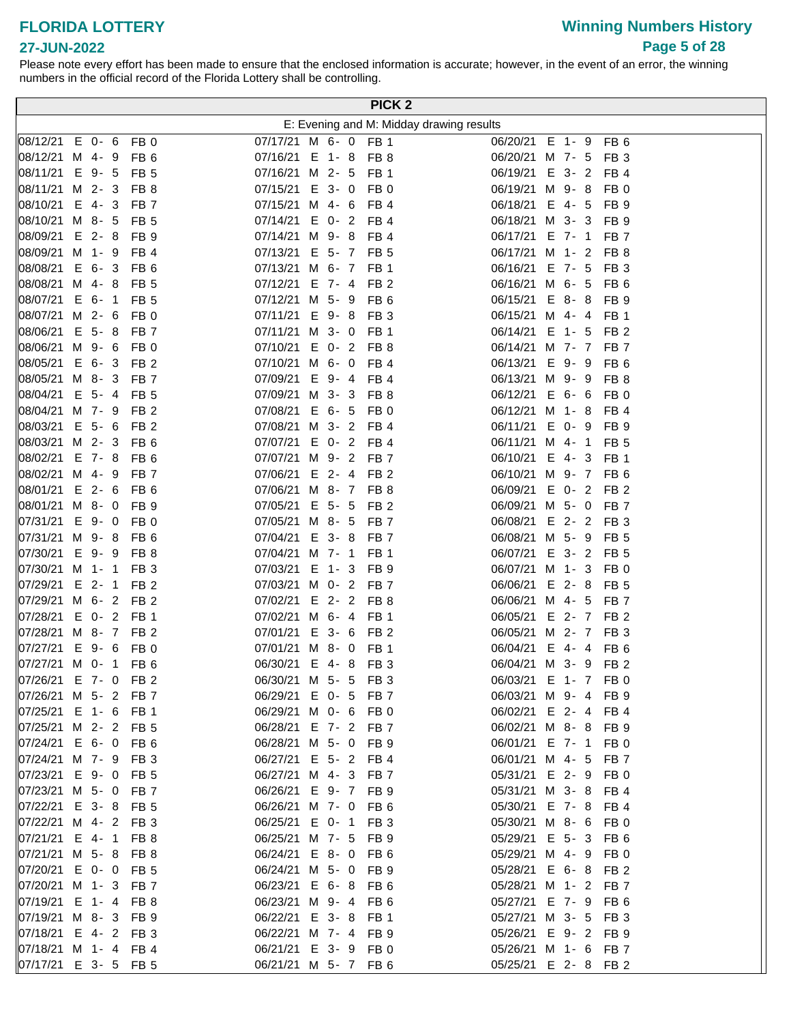**27-JUN-2022**

# **Winning Numbers History Page 5 of 28**

|                                                    |           |                                    |  |                                   |          |                                    | <b>PICK 2</b>                            |                      |                  |                         |  |
|----------------------------------------------------|-----------|------------------------------------|--|-----------------------------------|----------|------------------------------------|------------------------------------------|----------------------|------------------|-------------------------|--|
|                                                    |           |                                    |  |                                   |          |                                    | E: Evening and M: Midday drawing results |                      |                  |                         |  |
| 08/12/21 E 0- 6                                    |           | FB <sub>0</sub>                    |  | 07/17/21 M 6- 0 FB 1              |          |                                    |                                          | 06/20/21 E 1-9       |                  | FB <sub>6</sub>         |  |
| 08/12/21 M 4- 9                                    |           | FB <sub>6</sub>                    |  | 07/16/21 E 1-8                    |          | FB 8                               |                                          | 06/20/21 M 7- 5      |                  | FB <sub>3</sub>         |  |
| 08/11/21                                           | E 9-5     | FB <sub>5</sub>                    |  | 07/16/21 M 2- 5                   |          | FB <sub>1</sub>                    |                                          | 06/19/21 E 3- 2      |                  | FB <sub>4</sub>         |  |
| 08/11/21 M 2- 3                                    |           | FB <sub>8</sub>                    |  | 07/15/21 E 3-0                    |          | FB <sub>0</sub>                    |                                          | 06/19/21 M 9-8       |                  | FB <sub>0</sub>         |  |
| 08/10/21                                           | $E$ 4-3   | FB <sub>7</sub>                    |  | 07/15/21 M 4- 6                   |          | FB <sub>4</sub>                    |                                          | 06/18/21             | E 4-5            | FB <sub>9</sub>         |  |
| 08/10/21 M 8- 5                                    |           | FB <sub>5</sub>                    |  | 07/14/21 E 0- 2                   |          | FB <sub>4</sub>                    |                                          | 06/18/21 M 3- 3      |                  | FB <sub>9</sub>         |  |
| 08/09/21 E 2-8                                     |           | FB <sub>9</sub>                    |  | 07/14/21 M 9-8                    |          | FB 4                               |                                          | 06/17/21 E 7- 1      |                  | FB <sub>7</sub>         |  |
| 08/09/21 M 1- 9                                    |           | FB <sub>4</sub>                    |  | 07/13/21 E 5- 7 FB 5              |          |                                    |                                          | 06/17/21 M 1- 2      |                  | FB 8                    |  |
| 08/08/21 E 6-3                                     |           | FB <sub>6</sub>                    |  | 07/13/21 M 6- 7 FB 1              |          |                                    |                                          | 06/16/21             | E 7- 5           | FB <sub>3</sub>         |  |
| 08/08/21 M 4-8                                     |           | FB <sub>5</sub>                    |  | 07/12/21 E 7-4                    |          | FB <sub>2</sub>                    |                                          | 06/16/21             | M 6-5            | FB 6                    |  |
| 08/07/21 E 6- 1                                    |           | FB <sub>5</sub>                    |  | 07/12/21 M 5- 9                   |          | FB 6                               |                                          | 06/15/21             | E 8-8            | FB 9                    |  |
| 08/07/21 M 2- 6                                    |           | FB <sub>0</sub>                    |  | 07/11/21 E 9-8                    |          | FB <sub>3</sub>                    |                                          | 06/15/21 M 4-4       |                  | FB <sub>1</sub>         |  |
| 08/06/21 E 5-8                                     |           | FB <sub>7</sub>                    |  | 07/11/21 M 3- 0                   |          | FB <sub>1</sub>                    |                                          | 06/14/21             | E 1-5            | FB <sub>2</sub>         |  |
| 08/06/21 M 9- 6                                    |           | FB <sub>0</sub>                    |  | 07/10/21                          | $E$ 0- 2 | FB <sub>8</sub>                    |                                          | 06/14/21             | M 7- 7           | FB 7                    |  |
| 08/05/21                                           | E 6-3     | FB <sub>2</sub>                    |  | 07/10/21 M 6- 0                   |          | FB <sub>4</sub>                    |                                          | 06/13/21             | E 9-9            | FB <sub>6</sub>         |  |
| 08/05/21                                           | $M_8 - 3$ | FB <sub>7</sub>                    |  | 07/09/21                          | $E$ 9-4  | FB <sub>4</sub>                    |                                          | 06/13/21             | M 9-9            | FB <sub>8</sub>         |  |
| 08/04/21                                           | $E$ 5-4   | FB <sub>5</sub>                    |  | 07/09/21 M 3-3                    |          | FB <sub>8</sub>                    |                                          | 06/12/21             | $E$ 6-6          | FB 0                    |  |
| 08/04/21 M 7- 9                                    |           | FB <sub>2</sub>                    |  | 07/08/21 E 6- 5                   |          | FB <sub>0</sub>                    |                                          | 06/12/21 M 1-8       |                  | FB 4                    |  |
| 08/03/21                                           | $E$ 5- 6  | FB <sub>2</sub>                    |  | 07/08/21 M 3- 2                   |          | FB 4                               |                                          | 06/11/21 E 0- 9      |                  | FB 9                    |  |
| 08/03/21 M 2- 3                                    |           | FB <sub>6</sub>                    |  | 07/07/21 E 0-2                    |          | FB 4                               |                                          | 06/11/21             | M 4-1            | FB <sub>5</sub>         |  |
| 08/02/21                                           | $E$ 7-8   | FB <sub>6</sub>                    |  | 07/07/21 M 9- 2                   |          | FB <sub>7</sub>                    |                                          | 06/10/21 E 4-3       |                  | FB 1                    |  |
| 08/02/21 M 4- 9                                    |           | FB <sub>7</sub>                    |  | 07/06/21 E 2-4                    |          | FB <sub>2</sub>                    |                                          | 06/10/21 M 9-7       |                  | FB <sub>6</sub>         |  |
| 08/01/21 E 2- 6                                    |           | FB <sub>6</sub>                    |  | 07/06/21 M 8- 7                   |          | FB 8                               |                                          | 06/09/21 E 0-2       |                  | FB <sub>2</sub>         |  |
| 08/01/21 M 8-0                                     |           | FB <sub>9</sub>                    |  | 07/05/21 E 5- 5                   |          | FB <sub>2</sub>                    |                                          | 06/09/21 M 5- 0      |                  | FB 7                    |  |
| $ 07/31/21 \tE 9 - 0$                              |           | FB <sub>0</sub>                    |  | 07/05/21 M 8- 5                   |          | FB <sub>7</sub>                    |                                          | 06/08/21 E 2-2       |                  | FB <sub>3</sub>         |  |
| $ 07/31/21 \t M 9 - 8 $                            |           | FB <sub>6</sub>                    |  | 07/04/21 E 3-8                    |          | FB <sub>7</sub>                    |                                          | 06/08/21 M 5- 9      |                  | FB <sub>5</sub>         |  |
| 07/30/21                                           | E 9-9     | FB <sub>8</sub>                    |  | 07/04/21 M 7- 1                   |          | FB <sub>1</sub>                    |                                          | 06/07/21             | E 3-2            | FB <sub>5</sub>         |  |
| 07/30/21                                           | M 1-1     | FB <sub>3</sub>                    |  | 07/03/21 E 1-3                    |          | FB <sub>9</sub>                    |                                          | 06/07/21 M 1- 3      |                  | FB <sub>0</sub>         |  |
| 07/29/21                                           | $E$ 2-1   | FB <sub>2</sub>                    |  | 07/03/21 M 0- 2 FB 7              |          |                                    |                                          | 06/06/21             | $E$ 2-8          | FB <sub>5</sub>         |  |
| $ 07/29/21 \t M 6 - 2 $<br>$ 07/28/21 \t E 0 - 2 $ |           | FB <sub>2</sub>                    |  | 07/02/21 E 2-2<br>07/02/21 M 6- 4 |          | FB <sub>8</sub>                    |                                          | 06/06/21<br>06/05/21 | M 4-5<br>$E$ 2-7 | FB 7                    |  |
| 07/28/21 M 8- 7                                    |           | FB <sub>1</sub>                    |  | 07/01/21 E 3- 6                   |          | FB <sub>1</sub>                    |                                          |                      | M 2- 7           | FB <sub>2</sub>         |  |
| $ 07/27/21 \t E 9 - 6$                             |           | FB <sub>2</sub><br>FB <sub>0</sub> |  | 07/01/21 M 8-0                    |          | FB <sub>2</sub><br>FB <sub>1</sub> |                                          | 06/05/21<br>06/04/21 | $E$ 4-4          | FB <sub>3</sub><br>FB 6 |  |
| 07/27/21 M 0- 1 FB 6                               |           |                                    |  | 06/30/21 E 4-8 FB 3               |          |                                    |                                          | 06/04/21 M 3- 9 FB 2 |                  |                         |  |
| 07/26/21 E 7- 0 FB 2                               |           |                                    |  | 06/30/21 M 5- 5 FB 3              |          |                                    |                                          | 06/03/21 E 1- 7 FB 0 |                  |                         |  |
| 07/26/21 M 5- 2 FB 7                               |           |                                    |  | 06/29/21 E 0- 5                   |          | FB 7                               |                                          | 06/03/21 M 9- 4 FB 9 |                  |                         |  |
| 07/25/21 E 1- 6 FB 1                               |           |                                    |  | 06/29/21 M 0- 6 FB 0              |          |                                    |                                          | 06/02/21 E 2- 4 FB 4 |                  |                         |  |
| 07/25/21 M 2- 2 FB 5                               |           |                                    |  | 06/28/21 E 7- 2 FB 7              |          |                                    |                                          | 06/02/21 M 8-8 FB 9  |                  |                         |  |
| 07/24/21 E 6- 0 FB 6                               |           |                                    |  | 06/28/21 M 5- 0                   |          | FB 9                               |                                          | 06/01/21 E 7- 1      |                  | FB 0                    |  |
| 07/24/21 M 7- 9 FB 3                               |           |                                    |  | 06/27/21 E 5- 2 FB 4              |          |                                    |                                          | 06/01/21 M 4- 5      |                  | FB 7                    |  |
| 07/23/21 E 9- 0 FB 5                               |           |                                    |  | 06/27/21 M 4-3                    |          | FB 7                               |                                          | 05/31/21 E 2- 9      |                  | FB 0                    |  |
| 07/23/21 M 5- 0 FB 7                               |           |                                    |  | 06/26/21 E 9- 7 FB 9              |          |                                    |                                          | 05/31/21 M 3- 8 FB 4 |                  |                         |  |
| 07/22/21 E 3- 8 FB 5                               |           |                                    |  | 06/26/21 M 7- 0 FB 6              |          |                                    |                                          | 05/30/21 E 7- 8 FB 4 |                  |                         |  |
| 07/22/21 M 4- 2 FB 3                               |           |                                    |  | 06/25/21 E 0- 1 FB 3              |          |                                    |                                          | 05/30/21 M 8- 6 FB 0 |                  |                         |  |
| 07/21/21 E 4- 1 FB 8                               |           |                                    |  | 06/25/21 M 7- 5 FB 9              |          |                                    |                                          | 05/29/21 E 5- 3 FB 6 |                  |                         |  |
| 07/21/21 M 5- 8 FB 8                               |           |                                    |  | 06/24/21 E 8-0                    |          | FB 6                               |                                          | 05/29/21 M 4-9       |                  | FB 0                    |  |
| 07/20/21 E 0- 0 FB 5                               |           |                                    |  | 06/24/21 M 5- 0 FB 9              |          |                                    |                                          | 05/28/21 E 6-8 FB 2  |                  |                         |  |
| 07/20/21 M 1- 3 FB 7                               |           |                                    |  | 06/23/21 E 6-8                    |          | FB 6                               |                                          | 05/28/21 M 1- 2 FB 7 |                  |                         |  |
| 07/19/21                                           |           | E 1-4 FB 8                         |  | 06/23/21 M 9-4                    |          | FB <sub>6</sub>                    |                                          | 05/27/21 E 7- 9      |                  | FB <sub>6</sub>         |  |
| 07/19/21                                           |           | M 8-3 FB 9                         |  | 06/22/21 E 3-8                    |          | FB 1                               |                                          | 05/27/21 M 3- 5      |                  | FB <sub>3</sub>         |  |
| 07/18/21                                           |           | E 4-2 FB 3                         |  | 06/22/21 M 7- 4 FB 9              |          |                                    |                                          | 05/26/21 E 9- 2 FB 9 |                  |                         |  |
| 07/18/21 M 1- 4 FB 4                               |           |                                    |  | 06/21/21 E 3- 9                   |          | FB 0                               |                                          | 05/26/21 M 1- 6 FB 7 |                  |                         |  |
| 07/17/21 E 3- 5 FB 5                               |           |                                    |  | 06/21/21 M 5- 7 FB 6              |          |                                    |                                          | 05/25/21 E 2- 8 FB 2 |                  |                         |  |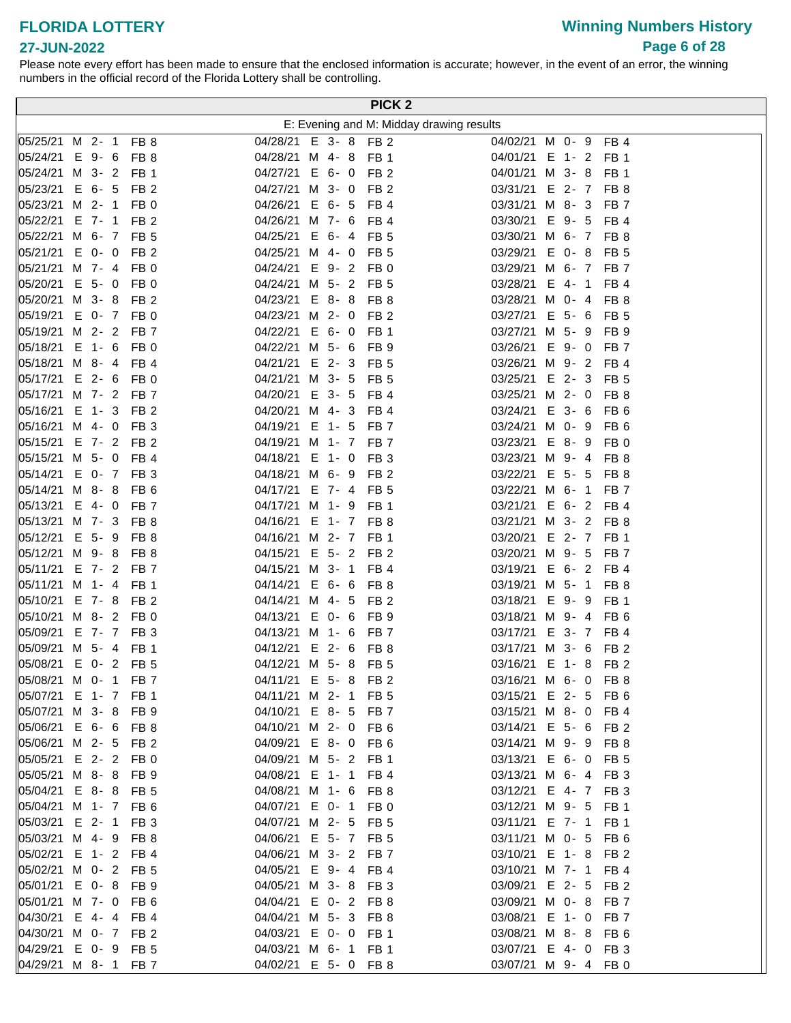# **Winning Numbers History Page 6 of 28**

| E: Evening and M: Midday drawing results<br>05/25/21 M 2- 1 FB 8<br>04/28/21 E 3- 8 FB 2<br>04/02/21 M 0- 9 FB 4<br>05/24/21 E 9-6 FB 8<br>04/28/21 M 4- 8 FB 1<br>04/01/21 E 1- 2 FB 1<br>05/24/21 M 3- 2<br>04/27/21 E 6- 0 FB 2<br>FB <sub>1</sub><br>04/01/21 M 3-8<br>FB 1<br>05/23/21 E 6- 5<br>04/27/21 M 3- 0 FB 2<br>FB <sub>2</sub><br>03/31/21 E 2-7<br>FB <sub>8</sub><br>05/23/21 M 2- 1<br>04/26/21 E 6- 5<br>FB <sub>0</sub><br>FB <sub>4</sub><br>03/31/21 M 8-3<br>FB <sub>7</sub><br>05/22/21 E 7- 1<br>03/30/21 E 9- 5<br>FB <sub>2</sub><br>04/26/21 M 7- 6<br>FB <sub>4</sub><br>FB 4<br>05/22/21 M 6- 7 FB 5<br>04/25/21 E 6-4<br>03/30/21 M 6- 7 FB 8<br>FB 5<br>05/21/21 E 0- 0<br>FB <sub>2</sub><br>04/25/21 M 4- 0<br>FB <sub>5</sub><br>03/29/21 E 0-8<br>FB 5<br>05/21/21 M 7- 4<br>04/24/21 E 9- 2 FB 0<br>FB <sub>0</sub><br>03/29/21 M 6- 7 FB 7<br>05/20/21 E 5- 0<br>04/24/21 M 5- 2 FB 5<br>03/28/21 E 4- 1<br>FB 0<br>FB <sub>4</sub><br>05/20/21 M 3-8<br>FB <sub>2</sub><br>04/23/21 E 8-8<br>03/28/21 M 0- 4<br>FB 8<br>FB 8<br> 05/19/21 E 0- 7 FB 0<br>04/23/21 M 2- 0<br>03/27/21 E 5- 6<br>FB <sub>2</sub><br>FB 5<br>05/19/21 M 2- 2 FB 7<br>04/22/21 E 6- 0<br>03/27/21 M 5- 9<br>FB 1<br>FB 9<br>05/18/21 E 1- 6 FB 0<br>04/22/21 M 5- 6<br>03/26/21 E 9-0<br>FB 9<br>FB 7<br>05/18/21 M 8-4 FB 4<br>04/21/21 E 2-3<br>FB <sub>5</sub><br>03/26/21 M 9- 2 FB 4<br>05/17/21 E 2- 6 FB 0<br>04/21/21 M 3- 5<br>03/25/21 E 2- 3 FB 5<br>FB <sub>5</sub><br>05/17/21 M 7- 2 FB 7<br>04/20/21 E 3- 5<br>03/25/21 M 2- 0<br>FB 4<br>FB 8<br>05/16/21 E 1-3<br>04/20/21 M 4-3<br>03/24/21 E 3- 6<br>FB <sub>2</sub><br>FB <sub>4</sub><br>FB 6<br>05/16/21 M 4- 0<br>FB <sub>3</sub><br>04/19/21 E 1- 5<br>03/24/21 M 0- 9<br>FB <sub>7</sub><br>FB 6<br>FB <sub>2</sub><br>05/15/21 E 7- 2<br>04/19/21 M 1- 7 FB 7<br>03/23/21 E 8-9<br>FB 0<br>05/15/21 M 5- 0<br>04/18/21 E 1- 0<br>FB <sub>4</sub><br>03/23/21 M 9-4<br>FB 3<br>FB 8<br>05/14/21 E 0- 7 FB 3<br>04/18/21 M 6- 9<br>03/22/21 E 5- 5<br>FB <sub>2</sub><br>FB 8<br>05/14/21 M 8-8<br>04/17/21 E 7- 4 FB 5<br>03/22/21 M 6- 1<br>FB <sub>6</sub><br>FB 7<br>05/13/21 E 4-0<br>FB <sub>7</sub><br>04/17/21 M 1- 9 FB 1<br>03/21/21 E 6- 2 FB 4<br>05/13/21 M 7-3<br>04/16/21 E 1- 7 FB 8<br>FB <sub>8</sub><br>03/21/21 M 3- 2 FB 8<br>05/12/21 E 5-9<br>04/16/21 M 2- 7 FB 1<br>03/20/21 E 2-7<br>FB <sub>8</sub><br>FB <sub>1</sub><br>05/12/21 M 9-8<br>FB <sub>8</sub><br>04/15/21 E 5- 2 FB 2<br>03/20/21 M 9- 5<br>FB 7<br> 05/11/21 E 7- 2 FB 7<br>04/15/21 M 3- 1<br>03/19/21 E 6- 2 FB 4<br>FB <sub>4</sub><br>05/11/21 M 1-4<br>04/14/21 E 6- 6<br>FB <sub>1</sub><br>FB 8<br>03/19/21 M 5- 1<br>FB <sub>8</sub><br>05/10/21 E 7-8<br>FB <sub>2</sub><br>04/14/21 M 4- 5<br>FB <sub>2</sub><br>03/18/21 E 9-9<br>FB 1<br>05/10/21 M 8-2<br>FB <sub>0</sub><br>04/13/21 E 0- 6<br>03/18/21 M 9- 4<br>FB <sub>9</sub><br>FB <sub>6</sub><br>05/09/21<br>E 7- 7<br>04/13/21 M 1- 6<br>FB <sub>3</sub><br>FB <sub>7</sub><br>03/17/21 E 3- 7 FB 4<br>05/09/21 M 5- 4<br>04/12/21 E 2- 6<br>FB <sub>1</sub><br>FB <sub>8</sub><br>03/17/21 M 3- 6<br>FB 2<br>05/08/21 E 0- 2 FB 5<br>04/12/21 M 5- 8 FB 5<br>03/16/21 E 1- 8 FB 2<br>05/08/21 M 0- 1 FB 7<br>04/11/21 E 5- 8 FB 2<br>03/16/21 M 6- 0 FB 8<br> 05/07/21 E 1- 7 FB 1<br>03/15/21 E 2- 5 FB 6<br>04/11/21 M 2- 1 FB 5<br>05/07/21 M 3- 8 FB 9<br>04/10/21 E 8- 5 FB 7<br>03/15/21 M 8- 0 FB 4<br>05/06/21 E 6- 6 FB 8<br>04/10/21 M 2- 0 FB 6<br>03/14/21 E 5- 6<br>FB 2<br>05/06/21 M 2- 5<br>FB <sub>2</sub><br>04/09/21 E 8-0<br>FB 6<br>03/14/21 M 9- 9 FB 8<br>  05/05/21 E 2-2 FB 0<br>04/09/21 M 5- 2 FB 1<br>03/13/21 E 6- 0<br>FB 5<br>05/05/21 M 8-8<br>FB <sub>9</sub><br>04/08/21 E 1- 1<br>03/13/21 M 6- 4 FB 3<br>FB 4<br>05/04/21<br>$E$ 8-8<br>FB <sub>5</sub><br>04/08/21 M 1- 6<br>03/12/21 E 4- 7 FB 3<br>FB 8<br>  05/04/21<br>M 1- 7<br>FB 6<br>04/07/21 E 0- 1<br>FB 0<br>03/12/21 M 9- 5<br>FB 1<br>  05/03/21<br>$E$ 2-1<br>FB <sub>3</sub><br>04/07/21 M 2- 5<br>03/11/21 E 7- 1<br>FB <sub>5</sub><br>FB <sub>1</sub><br>05/03/21 M 4-9<br>04/06/21 E 5- 7<br>03/11/21 M 0- 5<br>FB 8<br>FB <sub>5</sub><br>FB 6<br>  05/02/21<br>E 1-2<br>FB <sub>4</sub><br>04/06/21 M 3- 2 FB 7<br>03/10/21 E 1-8<br>FB <sub>2</sub><br>05/02/21 M 0- 2<br>FB 5<br>04/05/21 E 9-4<br>FB 4<br>03/10/21 M 7- 1<br>FB 4<br>05/01/21 E 0-8<br>FB <sub>9</sub><br>04/05/21 M 3-8<br>03/09/21 E 2- 5 FB 2<br>FB 3<br>05/01/21 M 7- 0<br>FB <sub>6</sub><br>04/04/21 E 0- 2 FB 8<br>03/09/21 M 0-8<br>FB 7<br>04/30/21<br>04/04/21 M 5- 3<br>$E$ 4-4<br>FB <sub>4</sub><br>FB 8<br>03/08/21 E 1- 0<br>FB 7<br>  04/30/21<br>M 0- 7<br>04/03/21 E 0- 0<br>03/08/21 M 8-8<br>FB <sub>2</sub><br>FB <sub>1</sub><br>FB 6<br>04/29/21<br>$E$ 0- 9<br>FB <sub>5</sub><br>$04/03/21$ M 6- 1<br>03/07/21 E 4- 0<br>FB <sub>1</sub><br>FB <sub>3</sub><br>04/29/21 M 8-1<br>04/02/21 E 5- 0 FB 8<br>03/07/21 M 9- 4 FB 0<br>FB 7 |  |  |  |  | PICK <sub>2</sub> |  |
|---------------------------------------------------------------------------------------------------------------------------------------------------------------------------------------------------------------------------------------------------------------------------------------------------------------------------------------------------------------------------------------------------------------------------------------------------------------------------------------------------------------------------------------------------------------------------------------------------------------------------------------------------------------------------------------------------------------------------------------------------------------------------------------------------------------------------------------------------------------------------------------------------------------------------------------------------------------------------------------------------------------------------------------------------------------------------------------------------------------------------------------------------------------------------------------------------------------------------------------------------------------------------------------------------------------------------------------------------------------------------------------------------------------------------------------------------------------------------------------------------------------------------------------------------------------------------------------------------------------------------------------------------------------------------------------------------------------------------------------------------------------------------------------------------------------------------------------------------------------------------------------------------------------------------------------------------------------------------------------------------------------------------------------------------------------------------------------------------------------------------------------------------------------------------------------------------------------------------------------------------------------------------------------------------------------------------------------------------------------------------------------------------------------------------------------------------------------------------------------------------------------------------------------------------------------------------------------------------------------------------------------------------------------------------------------------------------------------------------------------------------------------------------------------------------------------------------------------------------------------------------------------------------------------------------------------------------------------------------------------------------------------------------------------------------------------------------------------------------------------------------------------------------------------------------------------------------------------------------------------------------------------------------------------------------------------------------------------------------------------------------------------------------------------------------------------------------------------------------------------------------------------------------------------------------------------------------------------------------------------------------------------------------------------------------------------------------------------------------------------------------------------------------------------------------------------------------------------------------------------------------------------------------------------------------------------------------------------------------------------------------------------------------------------------------------------------------------------------------------------------------------------------------------------------------------------------------------------------------------------------------------------------------------------------------------------------------------------------------------------------------------------------------------------------------------------------------------------------------------------------------------------------------------------------------------------------------------------------------------------------------------------------------------------------------------------------------------------------------------------------------------------------------------------------------------------------------------------------------------------------------------------------------------------------------------------------------------------------------------------------------|--|--|--|--|-------------------|--|
|                                                                                                                                                                                                                                                                                                                                                                                                                                                                                                                                                                                                                                                                                                                                                                                                                                                                                                                                                                                                                                                                                                                                                                                                                                                                                                                                                                                                                                                                                                                                                                                                                                                                                                                                                                                                                                                                                                                                                                                                                                                                                                                                                                                                                                                                                                                                                                                                                                                                                                                                                                                                                                                                                                                                                                                                                                                                                                                                                                                                                                                                                                                                                                                                                                                                                                                                                                                                                                                                                                                                                                                                                                                                                                                                                                                                                                                                                                                                                                                                                                                                                                                                                                                                                                                                                                                                                                                                                                                                                                                                                                                                                                                                                                                                                                                                                                                                                                                                                                                                         |  |  |  |  |                   |  |
|                                                                                                                                                                                                                                                                                                                                                                                                                                                                                                                                                                                                                                                                                                                                                                                                                                                                                                                                                                                                                                                                                                                                                                                                                                                                                                                                                                                                                                                                                                                                                                                                                                                                                                                                                                                                                                                                                                                                                                                                                                                                                                                                                                                                                                                                                                                                                                                                                                                                                                                                                                                                                                                                                                                                                                                                                                                                                                                                                                                                                                                                                                                                                                                                                                                                                                                                                                                                                                                                                                                                                                                                                                                                                                                                                                                                                                                                                                                                                                                                                                                                                                                                                                                                                                                                                                                                                                                                                                                                                                                                                                                                                                                                                                                                                                                                                                                                                                                                                                                                         |  |  |  |  |                   |  |
|                                                                                                                                                                                                                                                                                                                                                                                                                                                                                                                                                                                                                                                                                                                                                                                                                                                                                                                                                                                                                                                                                                                                                                                                                                                                                                                                                                                                                                                                                                                                                                                                                                                                                                                                                                                                                                                                                                                                                                                                                                                                                                                                                                                                                                                                                                                                                                                                                                                                                                                                                                                                                                                                                                                                                                                                                                                                                                                                                                                                                                                                                                                                                                                                                                                                                                                                                                                                                                                                                                                                                                                                                                                                                                                                                                                                                                                                                                                                                                                                                                                                                                                                                                                                                                                                                                                                                                                                                                                                                                                                                                                                                                                                                                                                                                                                                                                                                                                                                                                                         |  |  |  |  |                   |  |
|                                                                                                                                                                                                                                                                                                                                                                                                                                                                                                                                                                                                                                                                                                                                                                                                                                                                                                                                                                                                                                                                                                                                                                                                                                                                                                                                                                                                                                                                                                                                                                                                                                                                                                                                                                                                                                                                                                                                                                                                                                                                                                                                                                                                                                                                                                                                                                                                                                                                                                                                                                                                                                                                                                                                                                                                                                                                                                                                                                                                                                                                                                                                                                                                                                                                                                                                                                                                                                                                                                                                                                                                                                                                                                                                                                                                                                                                                                                                                                                                                                                                                                                                                                                                                                                                                                                                                                                                                                                                                                                                                                                                                                                                                                                                                                                                                                                                                                                                                                                                         |  |  |  |  |                   |  |
|                                                                                                                                                                                                                                                                                                                                                                                                                                                                                                                                                                                                                                                                                                                                                                                                                                                                                                                                                                                                                                                                                                                                                                                                                                                                                                                                                                                                                                                                                                                                                                                                                                                                                                                                                                                                                                                                                                                                                                                                                                                                                                                                                                                                                                                                                                                                                                                                                                                                                                                                                                                                                                                                                                                                                                                                                                                                                                                                                                                                                                                                                                                                                                                                                                                                                                                                                                                                                                                                                                                                                                                                                                                                                                                                                                                                                                                                                                                                                                                                                                                                                                                                                                                                                                                                                                                                                                                                                                                                                                                                                                                                                                                                                                                                                                                                                                                                                                                                                                                                         |  |  |  |  |                   |  |
|                                                                                                                                                                                                                                                                                                                                                                                                                                                                                                                                                                                                                                                                                                                                                                                                                                                                                                                                                                                                                                                                                                                                                                                                                                                                                                                                                                                                                                                                                                                                                                                                                                                                                                                                                                                                                                                                                                                                                                                                                                                                                                                                                                                                                                                                                                                                                                                                                                                                                                                                                                                                                                                                                                                                                                                                                                                                                                                                                                                                                                                                                                                                                                                                                                                                                                                                                                                                                                                                                                                                                                                                                                                                                                                                                                                                                                                                                                                                                                                                                                                                                                                                                                                                                                                                                                                                                                                                                                                                                                                                                                                                                                                                                                                                                                                                                                                                                                                                                                                                         |  |  |  |  |                   |  |
|                                                                                                                                                                                                                                                                                                                                                                                                                                                                                                                                                                                                                                                                                                                                                                                                                                                                                                                                                                                                                                                                                                                                                                                                                                                                                                                                                                                                                                                                                                                                                                                                                                                                                                                                                                                                                                                                                                                                                                                                                                                                                                                                                                                                                                                                                                                                                                                                                                                                                                                                                                                                                                                                                                                                                                                                                                                                                                                                                                                                                                                                                                                                                                                                                                                                                                                                                                                                                                                                                                                                                                                                                                                                                                                                                                                                                                                                                                                                                                                                                                                                                                                                                                                                                                                                                                                                                                                                                                                                                                                                                                                                                                                                                                                                                                                                                                                                                                                                                                                                         |  |  |  |  |                   |  |
|                                                                                                                                                                                                                                                                                                                                                                                                                                                                                                                                                                                                                                                                                                                                                                                                                                                                                                                                                                                                                                                                                                                                                                                                                                                                                                                                                                                                                                                                                                                                                                                                                                                                                                                                                                                                                                                                                                                                                                                                                                                                                                                                                                                                                                                                                                                                                                                                                                                                                                                                                                                                                                                                                                                                                                                                                                                                                                                                                                                                                                                                                                                                                                                                                                                                                                                                                                                                                                                                                                                                                                                                                                                                                                                                                                                                                                                                                                                                                                                                                                                                                                                                                                                                                                                                                                                                                                                                                                                                                                                                                                                                                                                                                                                                                                                                                                                                                                                                                                                                         |  |  |  |  |                   |  |
|                                                                                                                                                                                                                                                                                                                                                                                                                                                                                                                                                                                                                                                                                                                                                                                                                                                                                                                                                                                                                                                                                                                                                                                                                                                                                                                                                                                                                                                                                                                                                                                                                                                                                                                                                                                                                                                                                                                                                                                                                                                                                                                                                                                                                                                                                                                                                                                                                                                                                                                                                                                                                                                                                                                                                                                                                                                                                                                                                                                                                                                                                                                                                                                                                                                                                                                                                                                                                                                                                                                                                                                                                                                                                                                                                                                                                                                                                                                                                                                                                                                                                                                                                                                                                                                                                                                                                                                                                                                                                                                                                                                                                                                                                                                                                                                                                                                                                                                                                                                                         |  |  |  |  |                   |  |
|                                                                                                                                                                                                                                                                                                                                                                                                                                                                                                                                                                                                                                                                                                                                                                                                                                                                                                                                                                                                                                                                                                                                                                                                                                                                                                                                                                                                                                                                                                                                                                                                                                                                                                                                                                                                                                                                                                                                                                                                                                                                                                                                                                                                                                                                                                                                                                                                                                                                                                                                                                                                                                                                                                                                                                                                                                                                                                                                                                                                                                                                                                                                                                                                                                                                                                                                                                                                                                                                                                                                                                                                                                                                                                                                                                                                                                                                                                                                                                                                                                                                                                                                                                                                                                                                                                                                                                                                                                                                                                                                                                                                                                                                                                                                                                                                                                                                                                                                                                                                         |  |  |  |  |                   |  |
|                                                                                                                                                                                                                                                                                                                                                                                                                                                                                                                                                                                                                                                                                                                                                                                                                                                                                                                                                                                                                                                                                                                                                                                                                                                                                                                                                                                                                                                                                                                                                                                                                                                                                                                                                                                                                                                                                                                                                                                                                                                                                                                                                                                                                                                                                                                                                                                                                                                                                                                                                                                                                                                                                                                                                                                                                                                                                                                                                                                                                                                                                                                                                                                                                                                                                                                                                                                                                                                                                                                                                                                                                                                                                                                                                                                                                                                                                                                                                                                                                                                                                                                                                                                                                                                                                                                                                                                                                                                                                                                                                                                                                                                                                                                                                                                                                                                                                                                                                                                                         |  |  |  |  |                   |  |
|                                                                                                                                                                                                                                                                                                                                                                                                                                                                                                                                                                                                                                                                                                                                                                                                                                                                                                                                                                                                                                                                                                                                                                                                                                                                                                                                                                                                                                                                                                                                                                                                                                                                                                                                                                                                                                                                                                                                                                                                                                                                                                                                                                                                                                                                                                                                                                                                                                                                                                                                                                                                                                                                                                                                                                                                                                                                                                                                                                                                                                                                                                                                                                                                                                                                                                                                                                                                                                                                                                                                                                                                                                                                                                                                                                                                                                                                                                                                                                                                                                                                                                                                                                                                                                                                                                                                                                                                                                                                                                                                                                                                                                                                                                                                                                                                                                                                                                                                                                                                         |  |  |  |  |                   |  |
|                                                                                                                                                                                                                                                                                                                                                                                                                                                                                                                                                                                                                                                                                                                                                                                                                                                                                                                                                                                                                                                                                                                                                                                                                                                                                                                                                                                                                                                                                                                                                                                                                                                                                                                                                                                                                                                                                                                                                                                                                                                                                                                                                                                                                                                                                                                                                                                                                                                                                                                                                                                                                                                                                                                                                                                                                                                                                                                                                                                                                                                                                                                                                                                                                                                                                                                                                                                                                                                                                                                                                                                                                                                                                                                                                                                                                                                                                                                                                                                                                                                                                                                                                                                                                                                                                                                                                                                                                                                                                                                                                                                                                                                                                                                                                                                                                                                                                                                                                                                                         |  |  |  |  |                   |  |
|                                                                                                                                                                                                                                                                                                                                                                                                                                                                                                                                                                                                                                                                                                                                                                                                                                                                                                                                                                                                                                                                                                                                                                                                                                                                                                                                                                                                                                                                                                                                                                                                                                                                                                                                                                                                                                                                                                                                                                                                                                                                                                                                                                                                                                                                                                                                                                                                                                                                                                                                                                                                                                                                                                                                                                                                                                                                                                                                                                                                                                                                                                                                                                                                                                                                                                                                                                                                                                                                                                                                                                                                                                                                                                                                                                                                                                                                                                                                                                                                                                                                                                                                                                                                                                                                                                                                                                                                                                                                                                                                                                                                                                                                                                                                                                                                                                                                                                                                                                                                         |  |  |  |  |                   |  |
|                                                                                                                                                                                                                                                                                                                                                                                                                                                                                                                                                                                                                                                                                                                                                                                                                                                                                                                                                                                                                                                                                                                                                                                                                                                                                                                                                                                                                                                                                                                                                                                                                                                                                                                                                                                                                                                                                                                                                                                                                                                                                                                                                                                                                                                                                                                                                                                                                                                                                                                                                                                                                                                                                                                                                                                                                                                                                                                                                                                                                                                                                                                                                                                                                                                                                                                                                                                                                                                                                                                                                                                                                                                                                                                                                                                                                                                                                                                                                                                                                                                                                                                                                                                                                                                                                                                                                                                                                                                                                                                                                                                                                                                                                                                                                                                                                                                                                                                                                                                                         |  |  |  |  |                   |  |
|                                                                                                                                                                                                                                                                                                                                                                                                                                                                                                                                                                                                                                                                                                                                                                                                                                                                                                                                                                                                                                                                                                                                                                                                                                                                                                                                                                                                                                                                                                                                                                                                                                                                                                                                                                                                                                                                                                                                                                                                                                                                                                                                                                                                                                                                                                                                                                                                                                                                                                                                                                                                                                                                                                                                                                                                                                                                                                                                                                                                                                                                                                                                                                                                                                                                                                                                                                                                                                                                                                                                                                                                                                                                                                                                                                                                                                                                                                                                                                                                                                                                                                                                                                                                                                                                                                                                                                                                                                                                                                                                                                                                                                                                                                                                                                                                                                                                                                                                                                                                         |  |  |  |  |                   |  |
|                                                                                                                                                                                                                                                                                                                                                                                                                                                                                                                                                                                                                                                                                                                                                                                                                                                                                                                                                                                                                                                                                                                                                                                                                                                                                                                                                                                                                                                                                                                                                                                                                                                                                                                                                                                                                                                                                                                                                                                                                                                                                                                                                                                                                                                                                                                                                                                                                                                                                                                                                                                                                                                                                                                                                                                                                                                                                                                                                                                                                                                                                                                                                                                                                                                                                                                                                                                                                                                                                                                                                                                                                                                                                                                                                                                                                                                                                                                                                                                                                                                                                                                                                                                                                                                                                                                                                                                                                                                                                                                                                                                                                                                                                                                                                                                                                                                                                                                                                                                                         |  |  |  |  |                   |  |
|                                                                                                                                                                                                                                                                                                                                                                                                                                                                                                                                                                                                                                                                                                                                                                                                                                                                                                                                                                                                                                                                                                                                                                                                                                                                                                                                                                                                                                                                                                                                                                                                                                                                                                                                                                                                                                                                                                                                                                                                                                                                                                                                                                                                                                                                                                                                                                                                                                                                                                                                                                                                                                                                                                                                                                                                                                                                                                                                                                                                                                                                                                                                                                                                                                                                                                                                                                                                                                                                                                                                                                                                                                                                                                                                                                                                                                                                                                                                                                                                                                                                                                                                                                                                                                                                                                                                                                                                                                                                                                                                                                                                                                                                                                                                                                                                                                                                                                                                                                                                         |  |  |  |  |                   |  |
|                                                                                                                                                                                                                                                                                                                                                                                                                                                                                                                                                                                                                                                                                                                                                                                                                                                                                                                                                                                                                                                                                                                                                                                                                                                                                                                                                                                                                                                                                                                                                                                                                                                                                                                                                                                                                                                                                                                                                                                                                                                                                                                                                                                                                                                                                                                                                                                                                                                                                                                                                                                                                                                                                                                                                                                                                                                                                                                                                                                                                                                                                                                                                                                                                                                                                                                                                                                                                                                                                                                                                                                                                                                                                                                                                                                                                                                                                                                                                                                                                                                                                                                                                                                                                                                                                                                                                                                                                                                                                                                                                                                                                                                                                                                                                                                                                                                                                                                                                                                                         |  |  |  |  |                   |  |
|                                                                                                                                                                                                                                                                                                                                                                                                                                                                                                                                                                                                                                                                                                                                                                                                                                                                                                                                                                                                                                                                                                                                                                                                                                                                                                                                                                                                                                                                                                                                                                                                                                                                                                                                                                                                                                                                                                                                                                                                                                                                                                                                                                                                                                                                                                                                                                                                                                                                                                                                                                                                                                                                                                                                                                                                                                                                                                                                                                                                                                                                                                                                                                                                                                                                                                                                                                                                                                                                                                                                                                                                                                                                                                                                                                                                                                                                                                                                                                                                                                                                                                                                                                                                                                                                                                                                                                                                                                                                                                                                                                                                                                                                                                                                                                                                                                                                                                                                                                                                         |  |  |  |  |                   |  |
|                                                                                                                                                                                                                                                                                                                                                                                                                                                                                                                                                                                                                                                                                                                                                                                                                                                                                                                                                                                                                                                                                                                                                                                                                                                                                                                                                                                                                                                                                                                                                                                                                                                                                                                                                                                                                                                                                                                                                                                                                                                                                                                                                                                                                                                                                                                                                                                                                                                                                                                                                                                                                                                                                                                                                                                                                                                                                                                                                                                                                                                                                                                                                                                                                                                                                                                                                                                                                                                                                                                                                                                                                                                                                                                                                                                                                                                                                                                                                                                                                                                                                                                                                                                                                                                                                                                                                                                                                                                                                                                                                                                                                                                                                                                                                                                                                                                                                                                                                                                                         |  |  |  |  |                   |  |
|                                                                                                                                                                                                                                                                                                                                                                                                                                                                                                                                                                                                                                                                                                                                                                                                                                                                                                                                                                                                                                                                                                                                                                                                                                                                                                                                                                                                                                                                                                                                                                                                                                                                                                                                                                                                                                                                                                                                                                                                                                                                                                                                                                                                                                                                                                                                                                                                                                                                                                                                                                                                                                                                                                                                                                                                                                                                                                                                                                                                                                                                                                                                                                                                                                                                                                                                                                                                                                                                                                                                                                                                                                                                                                                                                                                                                                                                                                                                                                                                                                                                                                                                                                                                                                                                                                                                                                                                                                                                                                                                                                                                                                                                                                                                                                                                                                                                                                                                                                                                         |  |  |  |  |                   |  |
|                                                                                                                                                                                                                                                                                                                                                                                                                                                                                                                                                                                                                                                                                                                                                                                                                                                                                                                                                                                                                                                                                                                                                                                                                                                                                                                                                                                                                                                                                                                                                                                                                                                                                                                                                                                                                                                                                                                                                                                                                                                                                                                                                                                                                                                                                                                                                                                                                                                                                                                                                                                                                                                                                                                                                                                                                                                                                                                                                                                                                                                                                                                                                                                                                                                                                                                                                                                                                                                                                                                                                                                                                                                                                                                                                                                                                                                                                                                                                                                                                                                                                                                                                                                                                                                                                                                                                                                                                                                                                                                                                                                                                                                                                                                                                                                                                                                                                                                                                                                                         |  |  |  |  |                   |  |
|                                                                                                                                                                                                                                                                                                                                                                                                                                                                                                                                                                                                                                                                                                                                                                                                                                                                                                                                                                                                                                                                                                                                                                                                                                                                                                                                                                                                                                                                                                                                                                                                                                                                                                                                                                                                                                                                                                                                                                                                                                                                                                                                                                                                                                                                                                                                                                                                                                                                                                                                                                                                                                                                                                                                                                                                                                                                                                                                                                                                                                                                                                                                                                                                                                                                                                                                                                                                                                                                                                                                                                                                                                                                                                                                                                                                                                                                                                                                                                                                                                                                                                                                                                                                                                                                                                                                                                                                                                                                                                                                                                                                                                                                                                                                                                                                                                                                                                                                                                                                         |  |  |  |  |                   |  |
|                                                                                                                                                                                                                                                                                                                                                                                                                                                                                                                                                                                                                                                                                                                                                                                                                                                                                                                                                                                                                                                                                                                                                                                                                                                                                                                                                                                                                                                                                                                                                                                                                                                                                                                                                                                                                                                                                                                                                                                                                                                                                                                                                                                                                                                                                                                                                                                                                                                                                                                                                                                                                                                                                                                                                                                                                                                                                                                                                                                                                                                                                                                                                                                                                                                                                                                                                                                                                                                                                                                                                                                                                                                                                                                                                                                                                                                                                                                                                                                                                                                                                                                                                                                                                                                                                                                                                                                                                                                                                                                                                                                                                                                                                                                                                                                                                                                                                                                                                                                                         |  |  |  |  |                   |  |
|                                                                                                                                                                                                                                                                                                                                                                                                                                                                                                                                                                                                                                                                                                                                                                                                                                                                                                                                                                                                                                                                                                                                                                                                                                                                                                                                                                                                                                                                                                                                                                                                                                                                                                                                                                                                                                                                                                                                                                                                                                                                                                                                                                                                                                                                                                                                                                                                                                                                                                                                                                                                                                                                                                                                                                                                                                                                                                                                                                                                                                                                                                                                                                                                                                                                                                                                                                                                                                                                                                                                                                                                                                                                                                                                                                                                                                                                                                                                                                                                                                                                                                                                                                                                                                                                                                                                                                                                                                                                                                                                                                                                                                                                                                                                                                                                                                                                                                                                                                                                         |  |  |  |  |                   |  |
|                                                                                                                                                                                                                                                                                                                                                                                                                                                                                                                                                                                                                                                                                                                                                                                                                                                                                                                                                                                                                                                                                                                                                                                                                                                                                                                                                                                                                                                                                                                                                                                                                                                                                                                                                                                                                                                                                                                                                                                                                                                                                                                                                                                                                                                                                                                                                                                                                                                                                                                                                                                                                                                                                                                                                                                                                                                                                                                                                                                                                                                                                                                                                                                                                                                                                                                                                                                                                                                                                                                                                                                                                                                                                                                                                                                                                                                                                                                                                                                                                                                                                                                                                                                                                                                                                                                                                                                                                                                                                                                                                                                                                                                                                                                                                                                                                                                                                                                                                                                                         |  |  |  |  |                   |  |
|                                                                                                                                                                                                                                                                                                                                                                                                                                                                                                                                                                                                                                                                                                                                                                                                                                                                                                                                                                                                                                                                                                                                                                                                                                                                                                                                                                                                                                                                                                                                                                                                                                                                                                                                                                                                                                                                                                                                                                                                                                                                                                                                                                                                                                                                                                                                                                                                                                                                                                                                                                                                                                                                                                                                                                                                                                                                                                                                                                                                                                                                                                                                                                                                                                                                                                                                                                                                                                                                                                                                                                                                                                                                                                                                                                                                                                                                                                                                                                                                                                                                                                                                                                                                                                                                                                                                                                                                                                                                                                                                                                                                                                                                                                                                                                                                                                                                                                                                                                                                         |  |  |  |  |                   |  |
|                                                                                                                                                                                                                                                                                                                                                                                                                                                                                                                                                                                                                                                                                                                                                                                                                                                                                                                                                                                                                                                                                                                                                                                                                                                                                                                                                                                                                                                                                                                                                                                                                                                                                                                                                                                                                                                                                                                                                                                                                                                                                                                                                                                                                                                                                                                                                                                                                                                                                                                                                                                                                                                                                                                                                                                                                                                                                                                                                                                                                                                                                                                                                                                                                                                                                                                                                                                                                                                                                                                                                                                                                                                                                                                                                                                                                                                                                                                                                                                                                                                                                                                                                                                                                                                                                                                                                                                                                                                                                                                                                                                                                                                                                                                                                                                                                                                                                                                                                                                                         |  |  |  |  |                   |  |
|                                                                                                                                                                                                                                                                                                                                                                                                                                                                                                                                                                                                                                                                                                                                                                                                                                                                                                                                                                                                                                                                                                                                                                                                                                                                                                                                                                                                                                                                                                                                                                                                                                                                                                                                                                                                                                                                                                                                                                                                                                                                                                                                                                                                                                                                                                                                                                                                                                                                                                                                                                                                                                                                                                                                                                                                                                                                                                                                                                                                                                                                                                                                                                                                                                                                                                                                                                                                                                                                                                                                                                                                                                                                                                                                                                                                                                                                                                                                                                                                                                                                                                                                                                                                                                                                                                                                                                                                                                                                                                                                                                                                                                                                                                                                                                                                                                                                                                                                                                                                         |  |  |  |  |                   |  |
|                                                                                                                                                                                                                                                                                                                                                                                                                                                                                                                                                                                                                                                                                                                                                                                                                                                                                                                                                                                                                                                                                                                                                                                                                                                                                                                                                                                                                                                                                                                                                                                                                                                                                                                                                                                                                                                                                                                                                                                                                                                                                                                                                                                                                                                                                                                                                                                                                                                                                                                                                                                                                                                                                                                                                                                                                                                                                                                                                                                                                                                                                                                                                                                                                                                                                                                                                                                                                                                                                                                                                                                                                                                                                                                                                                                                                                                                                                                                                                                                                                                                                                                                                                                                                                                                                                                                                                                                                                                                                                                                                                                                                                                                                                                                                                                                                                                                                                                                                                                                         |  |  |  |  |                   |  |
|                                                                                                                                                                                                                                                                                                                                                                                                                                                                                                                                                                                                                                                                                                                                                                                                                                                                                                                                                                                                                                                                                                                                                                                                                                                                                                                                                                                                                                                                                                                                                                                                                                                                                                                                                                                                                                                                                                                                                                                                                                                                                                                                                                                                                                                                                                                                                                                                                                                                                                                                                                                                                                                                                                                                                                                                                                                                                                                                                                                                                                                                                                                                                                                                                                                                                                                                                                                                                                                                                                                                                                                                                                                                                                                                                                                                                                                                                                                                                                                                                                                                                                                                                                                                                                                                                                                                                                                                                                                                                                                                                                                                                                                                                                                                                                                                                                                                                                                                                                                                         |  |  |  |  |                   |  |
|                                                                                                                                                                                                                                                                                                                                                                                                                                                                                                                                                                                                                                                                                                                                                                                                                                                                                                                                                                                                                                                                                                                                                                                                                                                                                                                                                                                                                                                                                                                                                                                                                                                                                                                                                                                                                                                                                                                                                                                                                                                                                                                                                                                                                                                                                                                                                                                                                                                                                                                                                                                                                                                                                                                                                                                                                                                                                                                                                                                                                                                                                                                                                                                                                                                                                                                                                                                                                                                                                                                                                                                                                                                                                                                                                                                                                                                                                                                                                                                                                                                                                                                                                                                                                                                                                                                                                                                                                                                                                                                                                                                                                                                                                                                                                                                                                                                                                                                                                                                                         |  |  |  |  |                   |  |
|                                                                                                                                                                                                                                                                                                                                                                                                                                                                                                                                                                                                                                                                                                                                                                                                                                                                                                                                                                                                                                                                                                                                                                                                                                                                                                                                                                                                                                                                                                                                                                                                                                                                                                                                                                                                                                                                                                                                                                                                                                                                                                                                                                                                                                                                                                                                                                                                                                                                                                                                                                                                                                                                                                                                                                                                                                                                                                                                                                                                                                                                                                                                                                                                                                                                                                                                                                                                                                                                                                                                                                                                                                                                                                                                                                                                                                                                                                                                                                                                                                                                                                                                                                                                                                                                                                                                                                                                                                                                                                                                                                                                                                                                                                                                                                                                                                                                                                                                                                                                         |  |  |  |  |                   |  |
|                                                                                                                                                                                                                                                                                                                                                                                                                                                                                                                                                                                                                                                                                                                                                                                                                                                                                                                                                                                                                                                                                                                                                                                                                                                                                                                                                                                                                                                                                                                                                                                                                                                                                                                                                                                                                                                                                                                                                                                                                                                                                                                                                                                                                                                                                                                                                                                                                                                                                                                                                                                                                                                                                                                                                                                                                                                                                                                                                                                                                                                                                                                                                                                                                                                                                                                                                                                                                                                                                                                                                                                                                                                                                                                                                                                                                                                                                                                                                                                                                                                                                                                                                                                                                                                                                                                                                                                                                                                                                                                                                                                                                                                                                                                                                                                                                                                                                                                                                                                                         |  |  |  |  |                   |  |
|                                                                                                                                                                                                                                                                                                                                                                                                                                                                                                                                                                                                                                                                                                                                                                                                                                                                                                                                                                                                                                                                                                                                                                                                                                                                                                                                                                                                                                                                                                                                                                                                                                                                                                                                                                                                                                                                                                                                                                                                                                                                                                                                                                                                                                                                                                                                                                                                                                                                                                                                                                                                                                                                                                                                                                                                                                                                                                                                                                                                                                                                                                                                                                                                                                                                                                                                                                                                                                                                                                                                                                                                                                                                                                                                                                                                                                                                                                                                                                                                                                                                                                                                                                                                                                                                                                                                                                                                                                                                                                                                                                                                                                                                                                                                                                                                                                                                                                                                                                                                         |  |  |  |  |                   |  |
|                                                                                                                                                                                                                                                                                                                                                                                                                                                                                                                                                                                                                                                                                                                                                                                                                                                                                                                                                                                                                                                                                                                                                                                                                                                                                                                                                                                                                                                                                                                                                                                                                                                                                                                                                                                                                                                                                                                                                                                                                                                                                                                                                                                                                                                                                                                                                                                                                                                                                                                                                                                                                                                                                                                                                                                                                                                                                                                                                                                                                                                                                                                                                                                                                                                                                                                                                                                                                                                                                                                                                                                                                                                                                                                                                                                                                                                                                                                                                                                                                                                                                                                                                                                                                                                                                                                                                                                                                                                                                                                                                                                                                                                                                                                                                                                                                                                                                                                                                                                                         |  |  |  |  |                   |  |
|                                                                                                                                                                                                                                                                                                                                                                                                                                                                                                                                                                                                                                                                                                                                                                                                                                                                                                                                                                                                                                                                                                                                                                                                                                                                                                                                                                                                                                                                                                                                                                                                                                                                                                                                                                                                                                                                                                                                                                                                                                                                                                                                                                                                                                                                                                                                                                                                                                                                                                                                                                                                                                                                                                                                                                                                                                                                                                                                                                                                                                                                                                                                                                                                                                                                                                                                                                                                                                                                                                                                                                                                                                                                                                                                                                                                                                                                                                                                                                                                                                                                                                                                                                                                                                                                                                                                                                                                                                                                                                                                                                                                                                                                                                                                                                                                                                                                                                                                                                                                         |  |  |  |  |                   |  |
|                                                                                                                                                                                                                                                                                                                                                                                                                                                                                                                                                                                                                                                                                                                                                                                                                                                                                                                                                                                                                                                                                                                                                                                                                                                                                                                                                                                                                                                                                                                                                                                                                                                                                                                                                                                                                                                                                                                                                                                                                                                                                                                                                                                                                                                                                                                                                                                                                                                                                                                                                                                                                                                                                                                                                                                                                                                                                                                                                                                                                                                                                                                                                                                                                                                                                                                                                                                                                                                                                                                                                                                                                                                                                                                                                                                                                                                                                                                                                                                                                                                                                                                                                                                                                                                                                                                                                                                                                                                                                                                                                                                                                                                                                                                                                                                                                                                                                                                                                                                                         |  |  |  |  |                   |  |
|                                                                                                                                                                                                                                                                                                                                                                                                                                                                                                                                                                                                                                                                                                                                                                                                                                                                                                                                                                                                                                                                                                                                                                                                                                                                                                                                                                                                                                                                                                                                                                                                                                                                                                                                                                                                                                                                                                                                                                                                                                                                                                                                                                                                                                                                                                                                                                                                                                                                                                                                                                                                                                                                                                                                                                                                                                                                                                                                                                                                                                                                                                                                                                                                                                                                                                                                                                                                                                                                                                                                                                                                                                                                                                                                                                                                                                                                                                                                                                                                                                                                                                                                                                                                                                                                                                                                                                                                                                                                                                                                                                                                                                                                                                                                                                                                                                                                                                                                                                                                         |  |  |  |  |                   |  |
|                                                                                                                                                                                                                                                                                                                                                                                                                                                                                                                                                                                                                                                                                                                                                                                                                                                                                                                                                                                                                                                                                                                                                                                                                                                                                                                                                                                                                                                                                                                                                                                                                                                                                                                                                                                                                                                                                                                                                                                                                                                                                                                                                                                                                                                                                                                                                                                                                                                                                                                                                                                                                                                                                                                                                                                                                                                                                                                                                                                                                                                                                                                                                                                                                                                                                                                                                                                                                                                                                                                                                                                                                                                                                                                                                                                                                                                                                                                                                                                                                                                                                                                                                                                                                                                                                                                                                                                                                                                                                                                                                                                                                                                                                                                                                                                                                                                                                                                                                                                                         |  |  |  |  |                   |  |
|                                                                                                                                                                                                                                                                                                                                                                                                                                                                                                                                                                                                                                                                                                                                                                                                                                                                                                                                                                                                                                                                                                                                                                                                                                                                                                                                                                                                                                                                                                                                                                                                                                                                                                                                                                                                                                                                                                                                                                                                                                                                                                                                                                                                                                                                                                                                                                                                                                                                                                                                                                                                                                                                                                                                                                                                                                                                                                                                                                                                                                                                                                                                                                                                                                                                                                                                                                                                                                                                                                                                                                                                                                                                                                                                                                                                                                                                                                                                                                                                                                                                                                                                                                                                                                                                                                                                                                                                                                                                                                                                                                                                                                                                                                                                                                                                                                                                                                                                                                                                         |  |  |  |  |                   |  |
|                                                                                                                                                                                                                                                                                                                                                                                                                                                                                                                                                                                                                                                                                                                                                                                                                                                                                                                                                                                                                                                                                                                                                                                                                                                                                                                                                                                                                                                                                                                                                                                                                                                                                                                                                                                                                                                                                                                                                                                                                                                                                                                                                                                                                                                                                                                                                                                                                                                                                                                                                                                                                                                                                                                                                                                                                                                                                                                                                                                                                                                                                                                                                                                                                                                                                                                                                                                                                                                                                                                                                                                                                                                                                                                                                                                                                                                                                                                                                                                                                                                                                                                                                                                                                                                                                                                                                                                                                                                                                                                                                                                                                                                                                                                                                                                                                                                                                                                                                                                                         |  |  |  |  |                   |  |
|                                                                                                                                                                                                                                                                                                                                                                                                                                                                                                                                                                                                                                                                                                                                                                                                                                                                                                                                                                                                                                                                                                                                                                                                                                                                                                                                                                                                                                                                                                                                                                                                                                                                                                                                                                                                                                                                                                                                                                                                                                                                                                                                                                                                                                                                                                                                                                                                                                                                                                                                                                                                                                                                                                                                                                                                                                                                                                                                                                                                                                                                                                                                                                                                                                                                                                                                                                                                                                                                                                                                                                                                                                                                                                                                                                                                                                                                                                                                                                                                                                                                                                                                                                                                                                                                                                                                                                                                                                                                                                                                                                                                                                                                                                                                                                                                                                                                                                                                                                                                         |  |  |  |  |                   |  |
|                                                                                                                                                                                                                                                                                                                                                                                                                                                                                                                                                                                                                                                                                                                                                                                                                                                                                                                                                                                                                                                                                                                                                                                                                                                                                                                                                                                                                                                                                                                                                                                                                                                                                                                                                                                                                                                                                                                                                                                                                                                                                                                                                                                                                                                                                                                                                                                                                                                                                                                                                                                                                                                                                                                                                                                                                                                                                                                                                                                                                                                                                                                                                                                                                                                                                                                                                                                                                                                                                                                                                                                                                                                                                                                                                                                                                                                                                                                                                                                                                                                                                                                                                                                                                                                                                                                                                                                                                                                                                                                                                                                                                                                                                                                                                                                                                                                                                                                                                                                                         |  |  |  |  |                   |  |
|                                                                                                                                                                                                                                                                                                                                                                                                                                                                                                                                                                                                                                                                                                                                                                                                                                                                                                                                                                                                                                                                                                                                                                                                                                                                                                                                                                                                                                                                                                                                                                                                                                                                                                                                                                                                                                                                                                                                                                                                                                                                                                                                                                                                                                                                                                                                                                                                                                                                                                                                                                                                                                                                                                                                                                                                                                                                                                                                                                                                                                                                                                                                                                                                                                                                                                                                                                                                                                                                                                                                                                                                                                                                                                                                                                                                                                                                                                                                                                                                                                                                                                                                                                                                                                                                                                                                                                                                                                                                                                                                                                                                                                                                                                                                                                                                                                                                                                                                                                                                         |  |  |  |  |                   |  |
|                                                                                                                                                                                                                                                                                                                                                                                                                                                                                                                                                                                                                                                                                                                                                                                                                                                                                                                                                                                                                                                                                                                                                                                                                                                                                                                                                                                                                                                                                                                                                                                                                                                                                                                                                                                                                                                                                                                                                                                                                                                                                                                                                                                                                                                                                                                                                                                                                                                                                                                                                                                                                                                                                                                                                                                                                                                                                                                                                                                                                                                                                                                                                                                                                                                                                                                                                                                                                                                                                                                                                                                                                                                                                                                                                                                                                                                                                                                                                                                                                                                                                                                                                                                                                                                                                                                                                                                                                                                                                                                                                                                                                                                                                                                                                                                                                                                                                                                                                                                                         |  |  |  |  |                   |  |
|                                                                                                                                                                                                                                                                                                                                                                                                                                                                                                                                                                                                                                                                                                                                                                                                                                                                                                                                                                                                                                                                                                                                                                                                                                                                                                                                                                                                                                                                                                                                                                                                                                                                                                                                                                                                                                                                                                                                                                                                                                                                                                                                                                                                                                                                                                                                                                                                                                                                                                                                                                                                                                                                                                                                                                                                                                                                                                                                                                                                                                                                                                                                                                                                                                                                                                                                                                                                                                                                                                                                                                                                                                                                                                                                                                                                                                                                                                                                                                                                                                                                                                                                                                                                                                                                                                                                                                                                                                                                                                                                                                                                                                                                                                                                                                                                                                                                                                                                                                                                         |  |  |  |  |                   |  |
|                                                                                                                                                                                                                                                                                                                                                                                                                                                                                                                                                                                                                                                                                                                                                                                                                                                                                                                                                                                                                                                                                                                                                                                                                                                                                                                                                                                                                                                                                                                                                                                                                                                                                                                                                                                                                                                                                                                                                                                                                                                                                                                                                                                                                                                                                                                                                                                                                                                                                                                                                                                                                                                                                                                                                                                                                                                                                                                                                                                                                                                                                                                                                                                                                                                                                                                                                                                                                                                                                                                                                                                                                                                                                                                                                                                                                                                                                                                                                                                                                                                                                                                                                                                                                                                                                                                                                                                                                                                                                                                                                                                                                                                                                                                                                                                                                                                                                                                                                                                                         |  |  |  |  |                   |  |
|                                                                                                                                                                                                                                                                                                                                                                                                                                                                                                                                                                                                                                                                                                                                                                                                                                                                                                                                                                                                                                                                                                                                                                                                                                                                                                                                                                                                                                                                                                                                                                                                                                                                                                                                                                                                                                                                                                                                                                                                                                                                                                                                                                                                                                                                                                                                                                                                                                                                                                                                                                                                                                                                                                                                                                                                                                                                                                                                                                                                                                                                                                                                                                                                                                                                                                                                                                                                                                                                                                                                                                                                                                                                                                                                                                                                                                                                                                                                                                                                                                                                                                                                                                                                                                                                                                                                                                                                                                                                                                                                                                                                                                                                                                                                                                                                                                                                                                                                                                                                         |  |  |  |  |                   |  |
|                                                                                                                                                                                                                                                                                                                                                                                                                                                                                                                                                                                                                                                                                                                                                                                                                                                                                                                                                                                                                                                                                                                                                                                                                                                                                                                                                                                                                                                                                                                                                                                                                                                                                                                                                                                                                                                                                                                                                                                                                                                                                                                                                                                                                                                                                                                                                                                                                                                                                                                                                                                                                                                                                                                                                                                                                                                                                                                                                                                                                                                                                                                                                                                                                                                                                                                                                                                                                                                                                                                                                                                                                                                                                                                                                                                                                                                                                                                                                                                                                                                                                                                                                                                                                                                                                                                                                                                                                                                                                                                                                                                                                                                                                                                                                                                                                                                                                                                                                                                                         |  |  |  |  |                   |  |
|                                                                                                                                                                                                                                                                                                                                                                                                                                                                                                                                                                                                                                                                                                                                                                                                                                                                                                                                                                                                                                                                                                                                                                                                                                                                                                                                                                                                                                                                                                                                                                                                                                                                                                                                                                                                                                                                                                                                                                                                                                                                                                                                                                                                                                                                                                                                                                                                                                                                                                                                                                                                                                                                                                                                                                                                                                                                                                                                                                                                                                                                                                                                                                                                                                                                                                                                                                                                                                                                                                                                                                                                                                                                                                                                                                                                                                                                                                                                                                                                                                                                                                                                                                                                                                                                                                                                                                                                                                                                                                                                                                                                                                                                                                                                                                                                                                                                                                                                                                                                         |  |  |  |  |                   |  |
|                                                                                                                                                                                                                                                                                                                                                                                                                                                                                                                                                                                                                                                                                                                                                                                                                                                                                                                                                                                                                                                                                                                                                                                                                                                                                                                                                                                                                                                                                                                                                                                                                                                                                                                                                                                                                                                                                                                                                                                                                                                                                                                                                                                                                                                                                                                                                                                                                                                                                                                                                                                                                                                                                                                                                                                                                                                                                                                                                                                                                                                                                                                                                                                                                                                                                                                                                                                                                                                                                                                                                                                                                                                                                                                                                                                                                                                                                                                                                                                                                                                                                                                                                                                                                                                                                                                                                                                                                                                                                                                                                                                                                                                                                                                                                                                                                                                                                                                                                                                                         |  |  |  |  |                   |  |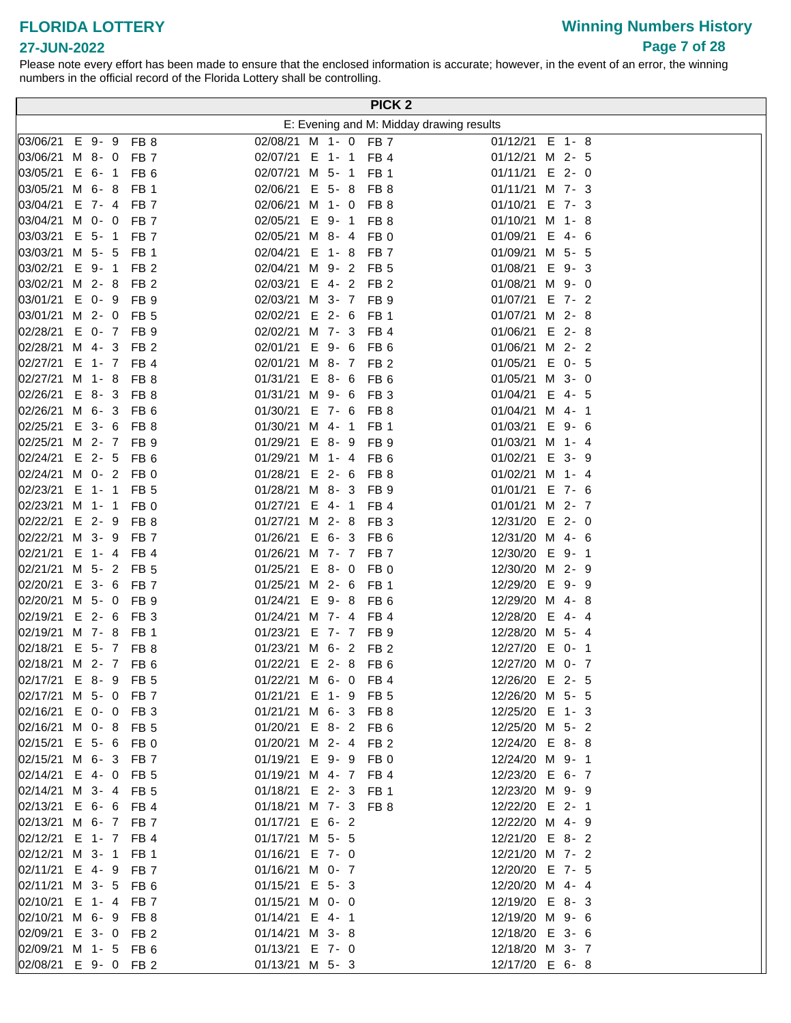# **Winning Numbers History Page 7 of 28**

#### **27-JUN-2022**

|                             |          |                                    |                                   |  | PICK <sub>2</sub>                  |                                          |
|-----------------------------|----------|------------------------------------|-----------------------------------|--|------------------------------------|------------------------------------------|
|                             |          |                                    |                                   |  |                                    | E: Evening and M: Midday drawing results |
| 03/06/21 E 9-9 FB 8         |          |                                    | 02/08/21 M 1- 0 FB 7              |  |                                    | 01/12/21 E 1-8                           |
| 03/06/21 M 8- 0 FB 7        |          |                                    | 02/07/21 E 1- 1 FB 4              |  |                                    | 01/12/21 M 2- 5                          |
| 03/05/21 E 6- 1             |          | FB <sub>6</sub>                    | 02/07/21 M 5- 1 FB 1              |  |                                    | $01/11/21$ E 2- 0                        |
| 03/05/21 M 6-8              |          | FB <sub>1</sub>                    | 02/06/21 E 5-8                    |  | FB 8                               | 01/11/21 M 7- 3                          |
| 03/04/21 E 7- 4 FB 7        |          |                                    | 02/06/21 M 1- 0                   |  | FB 8                               | 01/10/21 E 7- 3                          |
| 03/04/21 M 0- 0             |          | FB <sub>7</sub>                    | 02/05/21 E 9-1                    |  | FB <sub>8</sub>                    | 01/10/21 M 1-8                           |
| 03/03/21                    | $E$ 5-1  | FB <sub>7</sub>                    | 02/05/21 M 8-4                    |  | FB 0                               | 01/09/21<br>$E$ 4-6                      |
| 03/03/21 M 5- 5 FB 1        |          |                                    | 02/04/21 E 1-8                    |  | FB <sub>7</sub>                    | 01/09/21 M 5- 5                          |
| 03/02/21 E 9-1              |          | FB <sub>2</sub>                    | 02/04/21 M 9- 2 FB 5              |  |                                    | 01/08/21<br>E 9-3                        |
| 03/02/21 M 2-8              |          | FB <sub>2</sub>                    | 02/03/21 E 4- 2 FB 2              |  |                                    | 01/08/21 M 9- 0                          |
| 03/01/21 E 0- 9             |          | FB <sub>9</sub>                    | 02/03/21 M 3- 7 FB 9              |  |                                    | 01/07/21 E 7-2                           |
| 03/01/21 M 2- 0             |          | FB <sub>5</sub>                    | 02/02/21 E 2- 6                   |  | FB 1                               | 01/07/21 M 2-8                           |
| 02/28/21 E 0- 7 FB 9        |          |                                    | 02/02/21 M 7- 3 FB 4              |  |                                    | 01/06/21 E 2-8                           |
| 02/28/21 M 4-3              |          | FB <sub>2</sub>                    | 02/01/21 E 9- 6 FB 6              |  |                                    | 01/06/21 M 2- 2                          |
| 02/27/21 E 1- 7 FB 4        |          |                                    | 02/01/21 M 8- 7 FB 2              |  |                                    | 01/05/21 E 0- 5                          |
| 02/27/21 M 1-8              |          | FB <sub>8</sub>                    | $01/31/21$ E 8- 6                 |  | FB <sub>6</sub>                    | 01/05/21 M 3- 0                          |
| $ 02/26/21 \t E 8 - 3$      |          | FB 8                               | 01/31/21 M 9- 6                   |  | FB <sub>3</sub>                    | 01/04/21<br>E 4-5                        |
| 02/26/21 M 6- 3             |          | FB <sub>6</sub>                    | 01/30/21 E 7- 6                   |  | FB <sub>8</sub>                    | 01/04/21 M 4- 1                          |
| 02/25/21 E 3- 6             |          | FB <sub>8</sub>                    | 01/30/21 M 4- 1                   |  | FB <sub>1</sub>                    | E 9-6<br>01/03/21                        |
| 02/25/21 M 2- 7 FB 9        |          |                                    | 01/29/21 E 8-9                    |  | FB <sub>9</sub>                    | 01/03/21 M 1- 4                          |
| 02/24/21 E 2- 5             |          | FB <sub>6</sub>                    | 01/29/21 M 1- 4                   |  | FB 6                               | 01/02/21 E 3- 9                          |
| 02/24/21 M 0- 2             |          | FB <sub>0</sub>                    | 01/28/21 E 2- 6                   |  | FB <sub>8</sub>                    | 01/02/21 M 1- 4                          |
| 02/23/21 E 1- 1             |          | FB <sub>5</sub>                    | 01/28/21 M 8-3                    |  | FB <sub>9</sub>                    | 01/01/21 E 7- 6                          |
| 02/23/21 M 1- 1 FB 0        |          |                                    | 01/27/21 E 4- 1 FB 4              |  |                                    | 01/01/21 M 2- 7                          |
| 02/22/21 E 2- 9             |          | FB <sub>8</sub>                    | 01/27/21 M 2-8                    |  | FB <sub>3</sub>                    | 12/31/20 E 2- 0                          |
| 02/22/21 M 3- 9             |          | FB <sub>7</sub>                    | 01/26/21 E 6-3                    |  | FB <sub>6</sub>                    | 12/31/20 M 4- 6                          |
| 02/21/21 E 1- 4 FB 4        |          |                                    | 01/26/21 M 7- 7 FB 7              |  |                                    | 12/30/20 E 9- 1                          |
| 02/21/21 M 5- 2 FB 5        |          |                                    | 01/25/21 E 8-0                    |  | FB <sub>0</sub>                    | 12/30/20 M 2- 9                          |
| 02/20/21<br>02/20/21 M 5- 0 | $E$ 3-6  | FB <sub>7</sub><br>FB <sub>9</sub> | 01/25/21 M 2- 6<br>01/24/21 E 9-8 |  | FB <sub>1</sub><br>FB <sub>6</sub> | 12/29/20 E 9- 9<br>12/29/20 M 4-8        |
| 02/19/21                    | $E$ 2- 6 | FB <sub>3</sub>                    | 01/24/21 M 7- 4 FB 4              |  |                                    | 12/28/20 E 4-4                           |
| 02/19/21 M 7-8              |          | FB <sub>1</sub>                    | 01/23/21 E 7- 7 FB 9              |  |                                    | 12/28/20 M 5- 4                          |
| 02/18/21 E 5- 7 FB 8        |          |                                    | 01/23/21 M 6- 2 FB 2              |  |                                    | 12/27/20 E 0- 1                          |
| 02/18/21 M 2- 7 FB 6        |          |                                    | 01/22/21 E 2- 8 FB 6              |  |                                    | 12/27/20 M 0- 7                          |
| 02/17/21 E 8-9 FB 5         |          |                                    | 01/22/21 M 6- 0 FB 4              |  |                                    | 12/26/20 E 2- 5                          |
| 02/17/21 M 5- 0 FB 7        |          |                                    | 01/21/21 E 1- 9 FB 5              |  |                                    | 12/26/20 M 5- 5                          |
| 02/16/21 E 0- 0 FB 3        |          |                                    | 01/21/21 M 6- 3 FB 8              |  |                                    | 12/25/20 E 1- 3                          |
| 02/16/21 M 0- 8 FB 5        |          |                                    | 01/20/21 E 8- 2 FB 6              |  |                                    | 12/25/20 M 5- 2                          |
| 02/15/21 E 5- 6 FB 0        |          |                                    | 01/20/21 M 2- 4 FB 2              |  |                                    | 12/24/20 E 8-8                           |
| 02/15/21 M 6- 3 FB 7        |          |                                    | 01/19/21 E 9-9                    |  | FB 0                               | 12/24/20 M 9- 1                          |
| 02/14/21 E 4- 0 FB 5        |          |                                    | 01/19/21 M 4- 7 FB 4              |  |                                    | 12/23/20 E 6- 7                          |
| 02/14/21 M 3- 4 FB 5        |          |                                    | 01/18/21 E 2- 3 FB 1              |  |                                    | 12/23/20 M 9- 9                          |
| 02/13/21 E 6- 6 FB 4        |          |                                    | 01/18/21 M 7- 3 FB 8              |  |                                    | 12/22/20 E 2- 1                          |
| 02/13/21 M 6- 7 FB 7        |          |                                    | 01/17/21 E 6-2                    |  |                                    | 12/22/20 M 4- 9                          |
| 02/12/21 E 1- 7 FB 4        |          |                                    | 01/17/21 M 5- 5                   |  |                                    | 12/21/20 E 8-2                           |
| 02/12/21 M 3- 1 FB 1        |          |                                    | 01/16/21 E 7- 0                   |  |                                    | 12/21/20 M 7- 2                          |
| 02/11/21 E 4- 9 FB 7        |          |                                    | 01/16/21 M 0- 7                   |  |                                    | 12/20/20 E 7- 5                          |
| 02/11/21 M 3- 5 FB 6        |          |                                    | 01/15/21 E 5-3                    |  |                                    | 12/20/20 M 4- 4                          |
| 02/10/21 E 1- 4 FB 7        |          |                                    | 01/15/21 M 0- 0                   |  |                                    | 12/19/20 E 8-3                           |
| 02/10/21 M 6- 9 FB 8        |          |                                    | 01/14/21 E 4-1                    |  |                                    | 12/19/20 M 9- 6                          |
| 02/09/21 E 3- 0 FB 2        |          |                                    | 01/14/21 M 3-8                    |  |                                    | 12/18/20 E 3- 6                          |
| 02/09/21 M 1- 5 FB 6        |          |                                    | 01/13/21 E 7- 0                   |  |                                    | 12/18/20 M 3- 7                          |
| 02/08/21 E 9- 0 FB 2        |          |                                    | 01/13/21 M 5- 3                   |  |                                    | 12/17/20 E 6-8                           |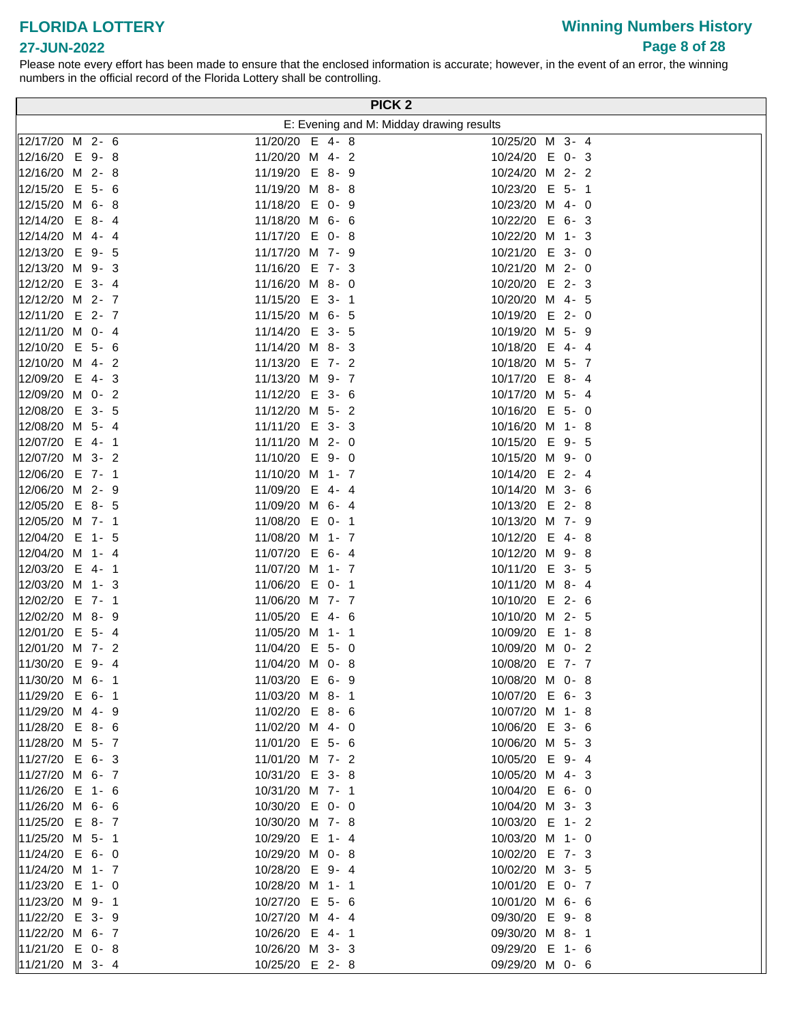**27-JUN-2022**

# **Winning Numbers History Page 8 of 28**

|                           | PICK <sub>2</sub>                        |                 |  |
|---------------------------|------------------------------------------|-----------------|--|
|                           | E: Evening and M: Midday drawing results |                 |  |
| 12/17/20 M 2- 6           | 11/20/20 E 4-8                           | 10/25/20 M 3- 4 |  |
| 12/16/20 E 9-8            | 11/20/20 M 4- 2                          | 10/24/20 E 0-3  |  |
| 12/16/20 M 2-8            | 11/19/20 E 8- 9                          | 10/24/20 M 2- 2 |  |
| 12/15/20 E 5- 6           | 11/19/20 M 8-8                           | 10/23/20 E 5- 1 |  |
| 12/15/20 M 6-8            | 11/18/20 E 0- 9                          | 10/23/20 M 4- 0 |  |
| $E$ 8-4<br>12/14/20       | 11/18/20 M 6- 6                          | 10/22/20 E 6- 3 |  |
| 12/14/20 M 4-4            | 11/17/20 E 0-8                           | 10/22/20 M 1- 3 |  |
| 12/13/20 E 9- 5           | 11/17/20 M 7- 9                          | 10/21/20 E 3- 0 |  |
| 12/13/20 M 9- 3           | 11/16/20 E 7- 3                          | 10/21/20 M 2- 0 |  |
| 12/12/20 E 3- 4           | 11/16/20 M 8- 0                          | 10/20/20 E 2-3  |  |
| 12/12/20 M 2- 7           | 11/15/20 E 3- 1                          | 10/20/20 M 4- 5 |  |
| 12/11/20 E 2- 7           | 11/15/20 M 6- 5                          | 10/19/20 E 2- 0 |  |
| 12/11/20 M 0- 4           | 11/14/20 E 3- 5                          | 10/19/20 M 5- 9 |  |
| $E$ 5- 6<br>12/10/20      | 11/14/20 M 8- 3                          | 10/18/20 E 4- 4 |  |
| 12/10/20 M 4- 2           | 11/13/20 E 7- 2                          | 10/18/20 M 5- 7 |  |
| 12/09/20 E 4-3            | 11/13/20 M 9- 7                          | 10/17/20 E 8- 4 |  |
| 12/09/20 M 0- 2           | 11/12/20 E 3- 6                          | 10/17/20 M 5- 4 |  |
| 12/08/20 E 3- 5           | 11/12/20 M 5- 2                          | 10/16/20 E 5- 0 |  |
| 12/08/20 M 5- 4           | 11/11/20 E 3-3                           | 10/16/20 M 1-8  |  |
| 12/07/20 E 4- 1           | 11/11/20 M 2- 0                          | 10/15/20 E 9- 5 |  |
| 12/07/20 M 3- 2           | 11/10/20 E 9-0                           | 10/15/20 M 9- 0 |  |
| 12/06/20 E 7- 1           | 11/10/20 M 1- 7                          | 10/14/20 E 2- 4 |  |
| 12/06/20 M 2- 9           | 11/09/20 E 4-4                           | 10/14/20 M 3- 6 |  |
| 12/05/20 E 8- 5           | 11/09/20 M 6- 4                          | 10/13/20 E 2-8  |  |
| 12/05/20 M 7- 1           | 11/08/20 E 0- 1                          | 10/13/20 M 7- 9 |  |
| 12/04/20<br>E 1-5         | 11/08/20 M 1- 7                          | 10/12/20 E 4-8  |  |
| 12/04/20 M 1- 4           | 11/07/20 E 6- 4                          | 10/12/20 M 9-8  |  |
| 12/03/20 E 4- 1           | 11/07/20 M 1- 7                          | 10/11/20 E 3- 5 |  |
| 12/03/20 M 1- 3           | 11/06/20 E 0- 1                          | 10/11/20 M 8- 4 |  |
| 12/02/20 E 7- 1           | 11/06/20 M 7- 7                          | 10/10/20 E 2- 6 |  |
| 12/02/20 M 8- 9           | 11/05/20 E 4- 6                          | 10/10/20 M 2- 5 |  |
| 12/01/20 E 5- 4           | 11/05/20 M 1- 1                          | 10/09/20 E 1-8  |  |
| 12/01/20 M 7- 2           | 11/04/20 E 5- 0                          | 10/09/20 M 0- 2 |  |
| 11/30/20 E 9-4            | 11/04/20 M 0- 8                          | 10/08/20 E 7- 7 |  |
| 11/30/20 M 6- 1           | 11/03/20 E 6- 9                          | 10/08/20 M 0- 8 |  |
| 11/29/20 E 6-1            | 11/03/20 M 8- 1                          | 10/07/20 E 6- 3 |  |
| 11/29/20 M 4- 9           | 11/02/20 E 8- 6                          | 10/07/20 M 1-8  |  |
| 11/28/20 E 8- 6           | 11/02/20 M 4- 0                          | 10/06/20 E 3- 6 |  |
| 11/28/20 M 5- 7           | 11/01/20 E 5- 6                          | 10/06/20 M 5- 3 |  |
| 11/27/20 E 6- 3           | 11/01/20 M 7- 2                          | 10/05/20 E 9- 4 |  |
| $ 11/27/20 \, M \, 6 - 7$ | 10/31/20 E 3-8                           | 10/05/20 M 4- 3 |  |
| 11/26/20 E 1- 6           | 10/31/20 M 7- 1                          | 10/04/20 E 6- 0 |  |
| 11/26/20 M 6- 6           | 10/30/20 E 0- 0                          | 10/04/20 M 3- 3 |  |
| 11/25/20 E 8- 7           | 10/30/20 M 7- 8                          | 10/03/20 E 1- 2 |  |
| 11/25/20 M 5- 1           | 10/29/20 E 1- 4                          | 10/03/20 M 1- 0 |  |
| 11/24/20 E 6- 0           | 10/29/20 M 0-8                           | 10/02/20 E 7-3  |  |
| 11/24/20 M 1- 7           | 10/28/20 E 9- 4                          | 10/02/20 M 3- 5 |  |
| 11/23/20 E 1- 0           | 10/28/20 M 1- 1                          | 10/01/20 E 0- 7 |  |
| 11/23/20 M 9- 1           | 10/27/20 E 5- 6                          | 10/01/20 M 6- 6 |  |
| 11/22/20 E 3- 9           | 10/27/20 M 4- 4                          | 09/30/20 E 9-8  |  |
| 11/22/20 M 6- 7           | 10/26/20 E 4- 1                          | 09/30/20 M 8-1  |  |
| 11/21/20 E 0-8            | 10/26/20 M 3- 3                          | 09/29/20 E 1- 6 |  |
| $11/21/20$ M 3- 4         | 10/25/20 E 2-8                           | 09/29/20 M 0- 6 |  |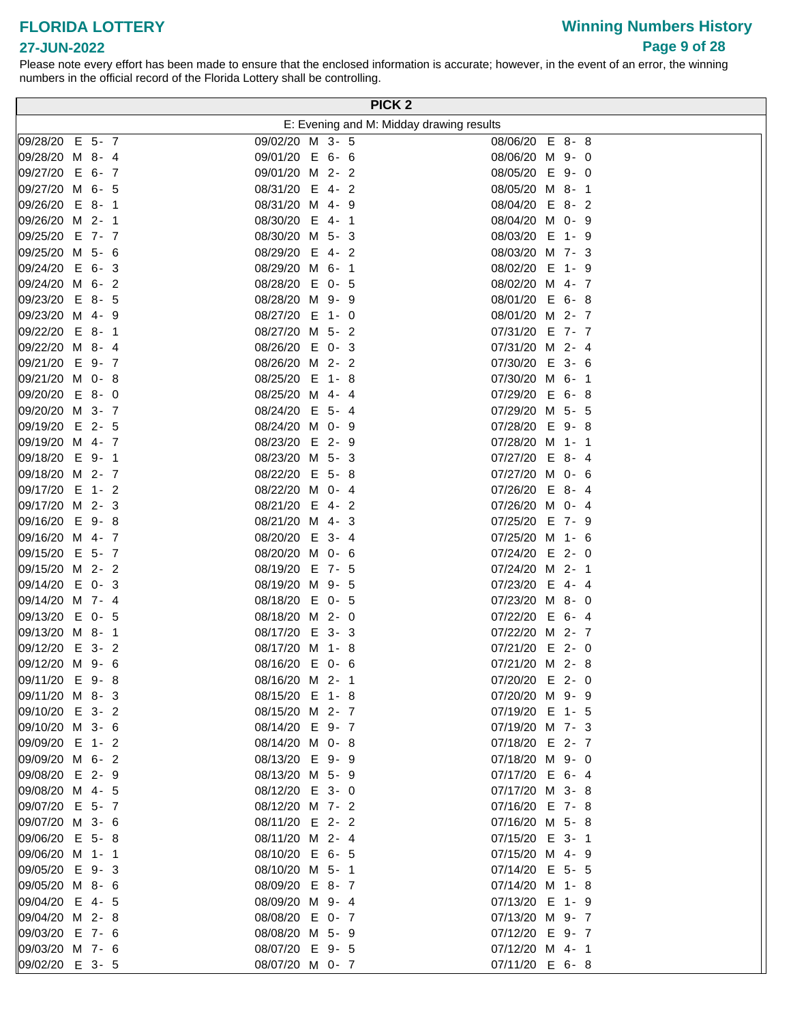### **FLORIDA LOTTERY 27-JUN-2022**

Please note every effort has been made to ensure that the enclosed information is accurate; however, in the event of an error, the winning numbers in the official record of the Florida Lottery shall be controlling.

|                                   | PICK <sub>2</sub>                          |                                      |
|-----------------------------------|--------------------------------------------|--------------------------------------|
|                                   | E: Evening and M: Midday drawing results   |                                      |
| 09/28/20 E 5- 7                   | 09/02/20 M 3- 5                            | 08/06/20 E 8-8                       |
| 09/28/20 M 8- 4                   | 09/01/20 E 6- 6                            | 08/06/20 M 9- 0                      |
| 09/27/20 E 6- 7                   | 09/01/20 M<br>$2 - 2$                      | 08/05/20 E 9-0                       |
| 09/27/20 M 6- 5                   | 08/31/20 E 4-2                             | 08/05/20 M 8- 1                      |
| 09/26/20 E 8- 1                   | 08/31/20 M<br>$4 - 9$                      | 08/04/20<br>$E$ 8-2                  |
| 09/26/20 M 2- 1                   | 08/30/20<br>E 4-1                          | 08/04/20 M 0- 9                      |
| E 7- 7<br>09/25/20                | 08/30/20 M<br>$5 - 3$                      | 08/03/20<br>E<br>1-9                 |
| 09/25/20 M 5- 6                   | 08/29/20<br>E<br>$4 - 2$                   | 08/03/20 M 7-3                       |
| E 6-3<br>09/24/20                 | 08/29/20 M 6- 1                            | 08/02/20<br>E<br>1-9                 |
| 09/24/20 M 6- 2                   | 08/28/20<br>E 0- 5                         | 08/02/20 M 4- 7                      |
| $E$ 8-5<br>09/23/20               | 08/28/20 M<br>9-9                          | 08/01/20 E 6-8                       |
| 09/23/20 M 4- 9                   | 08/27/20 E 1- 0                            | 08/01/20 M 2- 7                      |
| $E$ 8-1<br>09/22/20               | 08/27/20 M 5- 2                            | 07/31/20 E 7- 7                      |
| 09/22/20 M 8- 4                   | 08/26/20 E 0-3                             | 07/31/20 M 2- 4                      |
| 09/21/20 E 9- 7                   | 08/26/20 M 2- 2                            | 07/30/20 E 3- 6                      |
| 09/21/20 M 0-8                    | 08/25/20 E<br>1-8                          | 07/30/20 M 6- 1                      |
| 09/20/20<br>$E$ 8-0               | 08/25/20 M<br>$4 - 4$                      | 07/29/20 E 6-8                       |
| 09/20/20 M 3- 7                   | 08/24/20<br>$E$ 5-4                        | 07/29/20 M 5- 5                      |
| 09/19/20<br>E 2- 5                | 08/24/20 M 0- 9                            | 07/28/20<br>E 9-8                    |
| 09/19/20 M 4- 7                   | 08/23/20<br>E 2-9                          | 07/28/20 M 1- 1                      |
| 09/18/20<br>$E = 9 - 1$           | 08/23/20 M 5- 3                            | 07/27/20<br>$E$ 8-4                  |
| 09/18/20 M 2- 7                   | 08/22/20<br>E 5-8                          | 07/27/20 M 0- 6                      |
| 09/17/20 E 1- 2                   | 08/22/20 M 0- 4                            | 07/26/20 E 8-4                       |
| 09/17/20 M 2- 3<br>09/16/20 E 9-8 | 08/21/20<br>E<br>$4 - 2$<br>08/21/20 M 4-3 | 07/26/20 M 0- 4<br>07/25/20<br>E 7-9 |
| 09/16/20 M 4- 7                   | 08/20/20 E 3- 4                            | 07/25/20 M 1- 6                      |
| 09/15/20 E 5- 7                   | 08/20/20 M 0- 6                            | 07/24/20 E 2- 0                      |
| 09/15/20 M 2- 2                   | 08/19/20 E 7- 5                            | 07/24/20 M 2- 1                      |
| 09/14/20<br>$E$ 0-3               | 08/19/20 M 9- 5                            | 07/23/20<br>$E$ 4-4                  |
| 09/14/20 M 7- 4                   | 08/18/20<br>E 0-5                          | 07/23/20 M 8- 0                      |
| E 0- 5<br>09/13/20                | 08/18/20 M 2- 0                            | 07/22/20<br>$E$ 6-4                  |
| 09/13/20 M 8- 1                   | 08/17/20 E 3-3                             | 07/22/20 M 2- 7                      |
| 09/12/20<br>E 3-2                 | 08/17/20 M 1-8                             | 07/21/20 E 2- 0                      |
| 09/12/20 M 9- 6                   | 08/16/20 E 0- 6                            | 07/21/20 M 2- 8                      |
| 09/11/20 E 9-8                    | 08/16/20 M 2- 1                            | 07/20/20 E 2- 0                      |
| 09/11/20 M 8-3                    | 08/15/20 E 1-8                             | 07/20/20 M 9- 9                      |
| 09/10/20 E 3- 2                   | 08/15/20 M 2- 7                            | 07/19/20 E 1- 5                      |
| 09/10/20 M 3- 6                   | 08/14/20 E 9-7                             | 07/19/20 M 7- 3                      |
| 09/09/20 E 1- 2                   | 08/14/20 M 0- 8                            | 07/18/20 E 2-7                       |
| 09/09/20 M 6- 2                   | 08/13/20 E 9- 9                            | 07/18/20 M 9- 0                      |
| 09/08/20 E 2- 9                   | 08/13/20 M 5- 9                            | 07/17/20 E 6-4                       |
| 09/08/20 M 4- 5                   | 08/12/20 E 3- 0                            | 07/17/20 M 3- 8                      |
| 09/07/20 E 5- 7                   | 08/12/20 M 7- 2                            | 07/16/20 E 7-8                       |
| 09/07/20 M 3- 6                   | 08/11/20 E 2-2                             | 07/16/20 M 5-8                       |
| 09/06/20 E 5-8                    | 08/11/20 M 2- 4                            | 07/15/20 E 3- 1                      |
| 09/06/20 M 1- 1<br>09/05/20 E 9-3 | 08/10/20 E 6- 5<br>08/10/20 M 5- 1         | 07/15/20 M 4- 9<br>07/14/20 E 5- 5   |
| 09/05/20 M 8- 6                   | 08/09/20 E 8-7                             | 07/14/20 M 1-8                       |
| 09/04/20 E 4- 5                   | 08/09/20 M 9- 4                            | 07/13/20 E 1- 9                      |
| 09/04/20 M 2-8                    | 08/08/20 E 0- 7                            | 07/13/20 M 9- 7                      |
| 09/03/20 E 7- 6                   | 08/08/20 M 5- 9                            | 07/12/20 E 9- 7                      |
| 09/03/20 M 7- 6                   | 08/07/20 E 9- 5                            | 07/12/20 M 4- 1                      |
| 09/02/20 E 3- 5                   | 08/07/20 M 0- 7                            | 07/11/20 E 6-8                       |

# **Winning Numbers History Page 9 of 28**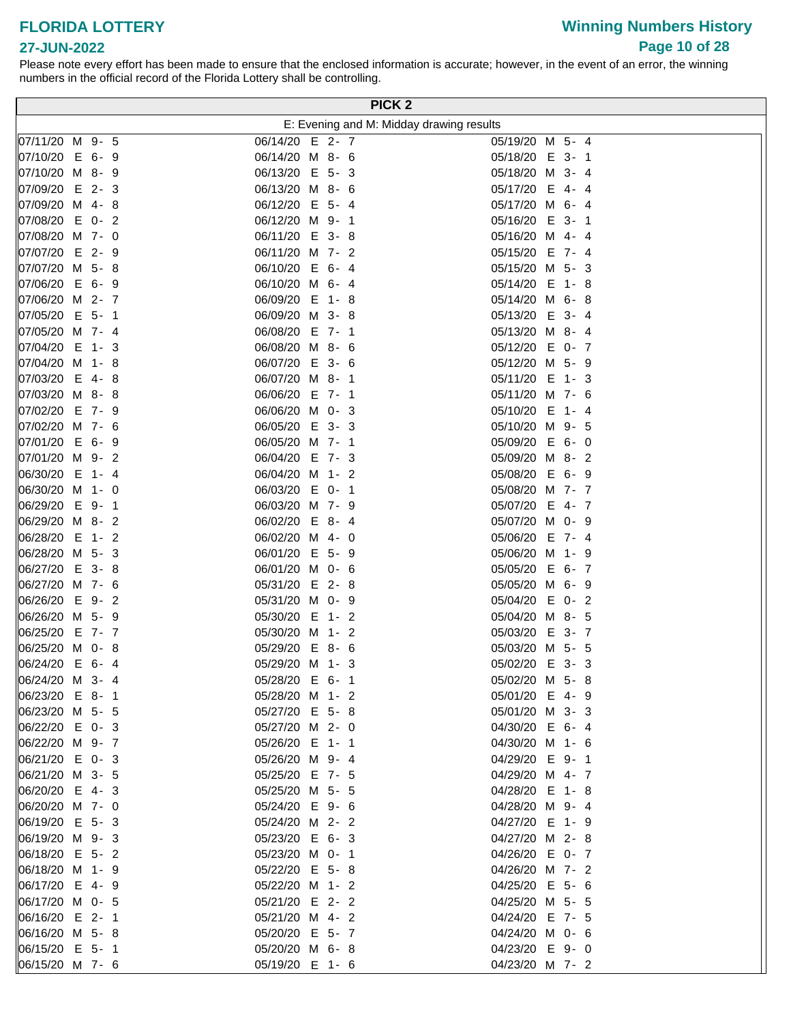# **Winning Numbers History Page 10 of 28**

| PICK <sub>2</sub>    |                                          |                   |  |  |  |  |  |  |  |
|----------------------|------------------------------------------|-------------------|--|--|--|--|--|--|--|
|                      | E: Evening and M: Midday drawing results |                   |  |  |  |  |  |  |  |
| 07/11/20 M 9- 5      | 06/14/20<br>$E$ 2-7                      | 05/19/20 M 5- 4   |  |  |  |  |  |  |  |
| 07/10/20<br>E 6-9    | 06/14/20 M 8- 6                          | 05/18/20 E 3- 1   |  |  |  |  |  |  |  |
| 07/10/20<br>M 8-9    | 06/13/20 E 5-3                           | 05/18/20 M 3- 4   |  |  |  |  |  |  |  |
| 07/09/20<br>$E$ 2-3  | 06/13/20 M 8- 6                          | 05/17/20 E 4-4    |  |  |  |  |  |  |  |
| 07/09/20 M 4-8       | 06/12/20 E 5- 4                          | 05/17/20 M 6- 4   |  |  |  |  |  |  |  |
| 07/08/20<br>$E$ 0-2  | 06/12/20 M 9- 1                          | 05/16/20 E 3- 1   |  |  |  |  |  |  |  |
| 07/08/20 M 7- 0      | 06/11/20 E 3-8                           | 05/16/20 M 4- 4   |  |  |  |  |  |  |  |
| 07/07/20<br>$E$ 2- 9 | 06/11/20 M 7- 2                          | 05/15/20 E 7- 4   |  |  |  |  |  |  |  |
| 07/07/20 M 5-8       | 06/10/20 E 6-4                           | 05/15/20 M 5- 3   |  |  |  |  |  |  |  |
| 07/06/20<br>E 6-9    | 06/10/20 M 6- 4                          | 05/14/20<br>E 1-8 |  |  |  |  |  |  |  |
| 07/06/20<br>M 2- 7   | 06/09/20 E<br>1-8                        | 05/14/20 M 6-8    |  |  |  |  |  |  |  |
| 07/05/20<br>$E$ 5-1  | 06/09/20 M 3-8                           | 05/13/20<br>E 3-4 |  |  |  |  |  |  |  |
| 07/05/20<br>M 7-4    | 06/08/20 E 7- 1                          | 05/13/20 M 8- 4   |  |  |  |  |  |  |  |
| 07/04/20<br>E 1-3    | 06/08/20 M 8- 6                          | 05/12/20 E 0- 7   |  |  |  |  |  |  |  |
| 07/04/20 M 1-8       | 06/07/20 E 3- 6                          | 05/12/20 M 5- 9   |  |  |  |  |  |  |  |
| 07/03/20 E 4-8       | 06/07/20 M 8- 1                          | 05/11/20 E 1-3    |  |  |  |  |  |  |  |
| 07/03/20 M 8-8       | 06/06/20 E 7- 1                          | 05/11/20 M 7- 6   |  |  |  |  |  |  |  |
| 07/02/20 E 7- 9      | 06/06/20 M 0-3                           | 05/10/20 E 1- 4   |  |  |  |  |  |  |  |
| 07/02/20 M 7- 6      | 06/05/20 E 3-3                           | 05/10/20 M 9- 5   |  |  |  |  |  |  |  |
| 07/01/20 E 6- 9      | 06/05/20 M 7- 1                          | 05/09/20 E 6- 0   |  |  |  |  |  |  |  |
| 07/01/20 M 9- 2      | 06/04/20 E 7-3                           | 05/09/20 M 8-2    |  |  |  |  |  |  |  |
| 06/30/20<br>E 1-4    | 06/04/20 M 1- 2                          | 05/08/20 E 6- 9   |  |  |  |  |  |  |  |
| 06/30/20<br>M 1-0    | 06/03/20 E<br>0-1                        | 05/08/20 M 7- 7   |  |  |  |  |  |  |  |
| 06/29/20<br>E 9-1    | 06/03/20 M 7- 9                          | 05/07/20<br>E 4-7 |  |  |  |  |  |  |  |
| 06/29/20<br>M 8-2    | 06/02/20<br>$E$ 8-4                      | 05/07/20 M 0- 9   |  |  |  |  |  |  |  |
| 06/28/20<br>$E$ 1- 2 | 06/02/20 M 4- 0                          | 05/06/20 E 7- 4   |  |  |  |  |  |  |  |
| 06/28/20 M 5- 3      | 06/01/20 E 5- 9                          | 05/06/20 M 1- 9   |  |  |  |  |  |  |  |
| 06/27/20<br>E 3-8    | 06/01/20 M 0- 6                          | 05/05/20 E 6- 7   |  |  |  |  |  |  |  |
| 06/27/20 M 7- 6      | 05/31/20 E 2-8                           | 05/05/20 M 6- 9   |  |  |  |  |  |  |  |
| 06/26/20<br>E 9-2    | 05/31/20 M 0- 9                          | 05/04/20 E 0-2    |  |  |  |  |  |  |  |
| 06/26/20 M 5- 9      | 05/30/20 E 1-2                           | 05/04/20 M 8- 5   |  |  |  |  |  |  |  |
| 06/25/20<br>E 7- 7   | 05/30/20 M 1- 2                          | 05/03/20 E 3- 7   |  |  |  |  |  |  |  |
| 06/25/20<br>M 0-8    | 05/29/20 E 8- 6                          | 05/03/20 M 5- 5   |  |  |  |  |  |  |  |
| 06/24/20 E 6- 4      | 05/29/20 M 1- 3                          | 05/02/20 E 3-3    |  |  |  |  |  |  |  |
| 06/24/20 M 3- 4      | 05/28/20 E 6- 1                          | 05/02/20 M 5- 8   |  |  |  |  |  |  |  |
| 06/23/20 E 8-1       | 05/28/20 M 1- 2                          | 05/01/20 E 4- 9   |  |  |  |  |  |  |  |
| 06/23/20 M 5- 5      | 05/27/20 E 5-8                           | 05/01/20 M 3- 3   |  |  |  |  |  |  |  |
| 06/22/20 E 0-3       | 05/27/20 M 2- 0                          | 04/30/20 E 6- 4   |  |  |  |  |  |  |  |
| 06/22/20 M 9- 7      | 05/26/20 E 1- 1                          | 04/30/20 M 1- 6   |  |  |  |  |  |  |  |
| 06/21/20 E 0- 3      | 05/26/20 M 9- 4                          | 04/29/20 E 9- 1   |  |  |  |  |  |  |  |
| 06/21/20 M 3- 5      | 05/25/20 E 7- 5                          | 04/29/20 M 4- 7   |  |  |  |  |  |  |  |
| 06/20/20 E 4-3       | 05/25/20 M 5- 5                          | 04/28/20 E 1-8    |  |  |  |  |  |  |  |
| 06/20/20 M 7- 0      | 05/24/20 E 9- 6                          | 04/28/20 M 9- 4   |  |  |  |  |  |  |  |
| 06/19/20 E 5-3       | 05/24/20 M 2- 2                          | 04/27/20 E 1- 9   |  |  |  |  |  |  |  |
| 06/19/20 M 9-3       | 05/23/20 E 6- 3                          | 04/27/20 M 2-8    |  |  |  |  |  |  |  |
| 06/18/20 E 5- 2      | 05/23/20 M 0- 1                          | 04/26/20 E 0- 7   |  |  |  |  |  |  |  |
| 06/18/20 M 1- 9      | 05/22/20 E 5-8                           | 04/26/20 M 7- 2   |  |  |  |  |  |  |  |
| 06/17/20 E 4- 9      | 05/22/20 M 1- 2                          | 04/25/20 E 5- 6   |  |  |  |  |  |  |  |
| 06/17/20 M 0- 5      | 05/21/20 E 2-2                           | 04/25/20 M 5- 5   |  |  |  |  |  |  |  |
| 06/16/20 E 2- 1      | 05/21/20 M 4- 2                          | 04/24/20 E 7- 5   |  |  |  |  |  |  |  |
| 06/16/20 M 5-8       | 05/20/20 E 5- 7                          | 04/24/20 M 0- 6   |  |  |  |  |  |  |  |
| 06/15/20 E 5- 1      | 05/20/20 M 6- 8                          | 04/23/20 E 9-0    |  |  |  |  |  |  |  |
| 06/15/20 M 7- 6      | 05/19/20 E 1- 6                          | 04/23/20 M 7- 2   |  |  |  |  |  |  |  |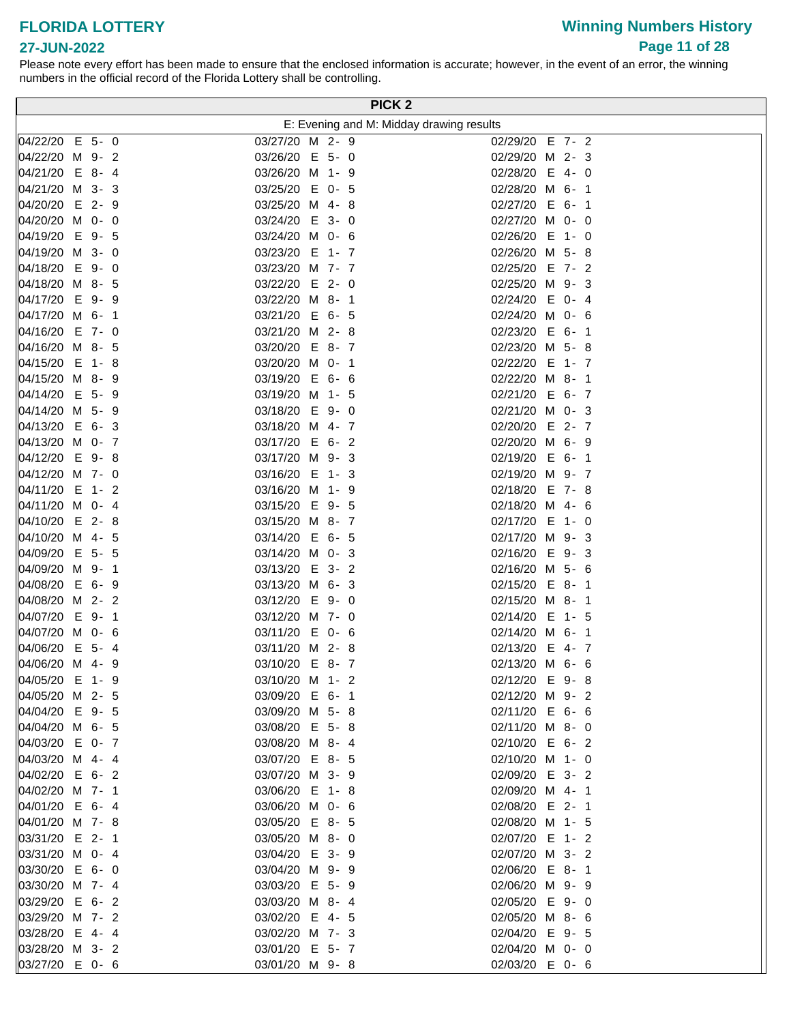# **Winning Numbers History Page 11 of 28**

#### **27-JUN-2022**

|                                    |  |                                   |         |  | PICK <sub>2</sub>                        |
|------------------------------------|--|-----------------------------------|---------|--|------------------------------------------|
|                                    |  |                                   |         |  | E: Evening and M: Midday drawing results |
| 04/22/20 E 5- 0                    |  | 03/27/20 M 2- 9                   |         |  | 02/29/20 E 7- 2                          |
| 04/22/20 M 9- 2                    |  | 03/26/20 E 5- 0                   |         |  | 02/29/20 M 2- 3                          |
| 04/21/20 E 8-4                     |  | 03/26/20 M 1- 9                   |         |  | 02/28/20 E 4- 0                          |
| 04/21/20 M 3- 3                    |  | 03/25/20 E 0- 5                   |         |  | 02/28/20 M 6- 1                          |
| 04/20/20 E 2- 9                    |  | 03/25/20 M 4-8                    |         |  | 02/27/20 E 6- 1                          |
| 04/20/20 M 0- 0                    |  | 03/24/20 E 3- 0                   |         |  | 02/27/20 M 0- 0                          |
| 04/19/20 E 9- 5                    |  | 03/24/20 M 0- 6                   |         |  | 02/26/20 E 1- 0                          |
| 04/19/20 M 3- 0                    |  | 03/23/20 E 1- 7                   |         |  | 02/26/20 M 5-8                           |
| 04/18/20 E 9-0                     |  | 03/23/20 M 7- 7                   |         |  | 02/25/20 E 7- 2                          |
| 04/18/20 M 8- 5                    |  | 03/22/20 E 2- 0                   |         |  | 02/25/20 M 9- 3                          |
| 04/17/20 E 9-9                     |  | 03/22/20 M 8- 1                   |         |  | 02/24/20 E 0- 4                          |
| 04/17/20 M 6- 1                    |  | 03/21/20 E 6- 5                   |         |  | 02/24/20 M 0- 6                          |
| 04/16/20 E 7- 0                    |  | 03/21/20 M 2-8                    |         |  | 02/23/20 E 6- 1                          |
| 04/16/20 M 8- 5                    |  | 03/20/20 E 8-7                    |         |  | 02/23/20 M 5- 8                          |
| 04/15/20 E 1-8                     |  | 03/20/20 M 0- 1                   |         |  | 02/22/20 E 1- 7                          |
| 04/15/20 M 8- 9                    |  | 03/19/20 E 6- 6                   |         |  | 02/22/20 M 8- 1                          |
| 04/14/20 E 5- 9                    |  | 03/19/20 M                        | $1 - 5$ |  | 02/21/20 E 6- 7                          |
| 04/14/20 M 5- 9                    |  | 03/18/20 E 9-0                    |         |  | 02/21/20 M 0- 3                          |
| 04/13/20 E 6- 3<br>04/13/20 M 0- 7 |  | 03/18/20 M 4- 7<br>03/17/20 E 6-2 |         |  | 02/20/20 E 2- 7<br>02/20/20 M 6- 9       |
| 04/12/20 E 9-8                     |  | 03/17/20 M 9- 3                   |         |  | 02/19/20 E 6- 1                          |
| 04/12/20 M 7- 0                    |  | 03/16/20 E 1-3                    |         |  | 02/19/20 M 9- 7                          |
| 04/11/20 E 1- 2                    |  | 03/16/20 M 1- 9                   |         |  | 02/18/20 E 7-8                           |
| 04/11/20 M 0- 4                    |  | 03/15/20 E 9- 5                   |         |  | 02/18/20 M 4- 6                          |
| 04/10/20 E 2-8                     |  | 03/15/20 M 8- 7                   |         |  | 02/17/20 E 1- 0                          |
| 04/10/20 M 4- 5                    |  | 03/14/20 E 6- 5                   |         |  | 02/17/20 M 9- 3                          |
| 04/09/20 E 5- 5                    |  | 03/14/20 M 0- 3                   |         |  | 02/16/20 E 9-3                           |
| 04/09/20 M 9- 1                    |  | 03/13/20 E 3- 2                   |         |  | 02/16/20 M 5- 6                          |
| 04/08/20 E 6- 9                    |  | 03/13/20 M 6- 3                   |         |  | 02/15/20 E 8- 1                          |
| 04/08/20 M 2- 2                    |  | 03/12/20 E                        | $9 - 0$ |  | 02/15/20 M 8- 1                          |
| 04/07/20 E 9- 1                    |  | 03/12/20 M 7- 0                   |         |  | 02/14/20 E 1- 5                          |
| 04/07/20 M 0- 6                    |  | 03/11/20 E 0- 6                   |         |  | 02/14/20 M 6- 1                          |
| 04/06/20 E 5- 4                    |  | 03/11/20 M 2-8                    |         |  | 02/13/20 E 4- 7                          |
| 04/06/20 M 4-9                     |  | 03/10/20 E 8-7                    |         |  | 02/13/20 M 6- 6                          |
| 04/05/20 E 1-9                     |  | 03/10/20 M 1- 2                   |         |  | 02/12/20 E 9-8                           |
| 04/05/20 M 2- 5                    |  | 03/09/20 E 6- 1                   |         |  | 02/12/20 M 9- 2                          |
| 04/04/20 E 9- 5                    |  | 03/09/20 M 5- 8                   |         |  | 02/11/20 E 6- 6                          |
| 04/04/20 M 6- 5                    |  | 03/08/20 E 5-8                    |         |  | 02/11/20 M 8- 0                          |
| 04/03/20 E 0- 7<br>04/03/20 M 4-4  |  | 03/08/20 M 8-4<br>03/07/20 E 8- 5 |         |  | 02/10/20 E 6- 2<br>02/10/20 M 1- 0       |
| 04/02/20 E 6- 2                    |  | 03/07/20 M 3- 9                   |         |  | 02/09/20 E 3- 2                          |
| 04/02/20 M 7- 1                    |  | 03/06/20 E 1-8                    |         |  | 02/09/20 M 4- 1                          |
| 04/01/20 E 6-4                     |  | 03/06/20 M 0- 6                   |         |  | 02/08/20 E 2- 1                          |
| 04/01/20 M 7-8                     |  | 03/05/20 E 8- 5                   |         |  | 02/08/20 M 1- 5                          |
| 03/31/20 E 2- 1                    |  | 03/05/20 M 8- 0                   |         |  | 02/07/20 E 1-2                           |
| 03/31/20 M 0- 4                    |  | 03/04/20 E 3- 9                   |         |  | 02/07/20 M 3- 2                          |
| 03/30/20 E 6- 0                    |  | 03/04/20 M 9- 9                   |         |  | 02/06/20 E 8- 1                          |
| 03/30/20 M 7- 4                    |  | 03/03/20 E 5- 9                   |         |  | 02/06/20 M 9- 9                          |
| 03/29/20 E 6- 2                    |  | 03/03/20 M 8- 4                   |         |  | 02/05/20 E 9- 0                          |
| 03/29/20 M 7- 2                    |  | 03/02/20 E 4- 5                   |         |  | 02/05/20 M 8- 6                          |
| 03/28/20 E 4-4                     |  | 03/02/20 M 7- 3                   |         |  | 02/04/20 E 9- 5                          |
| 03/28/20 M 3- 2                    |  | 03/01/20 E 5- 7                   |         |  | 02/04/20 M 0- 0                          |
| 03/27/20 E 0- 6                    |  | 03/01/20 M 9-8                    |         |  | 02/03/20 E 0- 6                          |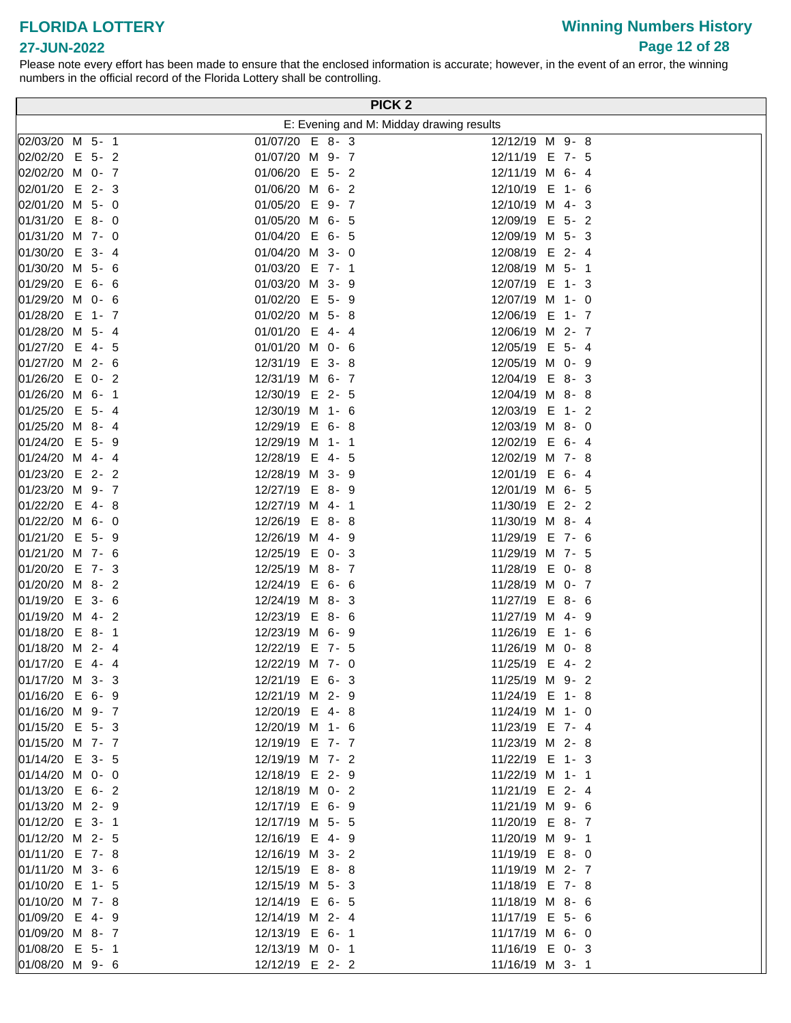# **27-JUN-2022**

|                                   | PICK <sub>2</sub>                        |                                   |
|-----------------------------------|------------------------------------------|-----------------------------------|
|                                   | E: Evening and M: Midday drawing results |                                   |
| 02/03/20 M 5- 1                   | 01/07/20 E 8-3                           | 12/12/19 M 9-8                    |
| 02/02/20 E 5- 2                   | 01/07/20 M 9- 7                          | 12/11/19 E 7- 5                   |
| 02/02/20 M 0- 7                   | 01/06/20 E 5-2                           | 12/11/19 M 6- 4                   |
| 02/01/20 E 2-3                    | 01/06/20 M 6- 2                          | 12/10/19 E 1- 6                   |
| 02/01/20 M 5- 0                   | 01/05/20 E 9- 7                          | 12/10/19 M 4-3                    |
| 01/31/20 E 8-0                    | 01/05/20 M 6- 5                          | 12/09/19 E 5- 2                   |
| 01/31/20 M 7- 0                   | 01/04/20 E 6- 5                          | 12/09/19 M 5- 3                   |
| 01/30/20 E 3- 4                   | 01/04/20 M 3- 0                          | 12/08/19 E 2- 4                   |
| 01/30/20 M 5- 6                   | 01/03/20 E 7- 1                          | 12/08/19 M 5- 1                   |
| 01/29/20 E 6- 6                   | 01/03/20 M 3- 9                          | 12/07/19 E 1-3                    |
| 01/29/20 M 0- 6                   | 01/02/20 E 5- 9                          | 12/07/19 M 1- 0                   |
| 01/28/20 E 1- 7                   | 01/02/20 M 5- 8                          | 12/06/19 E 1- 7                   |
| 01/28/20 M 5- 4                   | 01/01/20 E 4- 4                          | 12/06/19 M 2- 7                   |
| 01/27/20 E 4- 5                   | 01/01/20 M 0- 6                          | 12/05/19 E 5- 4                   |
| 01/27/20 M 2- 6                   | 12/31/19 E 3-8                           | 12/05/19 M 0- 9                   |
| 01/26/20 E 0- 2                   | 12/31/19 M 6- 7                          | 12/04/19 E 8-3                    |
| 01/26/20 M 6- 1                   | 12/30/19 E 2- 5                          | 12/04/19 M 8-8                    |
| 01/25/20 E 5- 4                   | 12/30/19 M 1- 6                          | 12/03/19 E 1- 2                   |
| 01/25/20 M 8- 4                   | 12/29/19 E 6-8                           | 12/03/19 M 8- 0                   |
| 01/24/20 E 5- 9                   | 12/29/19 M 1- 1                          | 12/02/19 E 6- 4                   |
| 01/24/20 M 4- 4                   | 12/28/19 E 4- 5                          | 12/02/19 M 7-8                    |
| 01/23/20 E 2- 2                   | 12/28/19 M 3- 9                          | 12/01/19 E 6-4                    |
| 01/23/20 M 9- 7                   | 12/27/19 E 8- 9                          | 12/01/19 M 6- 5                   |
| 01/22/20 E 4-8                    | 12/27/19 M 4- 1                          | 11/30/19 E 2-2                    |
| 01/22/20 M 6- 0                   | 12/26/19 E 8-8                           | 11/30/19 M 8- 4                   |
| 01/21/20 E 5- 9                   | 12/26/19 M 4- 9                          | 11/29/19 E 7- 6                   |
| 01/21/20 M 7- 6                   | 12/25/19 E 0- 3                          | 11/29/19 M 7- 5                   |
| 01/20/20 E 7- 3                   | 12/25/19 M 8- 7                          | 11/28/19 E 0-8                    |
| 01/20/20 M 8- 2                   | 12/24/19 E 6- 6                          | 11/28/19 M 0- 7                   |
| 01/19/20 E 3- 6                   | 12/24/19 M 8- 3                          | 11/27/19 E 8- 6                   |
| 01/19/20 M 4- 2                   | 12/23/19 E 8- 6                          | 11/27/19 M 4- 9                   |
| 01/18/20 E 8- 1                   | 12/23/19 M 6- 9                          | 11/26/19 E 1- 6                   |
| 01/18/20 M 2- 4<br>01/17/20 E 4-4 | 12/22/19 E 7- 5                          | 11/26/19 M 0-8                    |
| 01/17/20 M 3- 3                   | 12/22/19 M 7- 0<br>12/21/19 E 6- 3       | 11/25/19 E 4-2<br>11/25/19 M 9- 2 |
| 01/16/20 E 6- 9                   | 12/21/19 M 2- 9                          | 11/24/19 E 1-8                    |
| 01/16/20 M 9- 7                   | 12/20/19 E 4-8                           | 11/24/19 M 1- 0                   |
| 01/15/20 E 5-3                    | 12/20/19 M 1- 6                          | 11/23/19 E 7- 4                   |
| 01/15/20 M 7- 7                   | 12/19/19 E 7- 7                          | 11/23/19 M 2-8                    |
| 01/14/20 E 3- 5                   | 12/19/19 M 7- 2                          | 11/22/19 E 1- 3                   |
| 01/14/20 M 0- 0                   | 12/18/19 E 2- 9                          | 11/22/19 M 1- 1                   |
| 01/13/20 E 6- 2                   | 12/18/19 M 0- 2                          | 11/21/19 E 2- 4                   |
| 01/13/20 M 2- 9                   | 12/17/19 E 6- 9                          | 11/21/19 M 9- 6                   |
| 01/12/20 E 3- 1                   | 12/17/19 M 5- 5                          | 11/20/19 E 8-7                    |
| 01/12/20 M 2- 5                   | 12/16/19 E 4- 9                          | 11/20/19 M 9- 1                   |
| 01/11/20 E 7-8                    | 12/16/19 M 3- 2                          | 11/19/19 E 8-0                    |
| 01/11/20 M 3- 6                   | 12/15/19 E 8-8                           | 11/19/19 M 2- 7                   |
| 01/10/20 E 1- 5                   | 12/15/19 M 5- 3                          | 11/18/19 E 7-8                    |
| $ 01/10/20 \, M \, 7 - 8$         | 12/14/19 E 6- 5                          | 11/18/19 M 8- 6                   |
| 01/09/20 E 4-9                    | 12/14/19 M 2- 4                          | 11/17/19 E 5- 6                   |
| 01/09/20 M 8- 7                   | 12/13/19 E 6- 1                          | 11/17/19 M 6- 0                   |
| 01/08/20 E 5- 1                   | 12/13/19 M 0- 1                          | 11/16/19 E 0-3                    |
| 01/08/20 M 9- 6                   | 12/12/19 E 2-2                           | 11/16/19 M 3- 1                   |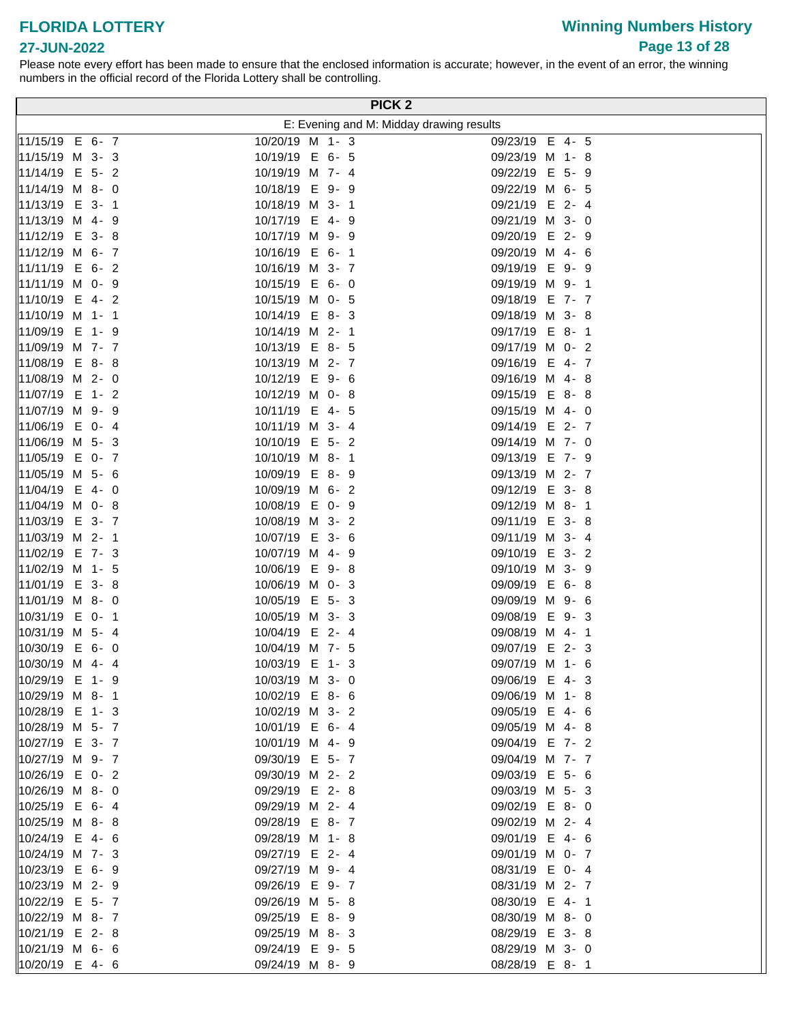# **Winning Numbers History Page 13 of 28**

### **27-JUN-2022**

|                                    | PICK <sub>2</sub>                        |                                    |  |
|------------------------------------|------------------------------------------|------------------------------------|--|
|                                    | E: Evening and M: Midday drawing results |                                    |  |
| 11/15/19 E 6- 7                    | 10/20/19 M 1- 3                          | 09/23/19 E 4- 5                    |  |
| 11/15/19 M 3-3                     | 10/19/19 E 6- 5                          | 09/23/19 M 1-8                     |  |
| 11/14/19 E 5- 2                    | 10/19/19 M 7- 4                          | 09/22/19 E 5- 9                    |  |
| 11/14/19 M 8- 0                    | 10/18/19 E 9- 9                          | 09/22/19 M 6- 5                    |  |
| 11/13/19 E 3- 1                    | 10/18/19 M 3- 1                          | 09/21/19 E 2- 4                    |  |
| 11/13/19 M 4-9                     | 10/17/19 E 4- 9                          | 09/21/19 M 3- 0                    |  |
| 11/12/19 E 3-8                     | 10/17/19 M 9- 9                          | 09/20/19 E 2- 9                    |  |
| 11/12/19 M 6- 7                    | 10/16/19 E 6-1                           | 09/20/19 M 4- 6                    |  |
| 11/11/19 E 6- 2                    | 10/16/19 M 3- 7                          | 09/19/19 E 9-9                     |  |
| 11/11/19 M 0- 9                    | 10/15/19 E 6- 0                          | 09/19/19 M 9-1                     |  |
| 11/10/19 E 4-2                     | 10/15/19 M 0- 5                          | 09/18/19 E 7- 7                    |  |
| 11/10/19 M 1- 1                    | 10/14/19 E 8-3                           | 09/18/19 M 3-8                     |  |
| 11/09/19 E 1-9                     | 10/14/19 M 2- 1                          | 09/17/19 E 8-1                     |  |
| 11/09/19 M 7- 7                    | 10/13/19 E 8- 5                          | 09/17/19 M 0- 2                    |  |
| 11/08/19 E 8-8                     | 10/13/19 M 2- 7                          | 09/16/19 E 4-7                     |  |
| 11/08/19 M 2- 0                    | 10/12/19 E 9- 6                          | 09/16/19 M 4-8                     |  |
| 11/07/19 E 1- 2                    | 10/12/19 M 0- 8                          | 09/15/19 E 8-8                     |  |
| 11/07/19 M 9- 9                    | 10/11/19 E<br>4-5                        | 09/15/19 M 4- 0                    |  |
| 11/06/19 E 0- 4                    | 10/11/19 M 3- 4                          | 09/14/19 E 2-7                     |  |
| 11/06/19 M 5- 3                    | 10/10/19 E 5-2                           | 09/14/19 M 7- 0                    |  |
| 11/05/19 E 0- 7                    | 10/10/19 M 8- 1                          | 09/13/19 E 7- 9                    |  |
| 11/05/19 M 5- 6                    | 10/09/19 E 8-9                           | 09/13/19 M 2- 7                    |  |
| 11/04/19 E 4- 0                    | 10/09/19 M 6- 2                          | 09/12/19 E 3-8                     |  |
| 11/04/19 M 0- 8                    | 10/08/19 E 0- 9                          | 09/12/19 M 8- 1                    |  |
| 11/03/19 E 3- 7                    | 10/08/19 M 3- 2                          | 09/11/19 E 3-8                     |  |
| 11/03/19 M 2- 1                    | 10/07/19 E 3- 6                          | 09/11/19 M 3- 4                    |  |
| 11/02/19 E 7-3                     | 10/07/19 M 4- 9                          | 09/10/19 E 3- 2                    |  |
| 11/02/19 M 1- 5                    | 10/06/19 E 9-8                           | 09/10/19 M 3- 9                    |  |
| 11/01/19 E 3-8                     | 10/06/19 M 0- 3                          | 09/09/19 E 6-8                     |  |
| 11/01/19 M 8- 0                    | 10/05/19 E 5-3                           | 09/09/19 M 9- 6                    |  |
| 10/31/19 E 0- 1                    | 10/05/19 M 3- 3                          | E 9-3<br>09/08/19                  |  |
| 10/31/19 M 5- 4                    | 10/04/19 E 2- 4                          | 09/08/19 M 4- 1                    |  |
| 10/30/19 E 6- 0                    | 10/04/19 M 7- 5                          | 09/07/19 E 2-3                     |  |
| 10/30/19 M 4-4                     | 10/03/19 E 1-3                           | 09/07/19 M 1- 6                    |  |
| 10/29/19 E 1- 9                    | 10/03/19 M 3- 0                          | 09/06/19 E 4-3                     |  |
| 10/29/19 M 8-1                     | 10/02/19 E 8- 6                          | 09/06/19 M 1-8                     |  |
| 10/28/19 E 1-3                     | 10/02/19 M 3- 2                          | 09/05/19 E 4- 6                    |  |
| 10/28/19 M 5- 7                    | 10/01/19 E 6-4                           | 09/05/19 M 4-8                     |  |
| 10/27/19 E 3- 7                    | 10/01/19 M 4- 9                          | 09/04/19 E 7- 2                    |  |
| 10/27/19 M 9- 7                    | 09/30/19 E 5-7                           | 09/04/19 M 7- 7                    |  |
| 10/26/19 E 0-2                     | 09/30/19 M 2- 2                          | 09/03/19 E 5- 6                    |  |
| 10/26/19 M 8- 0                    | 09/29/19 E 2-8                           | 09/03/19 M 5- 3                    |  |
| 10/25/19 E 6- 4                    | 09/29/19 M 2- 4                          | 09/02/19 E 8-0                     |  |
| $ 10/25/19 \, M \, 8 - 8$          | 09/28/19 E 8-7                           | 09/02/19 M 2- 4                    |  |
| 10/24/19 E 4- 6                    | 09/28/19 M 1-8                           | 09/01/19 E 4- 6                    |  |
| 10/24/19 M 7- 3                    | 09/27/19 E 2-4                           | 09/01/19 M 0- 7                    |  |
| 10/23/19 E 6- 9<br>10/23/19 M 2- 9 | 09/27/19 M 9- 4                          | 08/31/19 E 0- 4<br>08/31/19 M 2- 7 |  |
| 10/22/19 E 5- 7                    | 09/26/19 E 9-7                           |                                    |  |
| 10/22/19 M 8- 7                    | 09/26/19 M 5-8<br>09/25/19 E 8- 9        | 08/30/19 E 4- 1<br>08/30/19 M 8- 0 |  |
| 10/21/19 E 2-8                     | 09/25/19 M 8-3                           | 08/29/19 E 3-8                     |  |
| 10/21/19 M 6- 6                    | 09/24/19 E 9- 5                          | 08/29/19 M 3- 0                    |  |
| 10/20/19 E 4- 6                    | 09/24/19 M 8- 9                          | 08/28/19 E 8-1                     |  |
|                                    |                                          |                                    |  |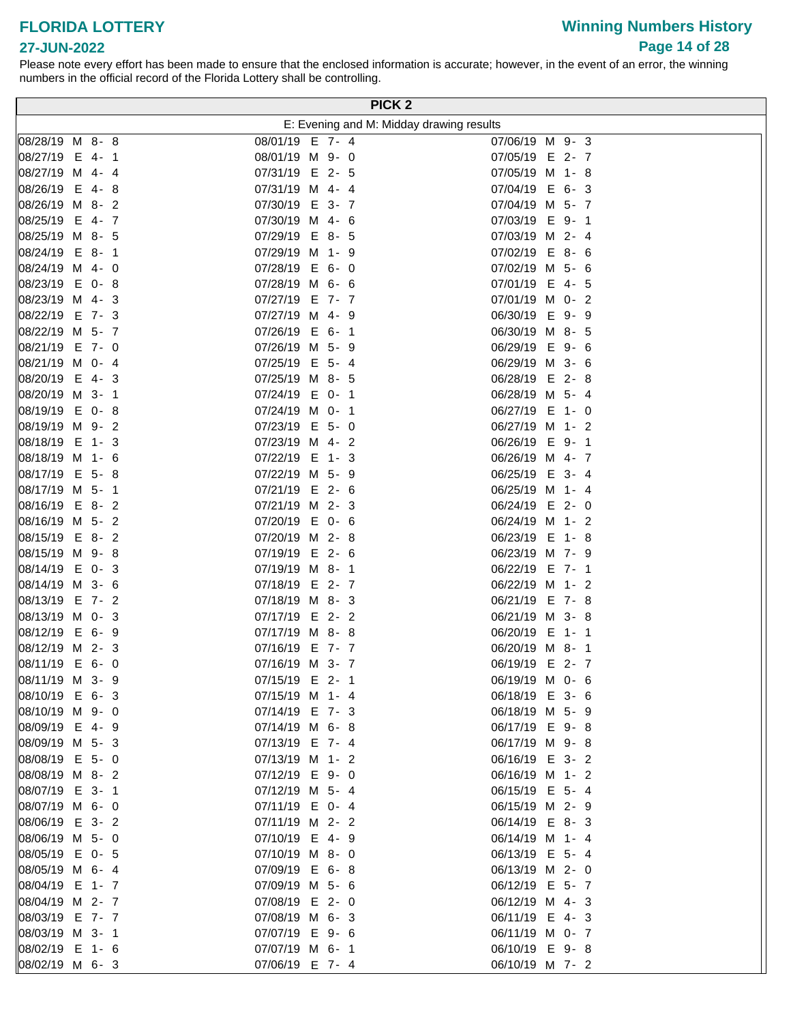# **Winning Numbers History Page 14 of 28**

### **27-JUN-2022**

|                                   |                                   |  | PICK <sub>2</sub>                        |
|-----------------------------------|-----------------------------------|--|------------------------------------------|
|                                   |                                   |  | E: Evening and M: Midday drawing results |
| 08/28/19 M 8-8                    | 08/01/19 E 7- 4                   |  | 07/06/19 M 9-3                           |
| 08/27/19 E 4-1                    | 08/01/19 M 9- 0                   |  | 07/05/19 E 2-7                           |
| 08/27/19 M 4-4                    | 07/31/19 E 2- 5                   |  | 07/05/19 M 1-8                           |
| 08/26/19 E 4-8                    | 07/31/19 M 4- 4                   |  | 07/04/19 E 6-3                           |
| 08/26/19 M 8-2                    | 07/30/19 E 3- 7                   |  | 07/04/19 M 5- 7                          |
| 08/25/19 E 4-7                    | 07/30/19 M 4- 6                   |  | 07/03/19 E 9-1                           |
| 08/25/19 M 8- 5                   | 07/29/19 E 8- 5                   |  | 07/03/19 M 2- 4                          |
| 08/24/19 E 8-1                    | 07/29/19 M 1- 9                   |  | 07/02/19 E 8- 6                          |
| 08/24/19 M 4- 0                   | 07/28/19 E 6- 0                   |  | 07/02/19 M 5- 6                          |
| 08/23/19 E 0-8                    | 07/28/19 M 6- 6                   |  | 07/01/19 E 4- 5                          |
| 08/23/19 M 4-3                    | 07/27/19 E 7- 7                   |  | 07/01/19 M 0- 2                          |
| 08/22/19 E 7- 3                   | 07/27/19 M 4- 9                   |  | 06/30/19 E 9-9                           |
| 08/22/19 M 5- 7                   | 07/26/19 E 6- 1                   |  | 06/30/19 M 8- 5                          |
| 08/21/19 E 7- 0                   | 07/26/19 M 5- 9                   |  | 06/29/19 E 9- 6                          |
| 08/21/19 M 0- 4                   | 07/25/19 E 5- 4                   |  | 06/29/19 M 3- 6                          |
| 08/20/19 E 4-3                    | 07/25/19 M 8- 5                   |  | 06/28/19 E<br>2-8                        |
| 08/20/19 M 3- 1                   | 07/24/19 E 0- 1                   |  | 06/28/19 M 5- 4                          |
| 08/19/19 E 0-8                    | 07/24/19 M 0- 1                   |  | 06/27/19 E 1- 0                          |
| 08/19/19 M 9-2                    | 07/23/19 E 5- 0                   |  | 06/27/19 M 1- 2                          |
| 08/18/19 E 1-3                    | 07/23/19 M 4- 2                   |  | 06/26/19 E 9-1                           |
| 08/18/19 M 1- 6                   | 07/22/19 E 1-3                    |  | 06/26/19 M 4- 7                          |
| 08/17/19 E 5-8                    | 07/22/19 M 5- 9                   |  | 06/25/19 E 3- 4                          |
| 08/17/19 M 5- 1                   | 07/21/19 E 2- 6                   |  | 06/25/19 M 1- 4                          |
| 08/16/19 E 8-2                    | 07/21/19 M 2- 3                   |  | 06/24/19 E 2- 0                          |
| 08/16/19 M 5- 2                   | 07/20/19 E 0- 6                   |  | 06/24/19 M 1- 2                          |
| 08/15/19 E 8-2                    | 07/20/19 M 2-8                    |  | 06/23/19 E 1-8                           |
| 08/15/19 M 9-8                    | 07/19/19 E 2- 6                   |  | 06/23/19 M 7- 9                          |
| 08/14/19 E 0-3<br>08/14/19 M 3- 6 | 07/19/19 M 8- 1<br>07/18/19 E 2-7 |  | 06/22/19 E 7- 1<br>06/22/19 M 1- 2       |
| 08/13/19 E 7- 2                   | 07/18/19 M 8-3                    |  | 06/21/19 E 7-8                           |
| 08/13/19 M 0- 3                   | 07/17/19 E 2- 2                   |  | 06/21/19 M 3- 8                          |
| 08/12/19 E 6- 9                   | 07/17/19 M 8-8                    |  | 06/20/19 E 1-1                           |
| 08/12/19 M 2- 3                   | 07/16/19 E 7- 7                   |  | 06/20/19 M 8- 1                          |
| 08/11/19 E 6- 0                   | 07/16/19 M 3- 7                   |  | 06/19/19 E 2-7                           |
| 08/11/19 M 3- 9                   | 07/15/19 E 2- 1                   |  | 06/19/19 M 0- 6                          |
| 08/10/19 E 6-3                    | 07/15/19 M 1- 4                   |  | 06/18/19 E 3- 6                          |
| 08/10/19 M 9- 0                   | 07/14/19 E 7- 3                   |  | 06/18/19 M 5- 9                          |
| 08/09/19 E 4-9                    | 07/14/19 M 6-8                    |  | 06/17/19 E 9-8                           |
| 08/09/19 M 5- 3                   | 07/13/19 E 7- 4                   |  | 06/17/19 M 9-8                           |
| 08/08/19 E 5- 0                   | 07/13/19 M 1- 2                   |  | 06/16/19 E 3- 2                          |
| 08/08/19 M 8-2                    | 07/12/19 E 9-0                    |  | 06/16/19 M 1- 2                          |
| 08/07/19 E 3- 1                   | 07/12/19 M 5- 4                   |  | 06/15/19 E 5-4                           |
| 08/07/19 M 6- 0                   | 07/11/19 E 0- 4                   |  | 06/15/19 M 2- 9                          |
| 08/06/19 E 3- 2                   | 07/11/19 M 2- 2                   |  | 06/14/19 E 8-3                           |
| 08/06/19 M 5- 0                   | 07/10/19 E 4-9                    |  | 06/14/19 M 1- 4                          |
| 08/05/19 E 0- 5                   | 07/10/19 M 8- 0                   |  | 06/13/19 E 5-4                           |
| 08/05/19 M 6-4                    | 07/09/19 E 6-8                    |  | 06/13/19 M 2- 0                          |
| 08/04/19 E 1- 7                   | 07/09/19 M 5- 6                   |  | 06/12/19 E 5-7                           |
| 08/04/19 M 2- 7                   | 07/08/19 E 2- 0                   |  | 06/12/19 M 4-3                           |
| 08/03/19 E 7- 7                   | 07/08/19 M 6- 3                   |  | 06/11/19 E 4-3                           |
| 08/03/19 M 3- 1                   | 07/07/19 E 9- 6                   |  | 06/11/19 M 0- 7                          |
| 08/02/19 E 1- 6                   | 07/07/19 M 6- 1                   |  | 06/10/19 E 9-8                           |
| 08/02/19 M 6- 3                   | 07/06/19 E 7- 4                   |  | 06/10/19 M 7- 2                          |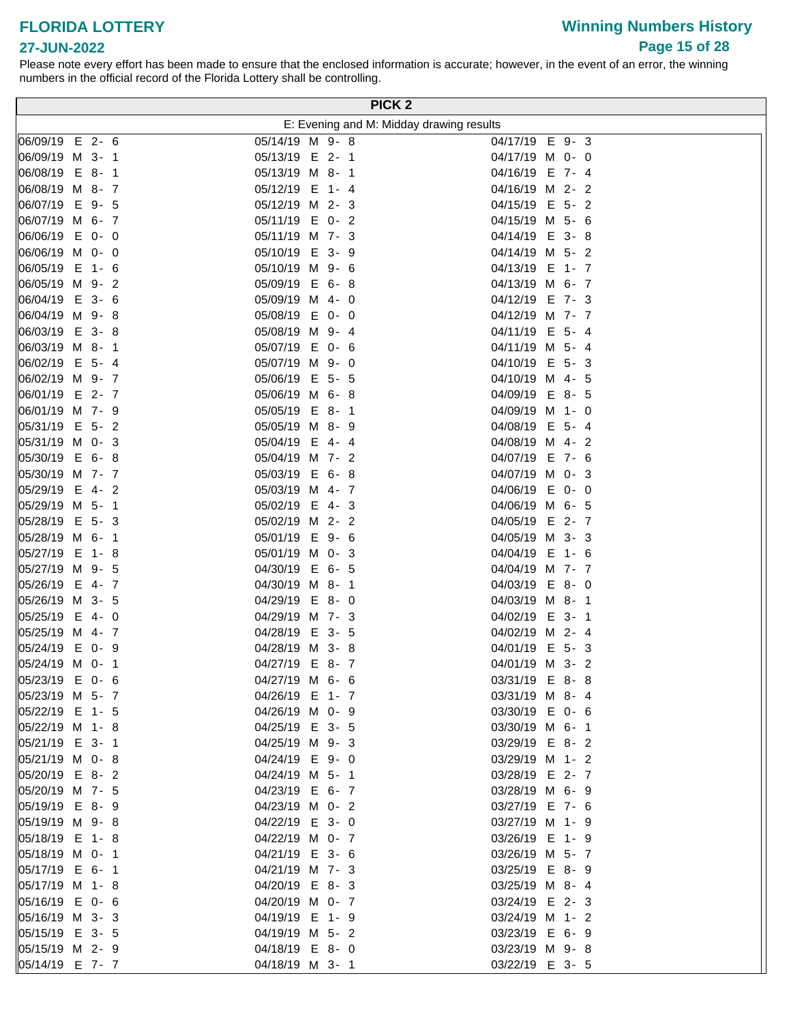# **27-JUN-2022**

Please note every effort has been made to ensure that the enclosed information is accurate; however, in the event of an error, the winning numbers in the official record of the Florida Lottery shall be controlling.

|                                    | PICK <sub>2</sub>                        |                                    |
|------------------------------------|------------------------------------------|------------------------------------|
|                                    | E: Evening and M: Midday drawing results |                                    |
| 06/09/19 E 2- 6                    | 05/14/19 M 9-8                           | 04/17/19 E 9-3                     |
| 06/09/19 M 3- 1                    | 05/13/19 E 2-1                           | 04/17/19 M 0- 0                    |
| 06/08/19 E 8-1                     | 05/13/19 M 8- 1                          | 04/16/19 E 7- 4                    |
| 06/08/19 M 8- 7                    | 05/12/19 E 1- 4                          | 04/16/19 M 2- 2                    |
| 06/07/19 E 9- 5                    | 05/12/19 M 2- 3                          | 04/15/19 E 5-2                     |
| 06/07/19 M 6- 7                    | 05/11/19 E 0-2                           | 04/15/19 M 5- 6                    |
| 06/06/19 E 0- 0                    | 05/11/19 M 7- 3                          | 04/14/19 E 3-8                     |
| 06/06/19 M 0- 0                    | 05/10/19 E 3- 9                          | 04/14/19 M 5- 2                    |
| 06/05/19 E 1- 6                    | 05/10/19 M 9- 6                          | 04/13/19 E 1- 7                    |
| 06/05/19 M 9- 2                    | 05/09/19 E<br>$6 - 8$                    | 04/13/19 M 6- 7                    |
| 06/04/19 E 3- 6                    | 05/09/19 M<br>$4 - 0$                    | 04/12/19 E 7- 3                    |
| 06/04/19 M 9-8                     | 05/08/19 E<br>$0 - 0$                    | 04/12/19 M 7- 7                    |
| 06/03/19 E 3-8                     | 05/08/19 M 9- 4                          | 04/11/19 E 5- 4                    |
| 06/03/19 M 8- 1                    | 05/07/19 E 0- 6                          | 04/11/19 M 5- 4                    |
| 06/02/19 E 5- 4                    | 05/07/19 M 9- 0                          | 04/10/19 E 5-3                     |
| 06/02/19 M 9- 7                    | 05/06/19 E 5- 5                          | 04/10/19 M 4- 5                    |
| 06/01/19 E 2- 7                    | 05/06/19 M 6-8                           | 04/09/19 E 8- 5                    |
| 06/01/19 M 7- 9                    | 05/05/19 E 8-1                           | 04/09/19 M 1- 0                    |
| 05/31/19 E 5- 2                    | 05/05/19 M 8- 9                          | 04/08/19 E 5- 4                    |
| 05/31/19 M 0- 3                    | 05/04/19 E 4-4                           | 04/08/19 M 4-2                     |
| 05/30/19 E 6-8                     | 05/04/19 M 7- 2                          | 04/07/19 E 7- 6                    |
| 05/30/19 M 7- 7                    | 05/03/19 E 6-8                           | 04/07/19 M 0- 3                    |
| 05/29/19 E 4-2                     | 05/03/19 M 4- 7                          | 04/06/19 E 0- 0                    |
| 05/29/19 M 5- 1                    | 05/02/19 E 4-3                           | 04/06/19 M 6- 5                    |
| 05/28/19 E 5-3                     | 05/02/19 M 2- 2                          | 04/05/19 E 2- 7                    |
| 05/28/19 M 6- 1                    | 05/01/19 E 9- 6                          | 04/05/19 M 3- 3                    |
| 05/27/19 E 1-8                     | 05/01/19 M 0- 3                          | 04/04/19 E 1- 6                    |
| 05/27/19 M 9- 5                    | 04/30/19 E 6- 5                          | 04/04/19 M 7- 7                    |
| 05/26/19 E 4- 7                    | 04/30/19 M 8- 1                          | 04/03/19 E 8-0                     |
| 05/26/19 M 3- 5                    | 04/29/19 E 8-0                           | 04/03/19 M 8- 1                    |
| 05/25/19 E 4- 0                    | 04/29/19 M 7- 3                          | 04/02/19 E 3- 1<br>04/02/19 M 2- 4 |
| 05/25/19 M 4- 7<br>05/24/19 E 0- 9 | 04/28/19 E 3- 5                          |                                    |
| 05/24/19 M 0- 1                    | 04/28/19 M 3-8<br>04/27/19 E 8-7         | 04/01/19 E 5- 3<br>04/01/19 M 3- 2 |
| 05/23/19 E 0- 6                    | 04/27/19 M 6- 6                          | 03/31/19 E 8-8                     |
| 05/23/19 M 5- 7                    | 04/26/19 E 1-7                           | 03/31/19 M 8-4                     |
| 05/22/19 E 1- 5                    | 04/26/19 M 0- 9                          | 03/30/19 E 0- 6                    |
| 05/22/19 M 1-8                     | 04/25/19 E 3- 5                          | 03/30/19 M 6- 1                    |
| 05/21/19 E 3- 1                    | 04/25/19 M 9- 3                          | 03/29/19 E 8-2                     |
| 05/21/19 M 0-8                     | 04/24/19 E 9-0                           | 03/29/19 M 1- 2                    |
| 05/20/19 E 8-2                     | 04/24/19 M 5- 1                          | 03/28/19 E 2-7                     |
| 05/20/19 M 7- 5                    | 04/23/19 E 6- 7                          | 03/28/19 M 6- 9                    |
| 05/19/19 E 8-9                     | 04/23/19 M 0- 2                          | 03/27/19 E 7- 6                    |
| 05/19/19 M 9-8                     | 04/22/19 E 3- 0                          | 03/27/19 M 1- 9                    |
| 05/18/19 E 1-8                     | 04/22/19 M 0- 7                          | 03/26/19 E 1- 9                    |
| 05/18/19 M 0- 1                    | 04/21/19 E 3- 6                          | 03/26/19 M 5- 7                    |
| 05/17/19 E 6- 1                    | 04/21/19 M 7- 3                          | 03/25/19 E 8-9                     |
| 05/17/19 M 1-8                     | 04/20/19 E 8-3                           | 03/25/19 M 8-4                     |
| 05/16/19 E 0- 6                    | 04/20/19 M 0- 7                          | 03/24/19 E 2-3                     |
| 05/16/19 M 3- 3                    | 04/19/19 E 1- 9                          | 03/24/19 M 1- 2                    |
| 05/15/19 E 3- 5                    | 04/19/19 M 5- 2                          | 03/23/19 E 6- 9                    |
| 05/15/19 M 2- 9                    | 04/18/19 E 8-0                           | 03/23/19 M 9-8                     |
| 05/14/19 E 7- 7                    | 04/18/19 M 3- 1                          | 03/22/19 E 3- 5                    |

**Winning Numbers History Page 15 of 28**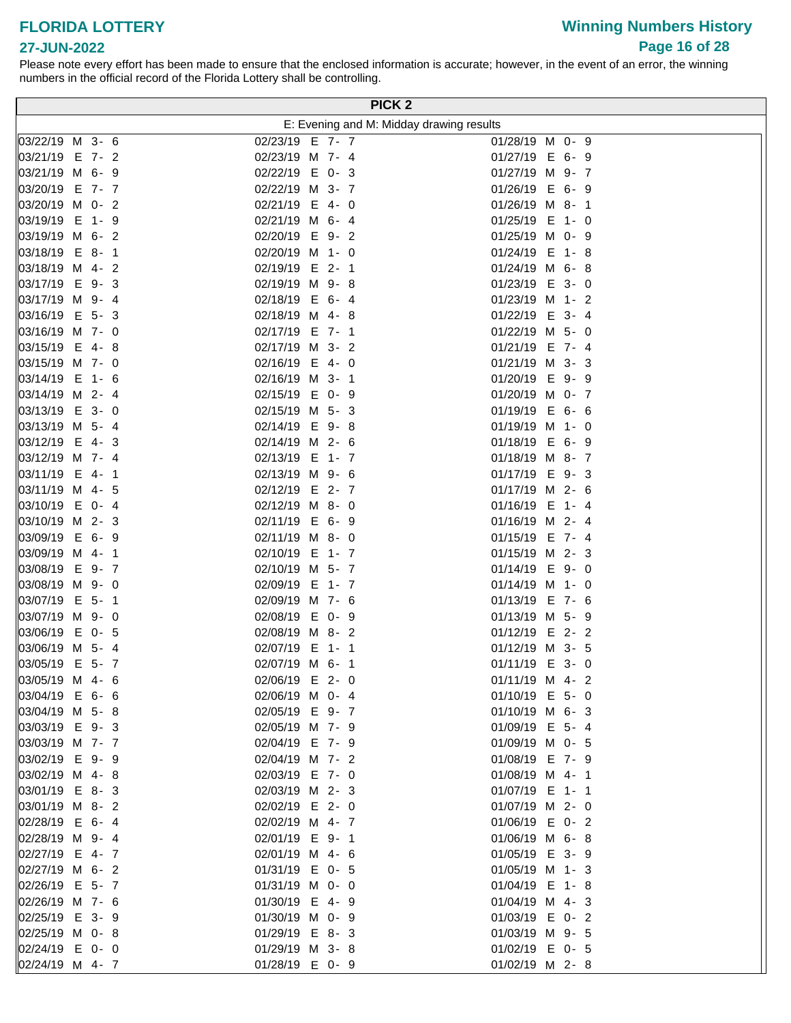# **Winning Numbers History Page 16 of 28**

### **27-JUN-2022**

|                                   |                                    |  | PICK <sub>2</sub>                        |
|-----------------------------------|------------------------------------|--|------------------------------------------|
|                                   |                                    |  | E: Evening and M: Midday drawing results |
| 03/22/19 M 3- 6                   | 02/23/19 E 7- 7                    |  | 01/28/19 M 0- 9                          |
| 03/21/19 E 7- 2                   | 02/23/19 M 7- 4                    |  | 01/27/19 E 6- 9                          |
| 03/21/19 M 6- 9                   | 02/22/19 E 0-3                     |  | 01/27/19 M 9- 7                          |
| 03/20/19 E 7- 7                   | 02/22/19 M 3- 7                    |  | 01/26/19 E 6- 9                          |
| 03/20/19 M 0- 2                   | 02/21/19 E 4- 0                    |  | 01/26/19 M 8-1                           |
| 03/19/19 E 1-9                    | 02/21/19 M 6- 4                    |  | 01/25/19 E 1- 0                          |
| 03/19/19 M 6- 2                   | 02/20/19 E 9-2                     |  | 01/25/19 M 0- 9                          |
| 03/18/19 E 8-1                    | 02/20/19 M 1- 0                    |  | 01/24/19 E 1-8                           |
| 03/18/19 M 4-2                    | 02/19/19 E 2-1                     |  | 01/24/19 M 6-8                           |
| 03/17/19 E 9-3                    | 02/19/19 M 9-8                     |  | 01/23/19 E 3- 0                          |
| 03/17/19 M 9-4                    | 02/18/19 E 6-4                     |  | 01/23/19 M 1- 2                          |
| 03/16/19 E 5-3                    | 02/18/19 M 4-8                     |  | 01/22/19 E 3- 4                          |
| 03/16/19 M 7- 0                   | 02/17/19 E 7- 1                    |  | 01/22/19 M 5- 0                          |
| 03/15/19 E 4-8                    | 02/17/19 M 3- 2                    |  | 01/21/19 E 7- 4                          |
| 03/15/19 M 7- 0                   | 02/16/19 E 4- 0                    |  | 01/21/19 M 3- 3                          |
| 03/14/19 E 1- 6                   | 02/16/19 M 3- 1                    |  | 01/20/19 E 9- 9                          |
| 03/14/19 M 2- 4<br>03/13/19 E 3-0 | 02/15/19 E 0- 9<br>02/15/19 M 5- 3 |  | 01/20/19 M 0- 7<br>01/19/19 E 6- 6       |
| 03/13/19 M 5- 4                   | 02/14/19 E 9-8                     |  | 01/19/19 M 1- 0                          |
| 03/12/19 E 4-3                    | 02/14/19 M 2- 6                    |  | 01/18/19 E 6- 9                          |
| 03/12/19 M 7-4                    | 02/13/19 E 1- 7                    |  | 01/18/19 M 8- 7                          |
| 03/11/19 E 4- 1                   | 02/13/19 M 9- 6                    |  | 01/17/19 E 9-3                           |
| 03/11/19 M 4- 5                   | 02/12/19 E 2-7                     |  | 01/17/19 M 2- 6                          |
| 03/10/19 E 0-4                    | 02/12/19 M 8- 0                    |  | 01/16/19 E 1- 4                          |
| 03/10/19 M 2-3                    | 02/11/19 E 6- 9                    |  | 01/16/19 M 2- 4                          |
| 03/09/19 E 6-9                    | 02/11/19 M 8- 0                    |  | 01/15/19 E 7- 4                          |
| 03/09/19 M 4- 1                   | 02/10/19 E 1- 7                    |  | 01/15/19 M 2- 3                          |
| 03/08/19 E 9-7                    | 02/10/19 M 5- 7                    |  | $01/14/19$ E 9- 0                        |
| 03/08/19 M 9- 0                   | 02/09/19 E 1- 7                    |  | $01/14/19$ M 1- 0                        |
| 03/07/19 E 5- 1                   | 02/09/19 M 7- 6                    |  | 01/13/19 E 7- 6                          |
| 03/07/19 M 9- 0                   | 02/08/19 E 0- 9                    |  | 01/13/19 M 5- 9                          |
| 03/06/19 E 0- 5                   | 02/08/19 M 8-2                     |  | 01/12/19 E 2- 2                          |
| 03/06/19 M 5- 4                   | 02/07/19 E 1- 1                    |  | 01/12/19 M 3- 5                          |
| 03/05/19 E 5- 7                   | 02/07/19 M 6- 1                    |  | 01/11/19 E 3- 0                          |
| 03/05/19 M 4- 6                   | 02/06/19 E 2-0                     |  | 01/11/19 M 4- 2                          |
| 03/04/19 E 6- 6                   | 02/06/19 M 0- 4                    |  | 01/10/19 E 5- 0                          |
| 03/04/19 M 5-8<br>03/03/19 E 9-3  | 02/05/19 E 9-7<br>02/05/19 M 7- 9  |  | 01/10/19 M 6- 3<br>01/09/19 E 5- 4       |
| 03/03/19 M 7- 7                   | 02/04/19 E 7- 9                    |  | 01/09/19 M 0- 5                          |
| 03/02/19 E 9-9                    | 02/04/19 M 7- 2                    |  | 01/08/19 E 7- 9                          |
| 03/02/19 M 4-8                    | 02/03/19 E 7- 0                    |  | 01/08/19 M 4- 1                          |
| 03/01/19 E 8-3                    | 02/03/19 M 2-3                     |  | 01/07/19 E 1- 1                          |
| 03/01/19 M 8-2                    | 02/02/19 E 2-0                     |  | 01/07/19 M 2- 0                          |
| 02/28/19 E 6-4                    | 02/02/19 M 4- 7                    |  | 01/06/19 E 0-2                           |
| 02/28/19 M 9-4                    | 02/01/19 E 9-1                     |  | 01/06/19 M 6-8                           |
| 02/27/19 E 4-7                    | 02/01/19 M 4- 6                    |  | 01/05/19 E 3- 9                          |
| 02/27/19 M 6- 2                   | 01/31/19 E 0- 5                    |  | 01/05/19 M 1- 3                          |
| 02/26/19 E 5- 7                   | 01/31/19 M 0- 0                    |  | 01/04/19 E 1-8                           |
| 02/26/19 M 7- 6                   | 01/30/19 E 4-9                     |  | 01/04/19 M 4- 3                          |
| 02/25/19 E 3- 9                   | 01/30/19 M 0- 9                    |  | 01/03/19 E 0-2                           |
| 02/25/19 M 0-8                    | 01/29/19 E 8-3                     |  | 01/03/19 M 9- 5                          |
| 02/24/19 E 0- 0                   | 01/29/19 M 3-8                     |  | 01/02/19 E 0- 5                          |
| 02/24/19 M 4- 7                   | 01/28/19 E 0- 9                    |  | 01/02/19 M 2-8                           |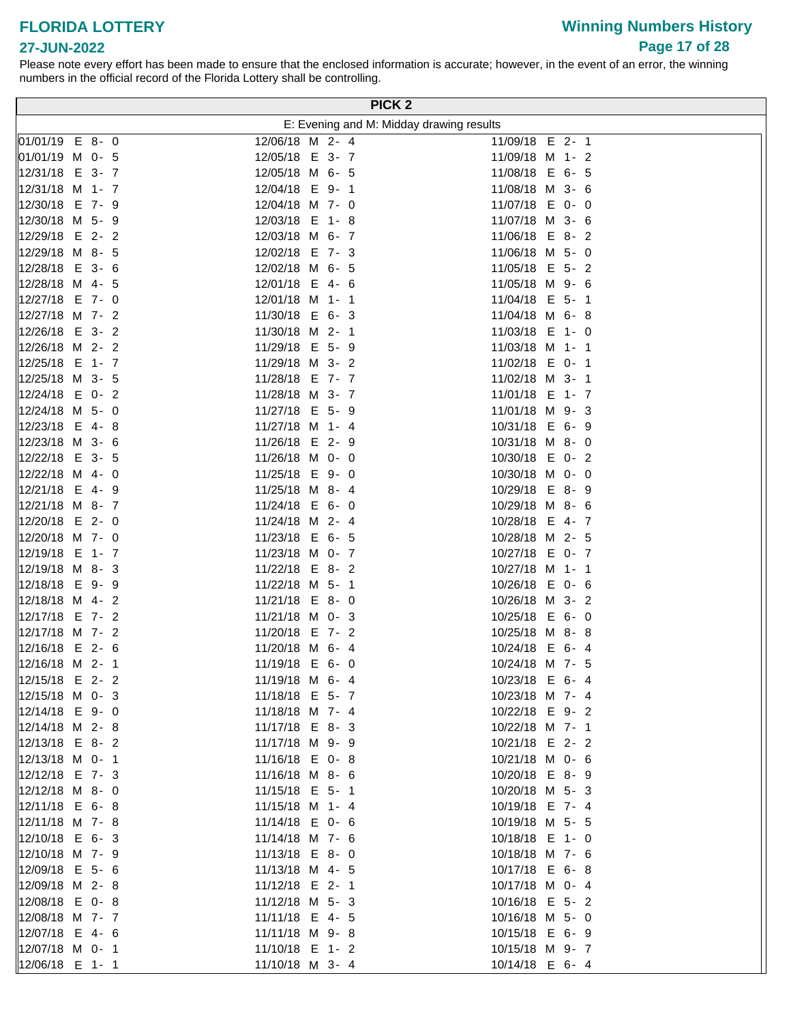# **Winning Numbers History Page 17 of 28**

### **27-JUN-2022**

|                                    |  |                                    |  |  | PICK <sub>2</sub>                        |
|------------------------------------|--|------------------------------------|--|--|------------------------------------------|
|                                    |  |                                    |  |  | E: Evening and M: Midday drawing results |
| 01/01/19 E 8-0                     |  | 12/06/18 M 2- 4                    |  |  | 11/09/18 E 2-1                           |
| 01/01/19 M 0- 5                    |  | 12/05/18 E 3- 7                    |  |  | 11/09/18 M 1- 2                          |
| 12/31/18 E 3- 7                    |  | 12/05/18 M 6- 5                    |  |  | 11/08/18 E 6- 5                          |
| 12/31/18 M 1- 7                    |  | 12/04/18 E 9- 1                    |  |  | 11/08/18 M 3- 6                          |
| 12/30/18 E 7- 9                    |  | 12/04/18 M 7- 0                    |  |  | 11/07/18 E 0- 0                          |
| 12/30/18 M 5- 9                    |  | 12/03/18 E 1-8                     |  |  | 11/07/18 M 3- 6                          |
| 12/29/18 E 2-2                     |  | 12/03/18 M 6- 7                    |  |  | 11/06/18 E 8-2                           |
| 12/29/18 M 8- 5                    |  | 12/02/18 E 7- 3                    |  |  | 11/06/18 M 5- 0                          |
| 12/28/18 E 3- 6                    |  | 12/02/18 M 6- 5                    |  |  | 11/05/18 E 5- 2                          |
| 12/28/18 M 4- 5                    |  | 12/01/18 E 4- 6                    |  |  | 11/05/18 M 9- 6                          |
| 12/27/18 E 7- 0                    |  | 12/01/18 M 1- 1                    |  |  | 11/04/18 E 5- 1                          |
| 12/27/18 M 7- 2                    |  | 11/30/18 E 6- 3                    |  |  | 11/04/18 M 6-8                           |
| 12/26/18 E 3- 2                    |  | 11/30/18 M 2- 1                    |  |  | 11/03/18 E 1- 0                          |
| 12/26/18 M 2- 2                    |  | 11/29/18 E 5- 9                    |  |  | 11/03/18 M 1- 1                          |
| 12/25/18 E 1- 7                    |  | 11/29/18 M 3- 2<br>11/28/18 E 7- 7 |  |  | 11/02/18 E 0- 1                          |
| 12/25/18 M 3- 5<br>12/24/18 E 0- 2 |  | 11/28/18 M 3- 7                    |  |  | 11/02/18 M 3- 1                          |
| 12/24/18 M 5- 0                    |  | 11/27/18 E 5- 9                    |  |  | 11/01/18 E 1- 7<br>11/01/18 M 9- 3       |
| 12/23/18 E 4-8                     |  | 11/27/18 M 1- 4                    |  |  | 10/31/18 E 6- 9                          |
| 12/23/18 M 3- 6                    |  | 11/26/18 E 2- 9                    |  |  | 10/31/18 M 8- 0                          |
| 12/22/18 E 3- 5                    |  | 11/26/18 M 0- 0                    |  |  | 10/30/18 E 0-2                           |
| 12/22/18 M 4- 0                    |  | 11/25/18 E 9-0                     |  |  | 10/30/18 M 0- 0                          |
| 12/21/18 E 4- 9                    |  | 11/25/18 M 8-4                     |  |  | 10/29/18 E 8-9                           |
| 12/21/18 M 8- 7                    |  | 11/24/18 E 6- 0                    |  |  | 10/29/18 M 8- 6                          |
| 12/20/18 E 2- 0                    |  | 11/24/18 M 2- 4                    |  |  | 10/28/18 E 4-7                           |
| 12/20/18 M 7- 0                    |  | 11/23/18 E 6- 5                    |  |  | 10/28/18 M 2- 5                          |
| 12/19/18 E 1- 7                    |  | 11/23/18 M 0- 7                    |  |  | 10/27/18 E 0- 7                          |
| 12/19/18 M 8-3                     |  | 11/22/18 E 8-2                     |  |  | 10/27/18 M 1- 1                          |
| 12/18/18 E 9-9                     |  | 11/22/18 M 5- 1                    |  |  | 10/26/18 E 0- 6                          |
| 12/18/18 M 4- 2                    |  | 11/21/18 E 8-0                     |  |  | 10/26/18 M 3- 2                          |
| 12/17/18 E 7- 2                    |  | 11/21/18 M 0- 3                    |  |  | 10/25/18 E 6- 0                          |
| 12/17/18 M 7- 2                    |  | 11/20/18 E 7- 2                    |  |  | 10/25/18 M 8-8                           |
| 12/16/18 E 2- 6                    |  | 11/20/18 M 6- 4                    |  |  | 10/24/18 E 6- 4                          |
| 12/16/18 M 2- 1                    |  | 11/19/18 E 6- 0                    |  |  | 10/24/18 M 7- 5                          |
| 12/15/18 E 2- 2                    |  | 11/19/18 M 6- 4                    |  |  | 10/23/18 E 6- 4                          |
| 12/15/18 M 0- 3                    |  | 11/18/18 E 5- 7                    |  |  | 10/23/18 M 7- 4                          |
| 12/14/18 E 9-0                     |  | 11/18/18 M 7- 4                    |  |  | 10/22/18 E 9-2                           |
| 12/14/18 M 2- 8                    |  | 11/17/18 E 8-3                     |  |  | 10/22/18 M 7- 1                          |
| 12/13/18 E 8-2                     |  | 11/17/18 M 9- 9                    |  |  | 10/21/18 E 2- 2                          |
| 12/13/18 M 0- 1<br>12/12/18 E 7- 3 |  | 11/16/18 E 0-8                     |  |  | 10/21/18 M 0- 6<br>10/20/18 E 8-9        |
| 12/12/18 M 8- 0                    |  | 11/16/18 M 8- 6<br>11/15/18 E 5- 1 |  |  | 10/20/18 M 5- 3                          |
| 12/11/18 E 6-8                     |  | 11/15/18 M 1- 4                    |  |  | 10/19/18 E 7- 4                          |
| 12/11/18 M 7- 8                    |  | 11/14/18 E 0- 6                    |  |  | 10/19/18 M 5- 5                          |
| 12/10/18 E 6-3                     |  | 11/14/18 M 7- 6                    |  |  | 10/18/18 E 1- 0                          |
| 12/10/18 M 7- 9                    |  | 11/13/18 E 8-0                     |  |  | 10/18/18 M 7- 6                          |
| 12/09/18 E 5- 6                    |  | 11/13/18 M 4- 5                    |  |  | 10/17/18 E 6-8                           |
| 12/09/18 M 2- 8                    |  | 11/12/18 E 2- 1                    |  |  | 10/17/18 M 0- 4                          |
| 12/08/18 E 0-8                     |  | 11/12/18 M 5- 3                    |  |  | 10/16/18 E 5- 2                          |
| 12/08/18 M 7- 7                    |  | 11/11/18 E 4- 5                    |  |  | 10/16/18 M 5- 0                          |
| 12/07/18 E 4- 6                    |  | 11/11/18 M 9-8                     |  |  | 10/15/18 E 6- 9                          |
| 12/07/18 M 0- 1                    |  | 11/10/18 E 1- 2                    |  |  | 10/15/18 M 9- 7                          |
| 12/06/18 E 1- 1                    |  | 11/10/18 M 3- 4                    |  |  | 10/14/18 E 6-4                           |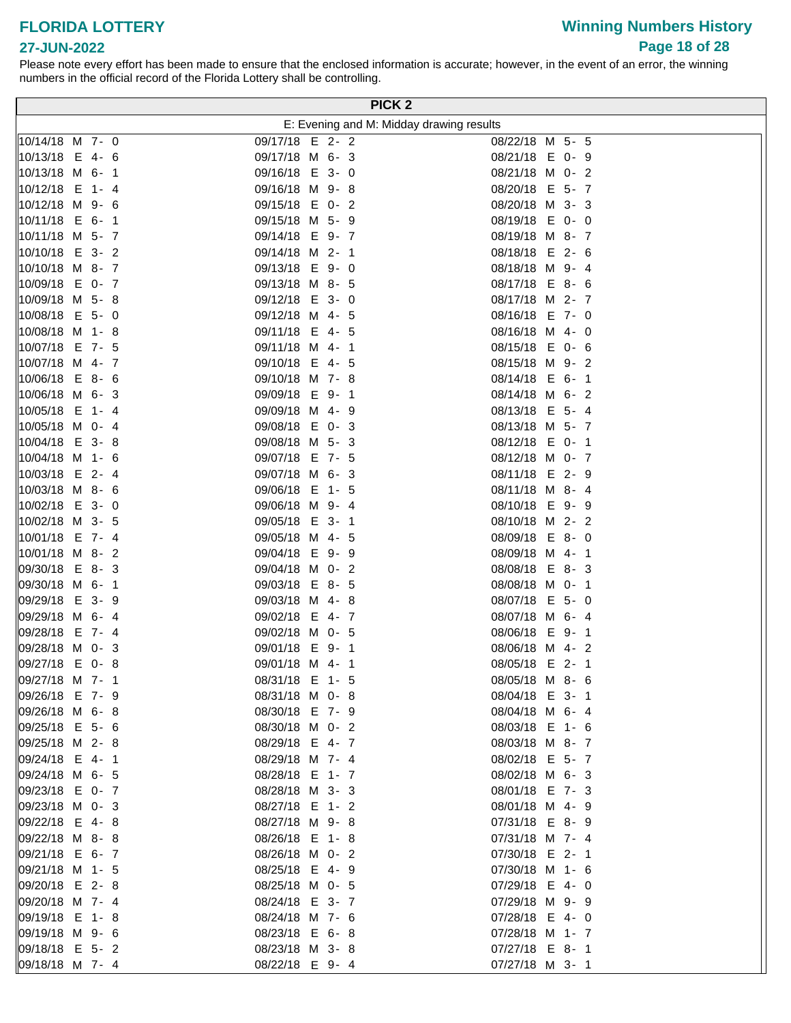# **Winning Numbers History Page 18 of 28**

#### **27-JUN-2022**

|                        | PICK <sub>2</sub>                        |                      |
|------------------------|------------------------------------------|----------------------|
|                        | E: Evening and M: Midday drawing results |                      |
| 10/14/18 M 7- 0        | 09/17/18 E 2- 2                          | 08/22/18 M 5- 5      |
| 10/13/18 E 4- 6        | 09/17/18 M 6- 3                          | 08/21/18 E 0- 9      |
| 10/13/18 M 6-1         | 09/16/18 E 3-0                           | 08/21/18 M 0- 2      |
| 10/12/18 E 1-4         | 09/16/18 M 9-8                           | 08/20/18 E 5- 7      |
| 10/12/18 M 9- 6        | 09/15/18 E 0- 2                          | 08/20/18 M 3- 3      |
| 10/11/18 E 6-1         | 09/15/18 M 5- 9                          | 08/19/18 E 0- 0      |
| 10/11/18 M 5- 7        | 09/14/18 E 9-7                           | 08/19/18 M 8- 7      |
| 10/10/18 E 3- 2        | 09/14/18 M 2- 1                          | 08/18/18 E 2- 6      |
| 10/10/18 M 8- 7        | 09/13/18 E 9-0                           | 08/18/18 M 9- 4      |
| $ 10/09/18 \t E 0 - 7$ | 09/13/18 M 8- 5                          | 08/17/18 E 8- 6      |
| 10/09/18 M 5-8         | 09/12/18 E<br>3-0                        | 08/17/18 M 2- 7      |
| 10/08/18 E 5- 0        | 09/12/18 M 4- 5                          | 08/16/18 E 7- 0      |
| 10/08/18 M 1-8         | 09/11/18 E 4- 5                          | 08/16/18 M 4- 0      |
| 10/07/18 E 7- 5        | 09/11/18 M 4- 1                          | 08/15/18 E 0- 6      |
| 10/07/18 M 4- 7        | 09/10/18 E 4- 5                          | 08/15/18 M 9-2       |
| 10/06/18 E 8-6         | 09/10/18 M 7-8                           | 08/14/18 E 6- 1      |
| 10/06/18 M 6-3         | 09/09/18 E<br>9-1                        | 08/14/18 M 6-2       |
| 10/05/18 E 1-4         | 09/09/18 M<br>4-9                        | 08/13/18 E 5- 4      |
| 10/05/18 M 0- 4        | 09/08/18 E 0-3                           | 08/13/18 M 5- 7      |
| 10/04/18 E 3-8         | 09/08/18 M 5- 3                          | 08/12/18 E 0- 1      |
| 10/04/18 M 1- 6        | 09/07/18 E 7- 5                          | 08/12/18 M 0- 7      |
| 10/03/18 E 2- 4        | 09/07/18 M 6- 3                          | 08/11/18 E 2- 9      |
| 10/03/18 M 8- 6        | 09/06/18 E<br>$1 - 5$                    | 08/11/18 M 8- 4      |
| 10/02/18 E 3- 0        | 09/06/18 M 9-4                           | 08/10/18 E 9-9       |
| 10/02/18 M 3- 5        | 09/05/18 E 3- 1                          | 08/10/18 M 2-2       |
| 10/01/18 E 7- 4        | 09/05/18 M 4- 5                          | 08/09/18 E 8-0       |
| 10/01/18 M 8-2         | 09/04/18 E 9- 9                          | 08/09/18 M 4- 1      |
| 09/30/18 E 8-3         | 09/04/18 M 0- 2                          | 08/08/18 E 8-3       |
| 09/30/18 M 6- 1        | 09/03/18 E 8- 5                          | 08/08/18 M 0- 1      |
| 09/29/18 E 3-9         | 09/03/18 M 4-8                           | 08/07/18<br>$E$ 5- 0 |
| 09/29/18 M 6-4         | 09/02/18 E 4-7                           | 08/07/18 M 6- 4      |
| 09/28/18 E 7- 4        | 09/02/18 M 0- 5                          | E 9-1<br>08/06/18    |
| 09/28/18 M 0-3         | 09/01/18 E 9-1                           | 08/06/18 M 4- 2      |
| 09/27/18 E 0-8         | 09/01/18 M 4- 1                          | 08/05/18 E 2- 1      |
| 09/27/18 M 7- 1        | 08/31/18 E 1- 5                          | 08/05/18 M 8- 6      |
| 09/26/18 E 7-9         | 08/31/18 M 0-8                           | 08/04/18 E 3- 1      |
| 09/26/18 M 6-8         | 08/30/18 E 7- 9                          | 08/04/18 M 6-4       |
| 09/25/18 E 5- 6        | 08/30/18 M 0- 2                          | 08/03/18 E 1- 6      |
| 09/25/18 M 2-8         | 08/29/18 E 4-7                           | 08/03/18 M 8- 7      |
| 09/24/18 E 4-1         | 08/29/18 M 7- 4                          | 08/02/18 E 5- 7      |
| 09/24/18 M 6- 5        | 08/28/18 E 1-7                           | 08/02/18 M 6- 3      |
| 09/23/18 E 0- 7        | 08/28/18 M 3- 3                          | 08/01/18 E 7- 3      |
| 09/23/18 M 0-3         | 08/27/18 E 1-2                           | 08/01/18 M 4- 9      |
| 09/22/18 E 4-8         | 08/27/18 M 9-8                           | 07/31/18 E 8- 9      |
| 09/22/18 M 8-8         | 08/26/18 E 1-8                           | 07/31/18 M 7- 4      |
| 09/21/18 E 6- 7        | 08/26/18 M 0- 2                          | 07/30/18 E 2-1       |
| 09/21/18 M 1- 5        | 08/25/18 E 4-9                           | 07/30/18 M 1- 6      |
| 09/20/18 E 2-8         | 08/25/18 M 0- 5                          | 07/29/18 E 4- 0      |
| 09/20/18 M 7- 4        | 08/24/18 E 3- 7                          | 07/29/18 M 9- 9      |
| 09/19/18 E 1-8         | 08/24/18 M 7- 6                          | 07/28/18 E 4- 0      |
| 09/19/18 M 9- 6        | 08/23/18 E 6-8                           | 07/28/18 M 1- 7      |
| 09/18/18 E 5- 2        | 08/23/18 M 3-8                           | 07/27/18 E 8- 1      |
| 09/18/18 M 7- 4        | 08/22/18 E 9-4                           | 07/27/18 M 3- 1      |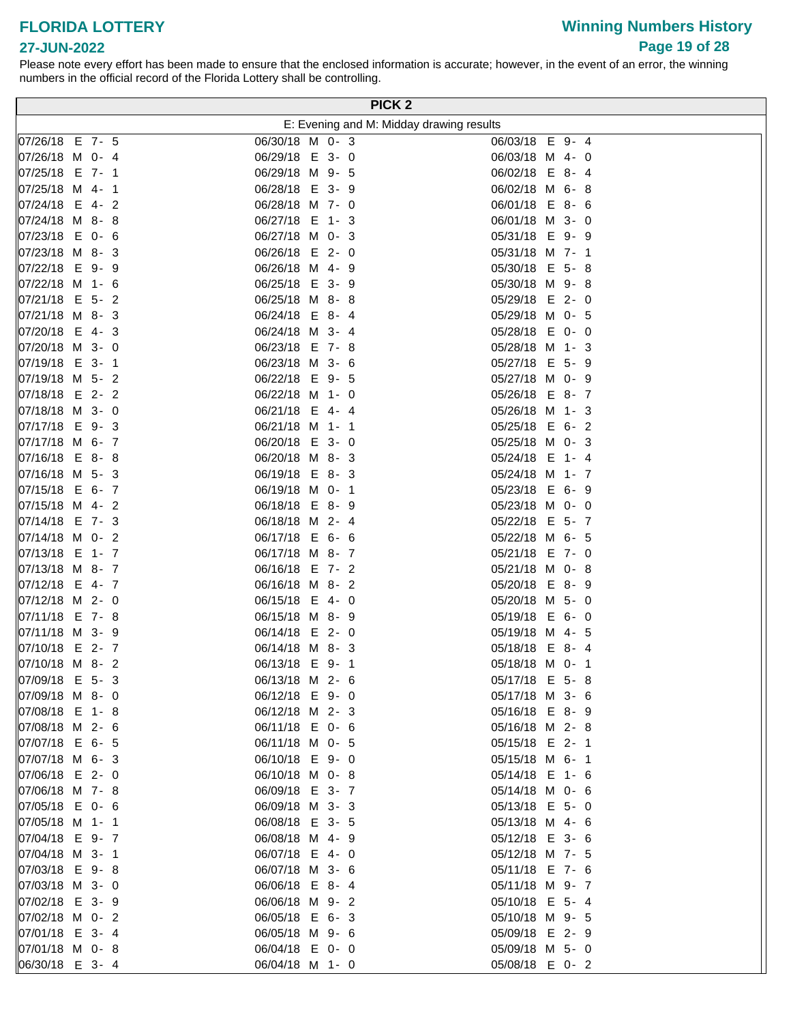# **Winning Numbers History Page 19 of 28**

### **27-JUN-2022**

| E: Evening and M: Midday drawing results<br>07/26/18 E 7- 5<br>06/03/18 E 9-4<br>06/30/18 M 0- 3<br>07/26/18 M 0- 4<br>06/29/18 E 3-0<br>06/03/18 M 4- 0<br>06/29/18 M 9- 5<br>07/25/18 E 7- 1<br>06/02/18 E 8-4<br>07/25/18 M 4- 1<br>06/28/18 E 3- 9<br>06/02/18 M 6-8<br>06/28/18 M 7- 0<br>  07/24/18 E 4-2<br>06/01/18 E 8- 6<br>06/27/18 E 1-3<br>07/24/18 M 8-8<br>06/01/18 M 3- 0<br>07/23/18 E 0- 6<br>06/27/18 M 0- 3<br>05/31/18 E 9- 9<br>06/26/18 E 2-0<br>$ 07/23/18 \, M \, 8 - 3$<br>05/31/18 M 7- 1<br>07/22/18 E 9-9<br>06/26/18 M 4- 9<br>05/30/18 E 5-8<br>06/25/18 E 3- 9<br> 07/22/18 M 1- 6<br>05/30/18 M 9-8<br>07/21/18 E 5- 2<br>06/25/18 M 8-8<br>05/29/18 E 2-0<br>07/21/18 M 8-3<br>06/24/18 E 8-4<br>05/29/18 M 0- 5<br>07/20/18 E 4-3<br>06/24/18 M 3- 4<br>05/28/18 E 0- 0<br>07/20/18 M 3- 0<br>06/23/18 E 7-8<br>05/28/18 M 1- 3<br>06/23/18 M 3- 6<br>05/27/18 E 5- 9<br>07/19/18 E 3-1<br>07/19/18 M 5- 2<br>06/22/18 E 9- 5<br>05/27/18 M 0- 9<br>07/18/18 E 2- 2<br>06/22/18 M 1- 0<br>05/26/18 E 8-7<br>07/18/18 M 3- 0<br>06/21/18 E 4-4<br>05/26/18 M 1- 3<br>07/17/18 E 9-3<br>06/21/18 M 1- 1<br>05/25/18 E 6-2<br>07/17/18 M 6- 7<br>06/20/18 E 3-0<br>05/25/18 M 0- 3<br>06/20/18 M 8-3<br>07/16/18 E 8-8<br>05/24/18 E 1- 4<br>07/16/18 M 5- 3<br>05/24/18 M 1- 7<br>06/19/18 E 8-3<br>07/15/18 E 6- 7<br>05/23/18 E 6- 9<br>06/19/18 M 0- 1<br>07/15/18 M 4- 2<br>06/18/18 E 8-9<br>05/23/18 M 0- 0<br> 07/14/18 E 7- 3<br>06/18/18 M 2- 4<br>05/22/18 E 5- 7<br>07/14/18 M 0- 2<br>06/17/18 E 6- 6<br>05/22/18 M 6- 5<br>07/13/18 E 1- 7<br>06/17/18 M 8-7<br>05/21/18 E 7- 0<br>07/13/18 M 8- 7<br>06/16/18 E 7-2<br>05/21/18 M 0-8<br>07/12/18 E 4- 7<br>06/16/18 M 8-2<br>05/20/18 E 8-9<br>07/12/18 M 2- 0<br>06/15/18 E 4- 0<br>05/20/18 M 5- 0<br> 07/11/18 E 7-8<br>06/15/18 M 8-9<br>05/19/18 E 6- 0<br>07/11/18 M 3- 9<br>06/14/18 E 2-0<br>05/19/18 M 4- 5<br>07/10/18 E 2- 7<br>06/14/18 M 8-3<br>05/18/18 E 8-4<br>$ 07/10/18 \, M \, 8 - 2$<br>06/13/18 E 9-1<br>05/18/18 M 0- 1<br>07/09/18 E 5-3<br>06/13/18 M 2- 6<br>05/17/18 E 5-8<br>07/09/18 M 8-0<br>06/12/18 E 9-0<br>05/17/18 M 3- 6<br>07/08/18 E 1-8<br>06/12/18 M 2- 3<br>05/16/18 E 8-9<br>07/08/18 M 2- 6<br>06/11/18 E 0- 6<br>05/16/18 M 2-8<br>07/07/18 E 6- 5<br>06/11/18 M 0- 5<br>05/15/18 E 2- 1<br>07/07/18 M 6- 3<br>06/10/18 E 9-0<br>05/15/18 M 6- 1<br>$ 07/06/18 \t E 2 - 0$<br>06/10/18 M 0-8<br>05/14/18 E 1- 6<br>07/06/18 M 7-8<br>06/09/18 E 3-7<br>05/14/18 M 0- 6<br>07/05/18 E 0- 6<br>06/09/18 M 3-3<br>05/13/18 E 5- 0<br>07/05/18 M 1- 1<br>06/08/18 E 3- 5<br>05/13/18 M 4- 6<br>07/04/18 E 9- 7<br>06/08/18 M 4- 9<br>05/12/18 E 3- 6<br>07/04/18 M 3- 1<br>06/07/18 E 4- 0<br>05/12/18 M 7- 5<br>07/03/18 E 9-8<br>06/07/18 M 3- 6<br>05/11/18 E 7- 6<br>07/03/18 M 3- 0<br>06/06/18 E 8-4<br>05/11/18 M 9- 7<br>07/02/18 E 3- 9<br>06/06/18 M 9-2<br>05/10/18 E 5-4<br>07/02/18 M 0- 2<br>06/05/18 E 6-3<br>05/10/18 M 9- 5<br>07/01/18 E 3-4<br>06/05/18 M 9- 6<br>05/09/18 E 2- 9<br>07/01/18 M 0-8<br>06/04/18 E 0- 0<br>05/09/18 M 5- 0<br>06/30/18 E 3-4<br>06/04/18 M 1- 0<br>05/08/18 E 0-2 |  |  |  | PICK <sub>2</sub> |
|------------------------------------------------------------------------------------------------------------------------------------------------------------------------------------------------------------------------------------------------------------------------------------------------------------------------------------------------------------------------------------------------------------------------------------------------------------------------------------------------------------------------------------------------------------------------------------------------------------------------------------------------------------------------------------------------------------------------------------------------------------------------------------------------------------------------------------------------------------------------------------------------------------------------------------------------------------------------------------------------------------------------------------------------------------------------------------------------------------------------------------------------------------------------------------------------------------------------------------------------------------------------------------------------------------------------------------------------------------------------------------------------------------------------------------------------------------------------------------------------------------------------------------------------------------------------------------------------------------------------------------------------------------------------------------------------------------------------------------------------------------------------------------------------------------------------------------------------------------------------------------------------------------------------------------------------------------------------------------------------------------------------------------------------------------------------------------------------------------------------------------------------------------------------------------------------------------------------------------------------------------------------------------------------------------------------------------------------------------------------------------------------------------------------------------------------------------------------------------------------------------------------------------------------------------------------------------------------------------------------------------------------------------------------------------------------------------------------------------------------------------------------------------------------------------------------------------------------------------------------------------------------------------------------------------------------------------------------------------------------------------------------------------------------------------------------------------------------------------------------------------------------------------|--|--|--|-------------------|
|                                                                                                                                                                                                                                                                                                                                                                                                                                                                                                                                                                                                                                                                                                                                                                                                                                                                                                                                                                                                                                                                                                                                                                                                                                                                                                                                                                                                                                                                                                                                                                                                                                                                                                                                                                                                                                                                                                                                                                                                                                                                                                                                                                                                                                                                                                                                                                                                                                                                                                                                                                                                                                                                                                                                                                                                                                                                                                                                                                                                                                                                                                                                                            |  |  |  |                   |
|                                                                                                                                                                                                                                                                                                                                                                                                                                                                                                                                                                                                                                                                                                                                                                                                                                                                                                                                                                                                                                                                                                                                                                                                                                                                                                                                                                                                                                                                                                                                                                                                                                                                                                                                                                                                                                                                                                                                                                                                                                                                                                                                                                                                                                                                                                                                                                                                                                                                                                                                                                                                                                                                                                                                                                                                                                                                                                                                                                                                                                                                                                                                                            |  |  |  |                   |
|                                                                                                                                                                                                                                                                                                                                                                                                                                                                                                                                                                                                                                                                                                                                                                                                                                                                                                                                                                                                                                                                                                                                                                                                                                                                                                                                                                                                                                                                                                                                                                                                                                                                                                                                                                                                                                                                                                                                                                                                                                                                                                                                                                                                                                                                                                                                                                                                                                                                                                                                                                                                                                                                                                                                                                                                                                                                                                                                                                                                                                                                                                                                                            |  |  |  |                   |
|                                                                                                                                                                                                                                                                                                                                                                                                                                                                                                                                                                                                                                                                                                                                                                                                                                                                                                                                                                                                                                                                                                                                                                                                                                                                                                                                                                                                                                                                                                                                                                                                                                                                                                                                                                                                                                                                                                                                                                                                                                                                                                                                                                                                                                                                                                                                                                                                                                                                                                                                                                                                                                                                                                                                                                                                                                                                                                                                                                                                                                                                                                                                                            |  |  |  |                   |
|                                                                                                                                                                                                                                                                                                                                                                                                                                                                                                                                                                                                                                                                                                                                                                                                                                                                                                                                                                                                                                                                                                                                                                                                                                                                                                                                                                                                                                                                                                                                                                                                                                                                                                                                                                                                                                                                                                                                                                                                                                                                                                                                                                                                                                                                                                                                                                                                                                                                                                                                                                                                                                                                                                                                                                                                                                                                                                                                                                                                                                                                                                                                                            |  |  |  |                   |
|                                                                                                                                                                                                                                                                                                                                                                                                                                                                                                                                                                                                                                                                                                                                                                                                                                                                                                                                                                                                                                                                                                                                                                                                                                                                                                                                                                                                                                                                                                                                                                                                                                                                                                                                                                                                                                                                                                                                                                                                                                                                                                                                                                                                                                                                                                                                                                                                                                                                                                                                                                                                                                                                                                                                                                                                                                                                                                                                                                                                                                                                                                                                                            |  |  |  |                   |
|                                                                                                                                                                                                                                                                                                                                                                                                                                                                                                                                                                                                                                                                                                                                                                                                                                                                                                                                                                                                                                                                                                                                                                                                                                                                                                                                                                                                                                                                                                                                                                                                                                                                                                                                                                                                                                                                                                                                                                                                                                                                                                                                                                                                                                                                                                                                                                                                                                                                                                                                                                                                                                                                                                                                                                                                                                                                                                                                                                                                                                                                                                                                                            |  |  |  |                   |
|                                                                                                                                                                                                                                                                                                                                                                                                                                                                                                                                                                                                                                                                                                                                                                                                                                                                                                                                                                                                                                                                                                                                                                                                                                                                                                                                                                                                                                                                                                                                                                                                                                                                                                                                                                                                                                                                                                                                                                                                                                                                                                                                                                                                                                                                                                                                                                                                                                                                                                                                                                                                                                                                                                                                                                                                                                                                                                                                                                                                                                                                                                                                                            |  |  |  |                   |
|                                                                                                                                                                                                                                                                                                                                                                                                                                                                                                                                                                                                                                                                                                                                                                                                                                                                                                                                                                                                                                                                                                                                                                                                                                                                                                                                                                                                                                                                                                                                                                                                                                                                                                                                                                                                                                                                                                                                                                                                                                                                                                                                                                                                                                                                                                                                                                                                                                                                                                                                                                                                                                                                                                                                                                                                                                                                                                                                                                                                                                                                                                                                                            |  |  |  |                   |
|                                                                                                                                                                                                                                                                                                                                                                                                                                                                                                                                                                                                                                                                                                                                                                                                                                                                                                                                                                                                                                                                                                                                                                                                                                                                                                                                                                                                                                                                                                                                                                                                                                                                                                                                                                                                                                                                                                                                                                                                                                                                                                                                                                                                                                                                                                                                                                                                                                                                                                                                                                                                                                                                                                                                                                                                                                                                                                                                                                                                                                                                                                                                                            |  |  |  |                   |
|                                                                                                                                                                                                                                                                                                                                                                                                                                                                                                                                                                                                                                                                                                                                                                                                                                                                                                                                                                                                                                                                                                                                                                                                                                                                                                                                                                                                                                                                                                                                                                                                                                                                                                                                                                                                                                                                                                                                                                                                                                                                                                                                                                                                                                                                                                                                                                                                                                                                                                                                                                                                                                                                                                                                                                                                                                                                                                                                                                                                                                                                                                                                                            |  |  |  |                   |
|                                                                                                                                                                                                                                                                                                                                                                                                                                                                                                                                                                                                                                                                                                                                                                                                                                                                                                                                                                                                                                                                                                                                                                                                                                                                                                                                                                                                                                                                                                                                                                                                                                                                                                                                                                                                                                                                                                                                                                                                                                                                                                                                                                                                                                                                                                                                                                                                                                                                                                                                                                                                                                                                                                                                                                                                                                                                                                                                                                                                                                                                                                                                                            |  |  |  |                   |
|                                                                                                                                                                                                                                                                                                                                                                                                                                                                                                                                                                                                                                                                                                                                                                                                                                                                                                                                                                                                                                                                                                                                                                                                                                                                                                                                                                                                                                                                                                                                                                                                                                                                                                                                                                                                                                                                                                                                                                                                                                                                                                                                                                                                                                                                                                                                                                                                                                                                                                                                                                                                                                                                                                                                                                                                                                                                                                                                                                                                                                                                                                                                                            |  |  |  |                   |
|                                                                                                                                                                                                                                                                                                                                                                                                                                                                                                                                                                                                                                                                                                                                                                                                                                                                                                                                                                                                                                                                                                                                                                                                                                                                                                                                                                                                                                                                                                                                                                                                                                                                                                                                                                                                                                                                                                                                                                                                                                                                                                                                                                                                                                                                                                                                                                                                                                                                                                                                                                                                                                                                                                                                                                                                                                                                                                                                                                                                                                                                                                                                                            |  |  |  |                   |
|                                                                                                                                                                                                                                                                                                                                                                                                                                                                                                                                                                                                                                                                                                                                                                                                                                                                                                                                                                                                                                                                                                                                                                                                                                                                                                                                                                                                                                                                                                                                                                                                                                                                                                                                                                                                                                                                                                                                                                                                                                                                                                                                                                                                                                                                                                                                                                                                                                                                                                                                                                                                                                                                                                                                                                                                                                                                                                                                                                                                                                                                                                                                                            |  |  |  |                   |
|                                                                                                                                                                                                                                                                                                                                                                                                                                                                                                                                                                                                                                                                                                                                                                                                                                                                                                                                                                                                                                                                                                                                                                                                                                                                                                                                                                                                                                                                                                                                                                                                                                                                                                                                                                                                                                                                                                                                                                                                                                                                                                                                                                                                                                                                                                                                                                                                                                                                                                                                                                                                                                                                                                                                                                                                                                                                                                                                                                                                                                                                                                                                                            |  |  |  |                   |
|                                                                                                                                                                                                                                                                                                                                                                                                                                                                                                                                                                                                                                                                                                                                                                                                                                                                                                                                                                                                                                                                                                                                                                                                                                                                                                                                                                                                                                                                                                                                                                                                                                                                                                                                                                                                                                                                                                                                                                                                                                                                                                                                                                                                                                                                                                                                                                                                                                                                                                                                                                                                                                                                                                                                                                                                                                                                                                                                                                                                                                                                                                                                                            |  |  |  |                   |
|                                                                                                                                                                                                                                                                                                                                                                                                                                                                                                                                                                                                                                                                                                                                                                                                                                                                                                                                                                                                                                                                                                                                                                                                                                                                                                                                                                                                                                                                                                                                                                                                                                                                                                                                                                                                                                                                                                                                                                                                                                                                                                                                                                                                                                                                                                                                                                                                                                                                                                                                                                                                                                                                                                                                                                                                                                                                                                                                                                                                                                                                                                                                                            |  |  |  |                   |
|                                                                                                                                                                                                                                                                                                                                                                                                                                                                                                                                                                                                                                                                                                                                                                                                                                                                                                                                                                                                                                                                                                                                                                                                                                                                                                                                                                                                                                                                                                                                                                                                                                                                                                                                                                                                                                                                                                                                                                                                                                                                                                                                                                                                                                                                                                                                                                                                                                                                                                                                                                                                                                                                                                                                                                                                                                                                                                                                                                                                                                                                                                                                                            |  |  |  |                   |
|                                                                                                                                                                                                                                                                                                                                                                                                                                                                                                                                                                                                                                                                                                                                                                                                                                                                                                                                                                                                                                                                                                                                                                                                                                                                                                                                                                                                                                                                                                                                                                                                                                                                                                                                                                                                                                                                                                                                                                                                                                                                                                                                                                                                                                                                                                                                                                                                                                                                                                                                                                                                                                                                                                                                                                                                                                                                                                                                                                                                                                                                                                                                                            |  |  |  |                   |
|                                                                                                                                                                                                                                                                                                                                                                                                                                                                                                                                                                                                                                                                                                                                                                                                                                                                                                                                                                                                                                                                                                                                                                                                                                                                                                                                                                                                                                                                                                                                                                                                                                                                                                                                                                                                                                                                                                                                                                                                                                                                                                                                                                                                                                                                                                                                                                                                                                                                                                                                                                                                                                                                                                                                                                                                                                                                                                                                                                                                                                                                                                                                                            |  |  |  |                   |
|                                                                                                                                                                                                                                                                                                                                                                                                                                                                                                                                                                                                                                                                                                                                                                                                                                                                                                                                                                                                                                                                                                                                                                                                                                                                                                                                                                                                                                                                                                                                                                                                                                                                                                                                                                                                                                                                                                                                                                                                                                                                                                                                                                                                                                                                                                                                                                                                                                                                                                                                                                                                                                                                                                                                                                                                                                                                                                                                                                                                                                                                                                                                                            |  |  |  |                   |
|                                                                                                                                                                                                                                                                                                                                                                                                                                                                                                                                                                                                                                                                                                                                                                                                                                                                                                                                                                                                                                                                                                                                                                                                                                                                                                                                                                                                                                                                                                                                                                                                                                                                                                                                                                                                                                                                                                                                                                                                                                                                                                                                                                                                                                                                                                                                                                                                                                                                                                                                                                                                                                                                                                                                                                                                                                                                                                                                                                                                                                                                                                                                                            |  |  |  |                   |
|                                                                                                                                                                                                                                                                                                                                                                                                                                                                                                                                                                                                                                                                                                                                                                                                                                                                                                                                                                                                                                                                                                                                                                                                                                                                                                                                                                                                                                                                                                                                                                                                                                                                                                                                                                                                                                                                                                                                                                                                                                                                                                                                                                                                                                                                                                                                                                                                                                                                                                                                                                                                                                                                                                                                                                                                                                                                                                                                                                                                                                                                                                                                                            |  |  |  |                   |
|                                                                                                                                                                                                                                                                                                                                                                                                                                                                                                                                                                                                                                                                                                                                                                                                                                                                                                                                                                                                                                                                                                                                                                                                                                                                                                                                                                                                                                                                                                                                                                                                                                                                                                                                                                                                                                                                                                                                                                                                                                                                                                                                                                                                                                                                                                                                                                                                                                                                                                                                                                                                                                                                                                                                                                                                                                                                                                                                                                                                                                                                                                                                                            |  |  |  |                   |
|                                                                                                                                                                                                                                                                                                                                                                                                                                                                                                                                                                                                                                                                                                                                                                                                                                                                                                                                                                                                                                                                                                                                                                                                                                                                                                                                                                                                                                                                                                                                                                                                                                                                                                                                                                                                                                                                                                                                                                                                                                                                                                                                                                                                                                                                                                                                                                                                                                                                                                                                                                                                                                                                                                                                                                                                                                                                                                                                                                                                                                                                                                                                                            |  |  |  |                   |
|                                                                                                                                                                                                                                                                                                                                                                                                                                                                                                                                                                                                                                                                                                                                                                                                                                                                                                                                                                                                                                                                                                                                                                                                                                                                                                                                                                                                                                                                                                                                                                                                                                                                                                                                                                                                                                                                                                                                                                                                                                                                                                                                                                                                                                                                                                                                                                                                                                                                                                                                                                                                                                                                                                                                                                                                                                                                                                                                                                                                                                                                                                                                                            |  |  |  |                   |
|                                                                                                                                                                                                                                                                                                                                                                                                                                                                                                                                                                                                                                                                                                                                                                                                                                                                                                                                                                                                                                                                                                                                                                                                                                                                                                                                                                                                                                                                                                                                                                                                                                                                                                                                                                                                                                                                                                                                                                                                                                                                                                                                                                                                                                                                                                                                                                                                                                                                                                                                                                                                                                                                                                                                                                                                                                                                                                                                                                                                                                                                                                                                                            |  |  |  |                   |
|                                                                                                                                                                                                                                                                                                                                                                                                                                                                                                                                                                                                                                                                                                                                                                                                                                                                                                                                                                                                                                                                                                                                                                                                                                                                                                                                                                                                                                                                                                                                                                                                                                                                                                                                                                                                                                                                                                                                                                                                                                                                                                                                                                                                                                                                                                                                                                                                                                                                                                                                                                                                                                                                                                                                                                                                                                                                                                                                                                                                                                                                                                                                                            |  |  |  |                   |
|                                                                                                                                                                                                                                                                                                                                                                                                                                                                                                                                                                                                                                                                                                                                                                                                                                                                                                                                                                                                                                                                                                                                                                                                                                                                                                                                                                                                                                                                                                                                                                                                                                                                                                                                                                                                                                                                                                                                                                                                                                                                                                                                                                                                                                                                                                                                                                                                                                                                                                                                                                                                                                                                                                                                                                                                                                                                                                                                                                                                                                                                                                                                                            |  |  |  |                   |
|                                                                                                                                                                                                                                                                                                                                                                                                                                                                                                                                                                                                                                                                                                                                                                                                                                                                                                                                                                                                                                                                                                                                                                                                                                                                                                                                                                                                                                                                                                                                                                                                                                                                                                                                                                                                                                                                                                                                                                                                                                                                                                                                                                                                                                                                                                                                                                                                                                                                                                                                                                                                                                                                                                                                                                                                                                                                                                                                                                                                                                                                                                                                                            |  |  |  |                   |
|                                                                                                                                                                                                                                                                                                                                                                                                                                                                                                                                                                                                                                                                                                                                                                                                                                                                                                                                                                                                                                                                                                                                                                                                                                                                                                                                                                                                                                                                                                                                                                                                                                                                                                                                                                                                                                                                                                                                                                                                                                                                                                                                                                                                                                                                                                                                                                                                                                                                                                                                                                                                                                                                                                                                                                                                                                                                                                                                                                                                                                                                                                                                                            |  |  |  |                   |
|                                                                                                                                                                                                                                                                                                                                                                                                                                                                                                                                                                                                                                                                                                                                                                                                                                                                                                                                                                                                                                                                                                                                                                                                                                                                                                                                                                                                                                                                                                                                                                                                                                                                                                                                                                                                                                                                                                                                                                                                                                                                                                                                                                                                                                                                                                                                                                                                                                                                                                                                                                                                                                                                                                                                                                                                                                                                                                                                                                                                                                                                                                                                                            |  |  |  |                   |
|                                                                                                                                                                                                                                                                                                                                                                                                                                                                                                                                                                                                                                                                                                                                                                                                                                                                                                                                                                                                                                                                                                                                                                                                                                                                                                                                                                                                                                                                                                                                                                                                                                                                                                                                                                                                                                                                                                                                                                                                                                                                                                                                                                                                                                                                                                                                                                                                                                                                                                                                                                                                                                                                                                                                                                                                                                                                                                                                                                                                                                                                                                                                                            |  |  |  |                   |
|                                                                                                                                                                                                                                                                                                                                                                                                                                                                                                                                                                                                                                                                                                                                                                                                                                                                                                                                                                                                                                                                                                                                                                                                                                                                                                                                                                                                                                                                                                                                                                                                                                                                                                                                                                                                                                                                                                                                                                                                                                                                                                                                                                                                                                                                                                                                                                                                                                                                                                                                                                                                                                                                                                                                                                                                                                                                                                                                                                                                                                                                                                                                                            |  |  |  |                   |
|                                                                                                                                                                                                                                                                                                                                                                                                                                                                                                                                                                                                                                                                                                                                                                                                                                                                                                                                                                                                                                                                                                                                                                                                                                                                                                                                                                                                                                                                                                                                                                                                                                                                                                                                                                                                                                                                                                                                                                                                                                                                                                                                                                                                                                                                                                                                                                                                                                                                                                                                                                                                                                                                                                                                                                                                                                                                                                                                                                                                                                                                                                                                                            |  |  |  |                   |
|                                                                                                                                                                                                                                                                                                                                                                                                                                                                                                                                                                                                                                                                                                                                                                                                                                                                                                                                                                                                                                                                                                                                                                                                                                                                                                                                                                                                                                                                                                                                                                                                                                                                                                                                                                                                                                                                                                                                                                                                                                                                                                                                                                                                                                                                                                                                                                                                                                                                                                                                                                                                                                                                                                                                                                                                                                                                                                                                                                                                                                                                                                                                                            |  |  |  |                   |
|                                                                                                                                                                                                                                                                                                                                                                                                                                                                                                                                                                                                                                                                                                                                                                                                                                                                                                                                                                                                                                                                                                                                                                                                                                                                                                                                                                                                                                                                                                                                                                                                                                                                                                                                                                                                                                                                                                                                                                                                                                                                                                                                                                                                                                                                                                                                                                                                                                                                                                                                                                                                                                                                                                                                                                                                                                                                                                                                                                                                                                                                                                                                                            |  |  |  |                   |
|                                                                                                                                                                                                                                                                                                                                                                                                                                                                                                                                                                                                                                                                                                                                                                                                                                                                                                                                                                                                                                                                                                                                                                                                                                                                                                                                                                                                                                                                                                                                                                                                                                                                                                                                                                                                                                                                                                                                                                                                                                                                                                                                                                                                                                                                                                                                                                                                                                                                                                                                                                                                                                                                                                                                                                                                                                                                                                                                                                                                                                                                                                                                                            |  |  |  |                   |
|                                                                                                                                                                                                                                                                                                                                                                                                                                                                                                                                                                                                                                                                                                                                                                                                                                                                                                                                                                                                                                                                                                                                                                                                                                                                                                                                                                                                                                                                                                                                                                                                                                                                                                                                                                                                                                                                                                                                                                                                                                                                                                                                                                                                                                                                                                                                                                                                                                                                                                                                                                                                                                                                                                                                                                                                                                                                                                                                                                                                                                                                                                                                                            |  |  |  |                   |
|                                                                                                                                                                                                                                                                                                                                                                                                                                                                                                                                                                                                                                                                                                                                                                                                                                                                                                                                                                                                                                                                                                                                                                                                                                                                                                                                                                                                                                                                                                                                                                                                                                                                                                                                                                                                                                                                                                                                                                                                                                                                                                                                                                                                                                                                                                                                                                                                                                                                                                                                                                                                                                                                                                                                                                                                                                                                                                                                                                                                                                                                                                                                                            |  |  |  |                   |
|                                                                                                                                                                                                                                                                                                                                                                                                                                                                                                                                                                                                                                                                                                                                                                                                                                                                                                                                                                                                                                                                                                                                                                                                                                                                                                                                                                                                                                                                                                                                                                                                                                                                                                                                                                                                                                                                                                                                                                                                                                                                                                                                                                                                                                                                                                                                                                                                                                                                                                                                                                                                                                                                                                                                                                                                                                                                                                                                                                                                                                                                                                                                                            |  |  |  |                   |
|                                                                                                                                                                                                                                                                                                                                                                                                                                                                                                                                                                                                                                                                                                                                                                                                                                                                                                                                                                                                                                                                                                                                                                                                                                                                                                                                                                                                                                                                                                                                                                                                                                                                                                                                                                                                                                                                                                                                                                                                                                                                                                                                                                                                                                                                                                                                                                                                                                                                                                                                                                                                                                                                                                                                                                                                                                                                                                                                                                                                                                                                                                                                                            |  |  |  |                   |
|                                                                                                                                                                                                                                                                                                                                                                                                                                                                                                                                                                                                                                                                                                                                                                                                                                                                                                                                                                                                                                                                                                                                                                                                                                                                                                                                                                                                                                                                                                                                                                                                                                                                                                                                                                                                                                                                                                                                                                                                                                                                                                                                                                                                                                                                                                                                                                                                                                                                                                                                                                                                                                                                                                                                                                                                                                                                                                                                                                                                                                                                                                                                                            |  |  |  |                   |
|                                                                                                                                                                                                                                                                                                                                                                                                                                                                                                                                                                                                                                                                                                                                                                                                                                                                                                                                                                                                                                                                                                                                                                                                                                                                                                                                                                                                                                                                                                                                                                                                                                                                                                                                                                                                                                                                                                                                                                                                                                                                                                                                                                                                                                                                                                                                                                                                                                                                                                                                                                                                                                                                                                                                                                                                                                                                                                                                                                                                                                                                                                                                                            |  |  |  |                   |
|                                                                                                                                                                                                                                                                                                                                                                                                                                                                                                                                                                                                                                                                                                                                                                                                                                                                                                                                                                                                                                                                                                                                                                                                                                                                                                                                                                                                                                                                                                                                                                                                                                                                                                                                                                                                                                                                                                                                                                                                                                                                                                                                                                                                                                                                                                                                                                                                                                                                                                                                                                                                                                                                                                                                                                                                                                                                                                                                                                                                                                                                                                                                                            |  |  |  |                   |
|                                                                                                                                                                                                                                                                                                                                                                                                                                                                                                                                                                                                                                                                                                                                                                                                                                                                                                                                                                                                                                                                                                                                                                                                                                                                                                                                                                                                                                                                                                                                                                                                                                                                                                                                                                                                                                                                                                                                                                                                                                                                                                                                                                                                                                                                                                                                                                                                                                                                                                                                                                                                                                                                                                                                                                                                                                                                                                                                                                                                                                                                                                                                                            |  |  |  |                   |
|                                                                                                                                                                                                                                                                                                                                                                                                                                                                                                                                                                                                                                                                                                                                                                                                                                                                                                                                                                                                                                                                                                                                                                                                                                                                                                                                                                                                                                                                                                                                                                                                                                                                                                                                                                                                                                                                                                                                                                                                                                                                                                                                                                                                                                                                                                                                                                                                                                                                                                                                                                                                                                                                                                                                                                                                                                                                                                                                                                                                                                                                                                                                                            |  |  |  |                   |
|                                                                                                                                                                                                                                                                                                                                                                                                                                                                                                                                                                                                                                                                                                                                                                                                                                                                                                                                                                                                                                                                                                                                                                                                                                                                                                                                                                                                                                                                                                                                                                                                                                                                                                                                                                                                                                                                                                                                                                                                                                                                                                                                                                                                                                                                                                                                                                                                                                                                                                                                                                                                                                                                                                                                                                                                                                                                                                                                                                                                                                                                                                                                                            |  |  |  |                   |
|                                                                                                                                                                                                                                                                                                                                                                                                                                                                                                                                                                                                                                                                                                                                                                                                                                                                                                                                                                                                                                                                                                                                                                                                                                                                                                                                                                                                                                                                                                                                                                                                                                                                                                                                                                                                                                                                                                                                                                                                                                                                                                                                                                                                                                                                                                                                                                                                                                                                                                                                                                                                                                                                                                                                                                                                                                                                                                                                                                                                                                                                                                                                                            |  |  |  |                   |
|                                                                                                                                                                                                                                                                                                                                                                                                                                                                                                                                                                                                                                                                                                                                                                                                                                                                                                                                                                                                                                                                                                                                                                                                                                                                                                                                                                                                                                                                                                                                                                                                                                                                                                                                                                                                                                                                                                                                                                                                                                                                                                                                                                                                                                                                                                                                                                                                                                                                                                                                                                                                                                                                                                                                                                                                                                                                                                                                                                                                                                                                                                                                                            |  |  |  |                   |
|                                                                                                                                                                                                                                                                                                                                                                                                                                                                                                                                                                                                                                                                                                                                                                                                                                                                                                                                                                                                                                                                                                                                                                                                                                                                                                                                                                                                                                                                                                                                                                                                                                                                                                                                                                                                                                                                                                                                                                                                                                                                                                                                                                                                                                                                                                                                                                                                                                                                                                                                                                                                                                                                                                                                                                                                                                                                                                                                                                                                                                                                                                                                                            |  |  |  |                   |
|                                                                                                                                                                                                                                                                                                                                                                                                                                                                                                                                                                                                                                                                                                                                                                                                                                                                                                                                                                                                                                                                                                                                                                                                                                                                                                                                                                                                                                                                                                                                                                                                                                                                                                                                                                                                                                                                                                                                                                                                                                                                                                                                                                                                                                                                                                                                                                                                                                                                                                                                                                                                                                                                                                                                                                                                                                                                                                                                                                                                                                                                                                                                                            |  |  |  |                   |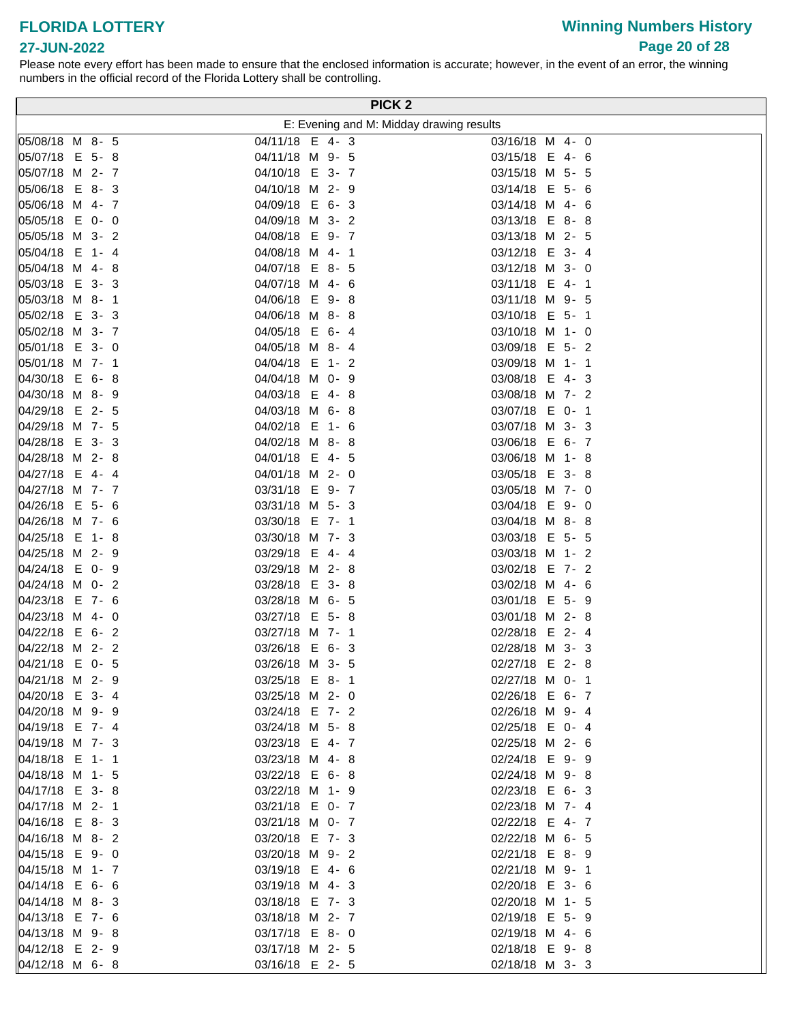**Winning Numbers History Page 20 of 28**

#### **27-JUN-2022**

|                                    |                                   |         | PICK <sub>2</sub>                        |
|------------------------------------|-----------------------------------|---------|------------------------------------------|
|                                    |                                   |         | E: Evening and M: Midday drawing results |
| 05/08/18 M 8- 5                    | 04/11/18 E 4-3                    |         | 03/16/18 M 4- 0                          |
| 05/07/18 E 5-8                     | 04/11/18 M 9- 5                   |         | 03/15/18 E 4- 6                          |
| 05/07/18 M 2- 7                    | 04/10/18 E 3- 7                   |         | 03/15/18 M 5- 5                          |
| 05/06/18 E 8-3                     | 04/10/18 M 2- 9                   |         | 03/14/18 E 5- 6                          |
| 05/06/18 M 4- 7                    | 04/09/18 E 6-3                    |         | 03/14/18 M 4- 6                          |
| 05/05/18 E 0- 0                    | 04/09/18 M 3- 2                   |         | 03/13/18 E 8-8                           |
| 05/05/18 M 3- 2                    | 04/08/18 E 9-7                    |         | 03/13/18 M 2- 5                          |
| 05/04/18 E 1- 4                    | 04/08/18 M 4- 1                   |         | 03/12/18 E 3- 4                          |
| 05/04/18 M 4-8                     | 04/07/18 E 8- 5                   |         | 03/12/18 M 3- 0                          |
| 05/03/18 E 3-3                     | 04/07/18 M 4- 6                   |         | 03/11/18 E 4- 1                          |
| 05/03/18 M 8- 1                    | 04/06/18 E 9-8                    |         | 03/11/18 M 9- 5                          |
| 05/02/18 E 3-3                     | 04/06/18 M 8-8                    |         | 03/10/18 E 5- 1                          |
| 05/02/18 M 3- 7                    | 04/05/18 E 6-4                    |         | 03/10/18 M 1- 0                          |
| 05/01/18 E 3- 0                    | 04/05/18 M 8- 4                   |         | 03/09/18 E 5-2                           |
| 05/01/18 M 7- 1                    | 04/04/18 E                        | $1 - 2$ | 03/09/18 M 1- 1                          |
| 04/30/18 E 6-8                     | 04/04/18 M 0- 9                   |         | 03/08/18 E 4-3                           |
| 04/30/18 M 8- 9                    | 04/03/18 E 4-8                    |         | 03/08/18 M 7- 2                          |
| 04/29/18 E 2- 5                    | 04/03/18 M 6-8                    |         | 03/07/18 E 0- 1                          |
| 04/29/18 M 7- 5                    | 04/02/18 E                        | 1-6     | 03/07/18 M 3- 3                          |
| 04/28/18 E 3-3                     | 04/02/18 M 8-8                    |         | 03/06/18 E 6-7                           |
| 04/28/18 M 2-8                     | 04/01/18 E 4- 5                   |         | 03/06/18 M 1-8                           |
| 04/27/18 E 4-4                     | 04/01/18 M 2- 0                   |         | 03/05/18 E 3-8                           |
| 04/27/18 M 7- 7                    | 03/31/18 E 9- 7                   |         | 03/05/18 M 7- 0                          |
| 04/26/18 E 5- 6                    | 03/31/18 M 5- 3                   |         | 03/04/18 E 9-0                           |
| 04/26/18 M 7- 6                    | 03/30/18 E 7-1                    |         | 03/04/18 M 8-8                           |
| 04/25/18 E 1-8                     | 03/30/18 M 7- 3                   |         | 03/03/18 E 5- 5                          |
| 04/25/18 M 2- 9                    | 03/29/18 E 4-4                    |         | 03/03/18 M 1- 2                          |
| 04/24/18 E 0- 9                    | 03/29/18 M 2-8                    |         | 03/02/18 E 7- 2                          |
| 04/24/18 M 0- 2                    | 03/28/18 E 3-8                    |         | 03/02/18 M 4- 6                          |
| 04/23/18 E 7- 6<br>04/23/18 M 4- 0 | 03/28/18 M 6- 5<br>03/27/18 E 5-8 |         | 03/01/18 E 5- 9<br>03/01/18 M 2-8        |
| 04/22/18 E 6- 2                    | 03/27/18 M 7- 1                   |         | 02/28/18 E 2-4                           |
| 04/22/18 M 2- 2                    | 03/26/18 E 6-3                    |         | 02/28/18 M 3- 3                          |
| 04/21/18 E 0- 5                    | 03/26/18 M 3- 5                   |         | 02/27/18 E 2-8                           |
| 04/21/18 M 2- 9                    | 03/25/18 E 8-1                    |         | 02/27/18 M 0- 1                          |
| $ 04/20/18 \t E 3 - 4$             | 03/25/18 M 2- 0                   |         | 02/26/18 E 6- 7                          |
| 04/20/18 M 9- 9                    | 03/24/18 E 7- 2                   |         | 02/26/18 M 9- 4                          |
| $ 04/19/18 \quad E \quad 7 - 4$    | 03/24/18 M 5- 8                   |         | 02/25/18 E 0- 4                          |
| 04/19/18 M 7- 3                    | 03/23/18 E 4- 7                   |         | 02/25/18 M 2- 6                          |
| 04/18/18 E 1- 1                    | 03/23/18 M 4-8                    |         | 02/24/18 E 9- 9                          |
| 04/18/18 M 1- 5                    | 03/22/18 E 6-8                    |         | 02/24/18 M 9-8                           |
| 04/17/18 E 3-8                     | 03/22/18 M 1- 9                   |         | 02/23/18 E 6- 3                          |
| 04/17/18 M 2- 1                    | 03/21/18 E 0- 7                   |         | 02/23/18 M 7- 4                          |
| 04/16/18 E 8-3                     | 03/21/18 M 0- 7                   |         | 02/22/18 E 4-7                           |
| $ 04/16/18 \, M \, 8 - 2$          | 03/20/18 E 7- 3                   |         | 02/22/18 M 6- 5                          |
| 04/15/18 E 9-0                     | 03/20/18 M 9- 2                   |         | 02/21/18 E 8- 9                          |
| 04/15/18 M 1- 7                    | 03/19/18 E 4- 6                   |         | 02/21/18 M 9- 1                          |
| 04/14/18 E 6- 6                    | 03/19/18 M 4-3                    |         | 02/20/18 E 3- 6                          |
| $ 04/14/18 \, M \, 8 - 3$          | 03/18/18 E 7- 3                   |         | 02/20/18 M 1- 5                          |
| 04/13/18 E 7- 6                    | 03/18/18 M 2- 7                   |         | 02/19/18 E 5- 9                          |
| 04/13/18 M 9-8                     | 03/17/18 E 8-0                    |         | 02/19/18 M 4- 6                          |
| $ 04/12/18 \t E 2 - 9$             | 03/17/18 M 2- 5                   |         | 02/18/18 E 9-8                           |
| 04/12/18 M 6-8                     | 03/16/18 E 2- 5                   |         | 02/18/18 M 3- 3                          |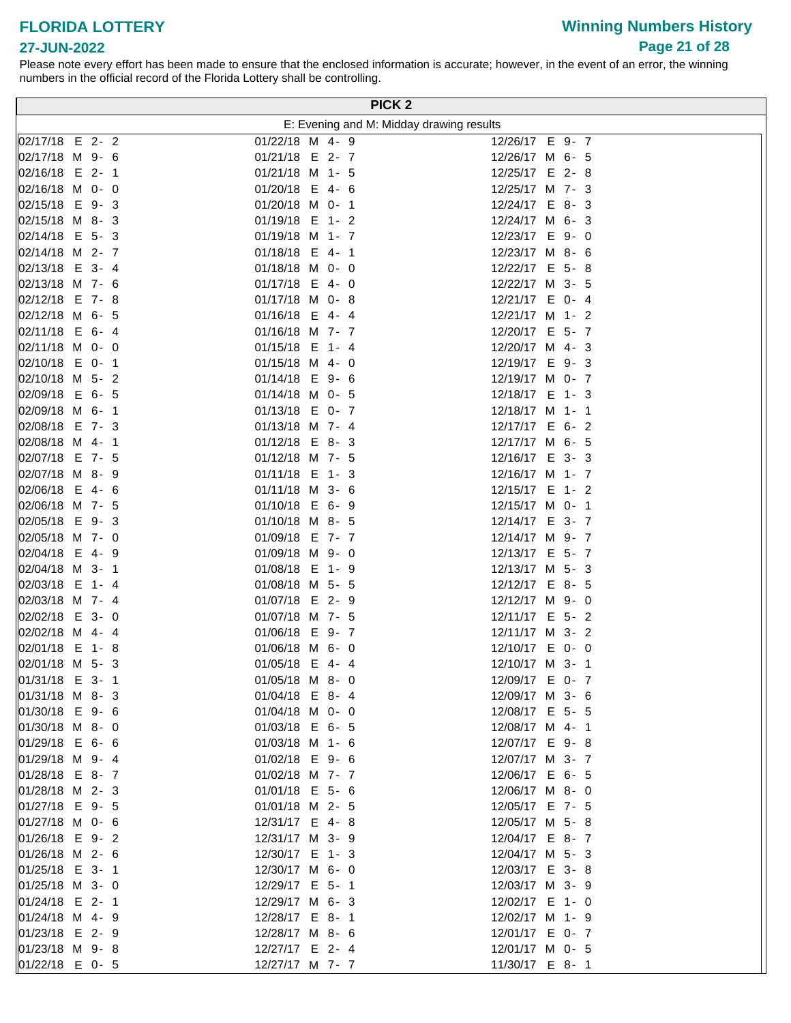# **Winning Numbers History Page 21 of 28**

#### **27-JUN-2022**

|                                   |  |                                    |  | PICK <sub>2</sub>                        |  |  |
|-----------------------------------|--|------------------------------------|--|------------------------------------------|--|--|
|                                   |  |                                    |  | E: Evening and M: Midday drawing results |  |  |
| 02/17/18 E 2-2                    |  | 01/22/18 M 4- 9                    |  | 12/26/17 E 9- 7                          |  |  |
| 02/17/18 M 9- 6                   |  | 01/21/18 E 2-7                     |  | 12/26/17 M 6- 5                          |  |  |
| 02/16/18 E 2-1                    |  | 01/21/18 M 1- 5                    |  | 12/25/17 E 2-8                           |  |  |
| 02/16/18 M 0- 0                   |  | 01/20/18 E 4- 6                    |  | 12/25/17 M 7- 3                          |  |  |
| 02/15/18 E 9-3                    |  | 01/20/18 M 0- 1                    |  | 12/24/17 E 8-3                           |  |  |
| 02/15/18 M 8-3                    |  | 01/19/18 E 1- 2                    |  | 12/24/17 M 6- 3                          |  |  |
| 02/14/18 E 5-3                    |  | 01/19/18 M 1- 7                    |  | 12/23/17 E 9-0                           |  |  |
| 02/14/18 M 2- 7                   |  | 01/18/18 E 4-1                     |  | 12/23/17 M 8- 6                          |  |  |
| 02/13/18 E 3-4                    |  | 01/18/18 M 0- 0                    |  | 12/22/17 E 5-8                           |  |  |
| 02/13/18 M 7- 6                   |  | 01/17/18 E 4- 0                    |  | 12/22/17 M 3- 5                          |  |  |
| 02/12/18 E 7-8                    |  | 01/17/18 M 0-8                     |  | 12/21/17 E 0- 4                          |  |  |
| 02/12/18 M 6- 5                   |  | 01/16/18 E 4-4                     |  | 12/21/17 M 1- 2                          |  |  |
| 02/11/18 E 6-4                    |  | 01/16/18 M 7- 7                    |  | 12/20/17 E 5- 7                          |  |  |
| 02/11/18 M 0- 0                   |  | 01/15/18 E 1- 4                    |  | 12/20/17 M 4- 3                          |  |  |
| 02/10/18 E 0- 1                   |  | 01/15/18 M 4- 0                    |  | 12/19/17 E 9-3                           |  |  |
| 02/10/18 M 5- 2                   |  | 01/14/18 E 9-6                     |  | 12/19/17 M 0- 7                          |  |  |
| 02/09/18 E 6- 5                   |  | 01/14/18 M 0- 5                    |  | 12/18/17 E 1- 3                          |  |  |
| 02/09/18 M 6- 1                   |  | 01/13/18 E 0- 7                    |  | 12/18/17 M 1- 1                          |  |  |
| 02/08/18 E 7- 3                   |  | 01/13/18 M 7- 4                    |  | 12/17/17 E 6- 2                          |  |  |
| 02/08/18 M 4- 1                   |  | 01/12/18 E 8-3                     |  | 12/17/17 M 6- 5                          |  |  |
| 02/07/18 E 7- 5                   |  | 01/12/18 M 7- 5                    |  | 12/16/17 E 3- 3                          |  |  |
| 02/07/18 M 8-9                    |  | 01/11/18 E 1-3                     |  | 12/16/17 M 1- 7                          |  |  |
| 02/06/18 E 4-6                    |  | 01/11/18 M 3- 6                    |  | 12/15/17 E 1- 2                          |  |  |
| 02/06/18 M 7- 5                   |  | 01/10/18 E 6- 9                    |  | 12/15/17 M 0- 1                          |  |  |
| 02/05/18 E 9-3                    |  | 01/10/18 M 8- 5                    |  | 12/14/17 E 3- 7                          |  |  |
| 02/05/18 M 7- 0                   |  | 01/09/18 E 7- 7                    |  | 12/14/17 M 9- 7                          |  |  |
| 02/04/18 E 4-9                    |  | 01/09/18 M 9- 0                    |  | 12/13/17 E 5- 7                          |  |  |
| 02/04/18 M 3- 1<br>02/03/18 E 1-4 |  | 01/08/18 E 1- 9<br>01/08/18 M 5- 5 |  | 12/13/17 M 5- 3<br>12/12/17 E 8- 5       |  |  |
| 02/03/18 M 7- 4                   |  | 01/07/18 E 2- 9                    |  | 12/12/17 M 9- 0                          |  |  |
| 02/02/18 E 3- 0                   |  | 01/07/18 M 7- 5                    |  | 12/11/17 E 5- 2                          |  |  |
| 02/02/18 M 4-4                    |  | 01/06/18 E 9-7                     |  | 12/11/17 M 3- 2                          |  |  |
| 02/01/18 E 1-8                    |  | 01/06/18 M 6- 0                    |  | 12/10/17 E 0- 0                          |  |  |
| 02/01/18 M 5- 3                   |  | 01/05/18 E 4-4                     |  | 12/10/17 M 3- 1                          |  |  |
| 01/31/18 E 3- 1                   |  | 01/05/18 M 8- 0                    |  | 12/09/17 E 0- 7                          |  |  |
| 01/31/18 M 8-3                    |  | 01/04/18 E 8-4                     |  | 12/09/17 M 3- 6                          |  |  |
| 01/30/18 E 9-6                    |  | 01/04/18 M 0- 0                    |  | 12/08/17 E 5- 5                          |  |  |
| 01/30/18 M 8- 0                   |  | 01/03/18 E 6- 5                    |  | 12/08/17 M 4- 1                          |  |  |
| 01/29/18 E 6-6                    |  | 01/03/18 M 1- 6                    |  | 12/07/17 E 9-8                           |  |  |
| 01/29/18 M 9-4                    |  | 01/02/18 E 9- 6                    |  | 12/07/17 M 3- 7                          |  |  |
| 01/28/18 E 8-7                    |  | 01/02/18 M 7- 7                    |  | 12/06/17 E 6- 5                          |  |  |
| 01/28/18 M 2- 3                   |  | 01/01/18 E 5- 6                    |  | 12/06/17 M 8- 0                          |  |  |
| 01/27/18 E 9- 5                   |  | 01/01/18 M 2- 5                    |  | 12/05/17 E 7- 5                          |  |  |
| 01/27/18 M 0- 6                   |  | 12/31/17 E 4-8                     |  | 12/05/17 M 5-8                           |  |  |
| 01/26/18 E 9-2                    |  | 12/31/17 M 3- 9                    |  | 12/04/17 E 8-7                           |  |  |
| 01/26/18 M 2- 6                   |  | 12/30/17 E 1- 3                    |  | 12/04/17 M 5- 3                          |  |  |
| 01/25/18 E 3- 1                   |  | 12/30/17 M 6- 0                    |  | 12/03/17 E 3-8                           |  |  |
| $ 01/25/18 \, M \, 3 - 0$         |  | 12/29/17 E 5- 1                    |  | 12/03/17 M 3- 9                          |  |  |
| 01/24/18 E 2- 1                   |  | 12/29/17 M 6- 3                    |  | 12/02/17 E 1- 0                          |  |  |
| 01/24/18 M 4-9                    |  | 12/28/17 E 8-1                     |  | 12/02/17 M 1- 9                          |  |  |
| 01/23/18 E 2- 9                   |  | 12/28/17 M 8- 6                    |  | 12/01/17 E 0- 7                          |  |  |
| 01/23/18 M 9-8                    |  | 12/27/17 E 2- 4                    |  | 12/01/17 M 0- 5                          |  |  |
| 01/22/18 E 0- 5                   |  | 12/27/17 M 7- 7                    |  | 11/30/17 E 8-1                           |  |  |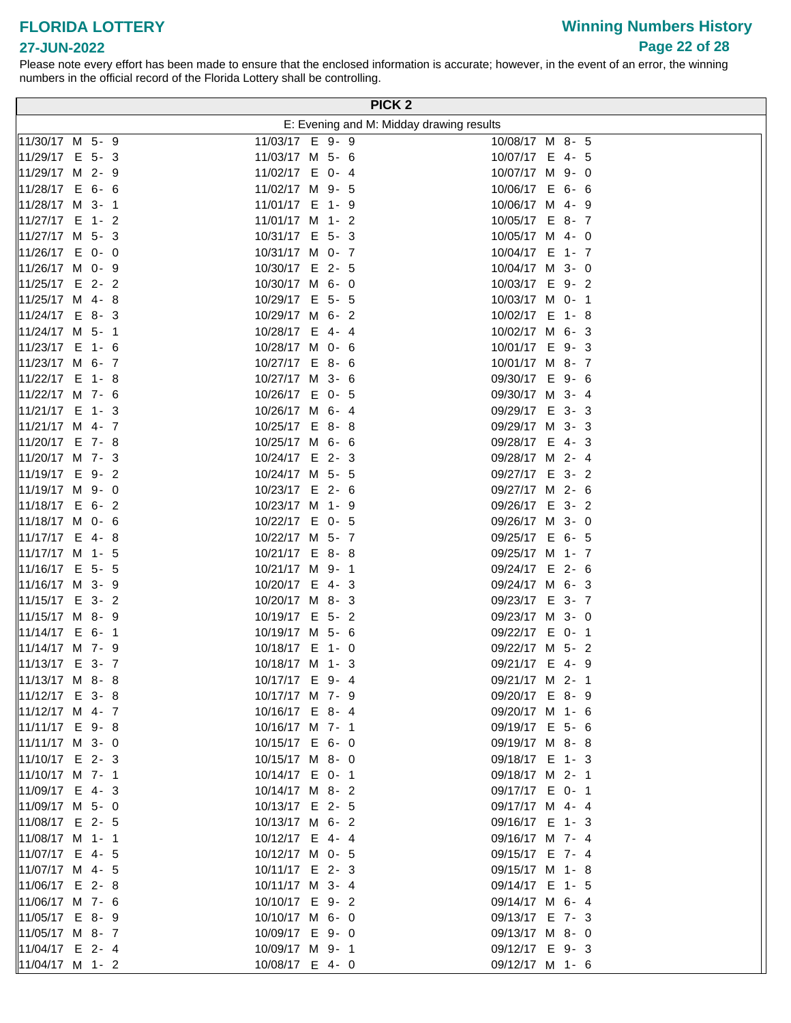# **Winning Numbers History Page 22 of 28**

#### **27-JUN-2022**

|                                    |                                   |  | PICK <sub>2</sub>                        |
|------------------------------------|-----------------------------------|--|------------------------------------------|
|                                    |                                   |  | E: Evening and M: Midday drawing results |
| 11/30/17 M 5- 9                    | 11/03/17 E 9- 9                   |  | 10/08/17 M 8- 5                          |
| 11/29/17 E 5-3                     | 11/03/17 M 5- 6                   |  | 10/07/17 E 4- 5                          |
| 11/29/17 M 2- 9                    | 11/02/17 E 0- 4                   |  | 10/07/17 M 9- 0                          |
| 11/28/17 E 6- 6                    | 11/02/17 M 9- 5                   |  | 10/06/17 E 6- 6                          |
| 11/28/17 M 3- 1                    | 11/01/17 E 1- 9                   |  | 10/06/17 M 4- 9                          |
| 11/27/17 E 1- 2                    | 11/01/17 M 1- 2                   |  | 10/05/17 E 8-7                           |
| $11/27/17$ M 5- 3                  | 10/31/17 E 5- 3                   |  | 10/05/17 M 4- 0                          |
| 11/26/17 E 0- 0                    | 10/31/17 M 0- 7                   |  | 10/04/17 E 1- 7                          |
| 11/26/17 M 0- 9                    | 10/30/17 E 2- 5                   |  | 10/04/17 M 3- 0                          |
| 11/25/17 E 2- 2                    | 10/30/17 M 6- 0                   |  | 10/03/17 E 9-2                           |
| 11/25/17 M 4-8                     | 10/29/17 E 5- 5                   |  | 10/03/17 M 0- 1                          |
| 11/24/17 E 8-3                     | 10/29/17 M 6- 2                   |  | 10/02/17 E 1-8                           |
| 11/24/17 M 5- 1                    | 10/28/17 E 4-4                    |  | 10/02/17 M 6- 3                          |
| 11/23/17 E 1- 6                    | 10/28/17 M 0- 6                   |  | 10/01/17 E 9-3                           |
| 11/23/17 M 6- 7                    | 10/27/17 E 8- 6                   |  | 10/01/17 M 8- 7                          |
| 11/22/17 E 1-8                     | 10/27/17 M 3- 6                   |  | 09/30/17 E 9- 6                          |
| 11/22/17 M 7- 6                    | 10/26/17 E 0- 5                   |  | 09/30/17 M 3- 4                          |
| 11/21/17 E 1-3                     | 10/26/17 M 6- 4                   |  | 09/29/17 E 3-3                           |
| 11/21/17 M 4- 7                    | 10/25/17 E 8-8                    |  | 09/29/17 M 3- 3                          |
| 11/20/17 E 7-8                     | 10/25/17 M 6- 6                   |  | 09/28/17 E 4-3                           |
| 11/20/17 M 7- 3                    | 10/24/17 E 2- 3                   |  | 09/28/17 M 2- 4                          |
| 11/19/17 E 9-2                     | 10/24/17 M 5- 5                   |  | 09/27/17 E 3- 2                          |
| 11/19/17 M 9- 0                    | 10/23/17 E 2- 6                   |  | 09/27/17 M 2- 6                          |
| 11/18/17 E 6- 2                    | 10/23/17 M 1- 9                   |  | 09/26/17 E 3- 2                          |
| 11/18/17 M 0- 6                    | 10/22/17 E 0- 5                   |  | 09/26/17 M 3- 0                          |
| 11/17/17 E 4-8                     | 10/22/17 M 5- 7                   |  | 09/25/17 E 6- 5                          |
| 11/17/17 M 1- 5                    | 10/21/17 E 8-8                    |  | 09/25/17 M 1- 7                          |
| 11/16/17 E 5- 5                    | 10/21/17 M 9- 1                   |  | 09/24/17 E 2- 6                          |
| 11/16/17 M 3- 9                    | 10/20/17 E 4-3                    |  | 09/24/17 M 6- 3                          |
| 11/15/17 E 3- 2                    | 10/20/17 M 8- 3                   |  | 09/23/17 E 3- 7                          |
| 11/15/17 M 8-9                     | 10/19/17 E 5- 2                   |  | 09/23/17 M 3- 0                          |
| 11/14/17 E 6-1                     | 10/19/17 M 5- 6                   |  | 09/22/17 E 0- 1                          |
| 11/14/17 M 7- 9                    | 10/18/17 E 1- 0                   |  | 09/22/17 M 5- 2                          |
| 11/13/17 E 3- 7                    | 10/18/17 M 1- 3                   |  | 09/21/17 E 4- 9                          |
| $11/13/17$ M 8-8                   | 10/17/17 E 9- 4                   |  | 09/21/17 M 2- 1                          |
| 11/12/17 E 3-8                     | 10/17/17 M 7- 9                   |  | 09/20/17 E 8-9                           |
| 11/12/17 M 4- 7                    | 10/16/17 E 8-4                    |  | 09/20/17 M 1- 6                          |
| 11/11/17 E 9-8                     | 10/16/17 M 7- 1                   |  | 09/19/17 E 5- 6                          |
| 11/11/17 M 3- 0                    | 10/15/17 E 6- 0                   |  | 09/19/17 M 8-8                           |
| 11/10/17 E 2- 3                    | 10/15/17 M 8- 0                   |  | 09/18/17 E 1-3                           |
| 11/10/17 M 7- 1                    | 10/14/17 E 0- 1                   |  | 09/18/17 M 2- 1                          |
| 11/09/17 E 4-3                     | 10/14/17 M 8- 2                   |  | 09/17/17 E 0- 1                          |
| 11/09/17 M 5- 0                    | 10/13/17 E 2- 5                   |  | 09/17/17 M 4- 4                          |
| 11/08/17 E 2- 5                    | 10/13/17 M 6- 2                   |  | 09/16/17 E 1- 3                          |
| 11/08/17 M 1- 1<br>11/07/17 E 4- 5 | 10/12/17 E 4-4                    |  | 09/16/17 M 7- 4                          |
| 11/07/17 M 4- 5                    | 10/12/17 M 0- 5<br>10/11/17 E 2-3 |  | 09/15/17 E 7- 4                          |
| 11/06/17 E 2-8                     | 10/11/17 M 3- 4                   |  | 09/15/17 M 1-8<br>09/14/17 E 1- 5        |
| 11/06/17 M 7- 6                    | 10/10/17 E 9- 2                   |  | 09/14/17 M 6- 4                          |
| 11/05/17 E 8-9                     | 10/10/17 M 6- 0                   |  | 09/13/17 E 7- 3                          |
| $\parallel$ 11/05/17 M 8- 7        | 10/09/17 E 9-0                    |  | 09/13/17 M 8- 0                          |
| 11/04/17 E 2-4                     | 10/09/17 M 9- 1                   |  | 09/12/17 E 9-3                           |
| 11/04/17 M 1- 2                    | 10/08/17 E 4- 0                   |  | 09/12/17 M 1- 6                          |
|                                    |                                   |  |                                          |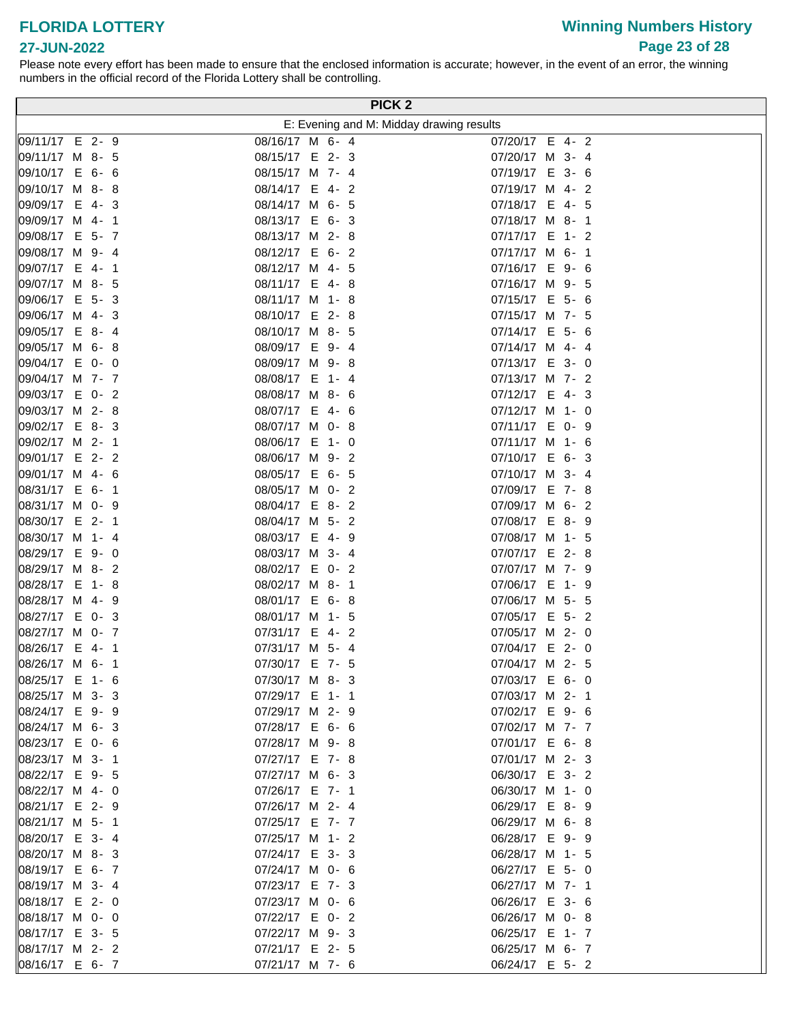# **Winning Numbers History Page 23 of 28**

#### **27-JUN-2022**

| E: Evening and M: Midday drawing results<br>07/20/17 E 4- 2<br>08/16/17 M 6-4<br>09/11/17 M 8- 5<br>08/15/17 E 2- 3<br>07/20/17 M 3- 4<br>08/15/17 M 7- 4<br>07/19/17 E 3- 6<br>08/14/17 E 4-2<br>07/19/17 M 4- 2<br>08/14/17 M 6- 5<br>07/18/17 E 4- 5<br>08/13/17 E 6-3<br>07/18/17 M 8-1<br>09/08/17 E 5- 7<br>08/13/17 M 2-8<br>07/17/17 E 1- 2<br>09/08/17 M 9- 4<br>08/12/17 E 6-2<br>07/17/17 M 6- 1<br>07/16/17 E 9- 6<br>08/12/17 M 4- 5<br>08/11/17 E 4-8<br>07/16/17 M 9- 5<br>09/06/17 E<br>$5 - 3$<br>08/11/17 M 1-8<br>07/15/17 E 5- 6<br>09/06/17 M 4-3<br>08/10/17 E 2-8<br>07/15/17 M 7- 5<br>09/05/17 E<br>8-4<br>08/10/17 M 8- 5<br>07/14/17 E 5- 6<br>08/09/17 E 9-4<br>09/05/17 M 6-8<br>07/14/17 M 4-4<br>09/04/17 E 0- 0<br>08/09/17 M 9-8<br>07/13/17 E 3- 0<br>07/13/17 M 7- 2<br>09/04/17 M 7- 7<br>08/08/17 E 1- 4<br>09/03/17 E<br>07/12/17 E 4-3<br>$0 - 2$<br>08/08/17 M 8- 6<br>09/03/17 M 2-8<br>08/07/17 E<br>07/12/17 M 1- 0<br>4-6<br>09/02/17 E 8-3<br>08/07/17 M 0- 8<br>07/11/17 E 0- 9<br>09/02/17 M 2- 1<br>08/06/17 E<br>07/11/17 M 1- 6<br>$1 - 0$<br>09/01/17 E 2- 2<br>07/10/17 E 6-3<br>08/06/17 M 9- 2<br>09/01/17 M 4- 6<br>08/05/17 E 6- 5<br>07/10/17 M 3- 4<br>08/31/17 E 6- 1<br>07/09/17 E 7-8<br>08/05/17 M 0- 2<br>08/31/17 M 0- 9<br>08/04/17 E 8-2<br>07/09/17 M 6- 2<br>08/30/17 E 2- 1<br>08/04/17 M 5- 2<br>07/08/17 E 8-9<br>08/30/17 M 1- 4<br>08/03/17 E 4- 9<br>07/08/17 M 1- 5<br>08/29/17 E 9-0<br>07/07/17 E 2-8<br>08/03/17 M 3- 4<br>$ 08/29/17 \, M \, 8 - 2$<br>08/02/17 E 0- 2<br>07/07/17 M 7- 9<br>08/28/17 E<br>$1 - 8$<br>07/06/17 E 1- 9<br>08/02/17 M 8- 1<br>08/28/17 M 4- 9<br>08/01/17 E 6-8<br>07/06/17 M 5- 5<br>$0 - 3$<br>08/01/17 M 1- 5<br>07/05/17 E 5- 2<br>07/05/17 M 2- 0<br>07/31/17 E 4- 2<br>07/04/17 E 2-0<br>07/31/17 M 5- 4<br>07/30/17 E 7- 5<br>07/04/17 M 2- 5<br>07/30/17 M 8- 3<br>07/03/17 E 6- 0<br>07/29/17 E 1- 1<br>07/03/17 M 2- 1<br>07/02/17 E 9- 6<br>07/29/17 M 2- 9<br>07/28/17 E 6- 6<br>07/02/17 M 7- 7<br>08/23/17 E 0- 6<br>07/28/17 M 9-8<br>07/01/17 E 6-8<br>08/23/17 M 3- 1<br>07/27/17 E 7-8<br>07/01/17 M 2- 3<br>08/22/17 E 9- 5<br>07/27/17 M 6- 3<br>06/30/17 E 3- 2<br>08/22/17 M 4- 0<br>07/26/17 E 7- 1<br>06/30/17 M 1- 0<br>08/21/17 E 2- 9<br>07/26/17 M 2- 4<br>06/29/17 E 8-9<br>08/21/17 M 5- 1<br>07/25/17 E 7- 7<br>06/29/17 M 6-8<br>08/20/17 E 3- 4<br>07/25/17 M 1- 2<br>06/28/17 E 9- 9<br>08/20/17 M 8- 3<br>07/24/17 E 3- 3<br>06/28/17 M 1- 5<br>08/19/17 E 6- 7<br>06/27/17 E 5- 0<br>07/24/17 M 0- 6<br>08/19/17 M 3- 4<br>07/23/17 E 7- 3<br>06/27/17 M 7- 1<br>08/18/17 E 2- 0<br>07/23/17 M 0- 6<br>06/26/17 E 3- 6<br>08/18/17 M 0- 0<br>07/22/17 E 0- 2<br>06/26/17 M 0-8<br>08/17/17 E 3- 5<br>07/22/17 M 9- 3<br>06/25/17 E 1- 7<br>08/17/17 M 2- 2<br>07/21/17 E 2- 5<br>06/25/17 M 6- 7<br>08/16/17 E 6- 7<br>07/21/17 M 7- 6<br>06/24/17 E 5- 2 |                            | PICK <sub>2</sub> |  |
|------------------------------------------------------------------------------------------------------------------------------------------------------------------------------------------------------------------------------------------------------------------------------------------------------------------------------------------------------------------------------------------------------------------------------------------------------------------------------------------------------------------------------------------------------------------------------------------------------------------------------------------------------------------------------------------------------------------------------------------------------------------------------------------------------------------------------------------------------------------------------------------------------------------------------------------------------------------------------------------------------------------------------------------------------------------------------------------------------------------------------------------------------------------------------------------------------------------------------------------------------------------------------------------------------------------------------------------------------------------------------------------------------------------------------------------------------------------------------------------------------------------------------------------------------------------------------------------------------------------------------------------------------------------------------------------------------------------------------------------------------------------------------------------------------------------------------------------------------------------------------------------------------------------------------------------------------------------------------------------------------------------------------------------------------------------------------------------------------------------------------------------------------------------------------------------------------------------------------------------------------------------------------------------------------------------------------------------------------------------------------------------------------------------------------------------------------------------------------------------------------------------------------------------------------------------------------------------------------------------------------------------------------------------------------------------------------------------------------------------------------------------------------------------------------------------------------------------------------------------------------------------------------------|----------------------------|-------------------|--|
|                                                                                                                                                                                                                                                                                                                                                                                                                                                                                                                                                                                                                                                                                                                                                                                                                                                                                                                                                                                                                                                                                                                                                                                                                                                                                                                                                                                                                                                                                                                                                                                                                                                                                                                                                                                                                                                                                                                                                                                                                                                                                                                                                                                                                                                                                                                                                                                                                                                                                                                                                                                                                                                                                                                                                                                                                                                                                                            |                            |                   |  |
|                                                                                                                                                                                                                                                                                                                                                                                                                                                                                                                                                                                                                                                                                                                                                                                                                                                                                                                                                                                                                                                                                                                                                                                                                                                                                                                                                                                                                                                                                                                                                                                                                                                                                                                                                                                                                                                                                                                                                                                                                                                                                                                                                                                                                                                                                                                                                                                                                                                                                                                                                                                                                                                                                                                                                                                                                                                                                                            | 09/11/17 E 2- 9            |                   |  |
|                                                                                                                                                                                                                                                                                                                                                                                                                                                                                                                                                                                                                                                                                                                                                                                                                                                                                                                                                                                                                                                                                                                                                                                                                                                                                                                                                                                                                                                                                                                                                                                                                                                                                                                                                                                                                                                                                                                                                                                                                                                                                                                                                                                                                                                                                                                                                                                                                                                                                                                                                                                                                                                                                                                                                                                                                                                                                                            |                            |                   |  |
|                                                                                                                                                                                                                                                                                                                                                                                                                                                                                                                                                                                                                                                                                                                                                                                                                                                                                                                                                                                                                                                                                                                                                                                                                                                                                                                                                                                                                                                                                                                                                                                                                                                                                                                                                                                                                                                                                                                                                                                                                                                                                                                                                                                                                                                                                                                                                                                                                                                                                                                                                                                                                                                                                                                                                                                                                                                                                                            | $ 09/10/17 \tE 6 - 6$      |                   |  |
|                                                                                                                                                                                                                                                                                                                                                                                                                                                                                                                                                                                                                                                                                                                                                                                                                                                                                                                                                                                                                                                                                                                                                                                                                                                                                                                                                                                                                                                                                                                                                                                                                                                                                                                                                                                                                                                                                                                                                                                                                                                                                                                                                                                                                                                                                                                                                                                                                                                                                                                                                                                                                                                                                                                                                                                                                                                                                                            | 09/10/17 M 8-8             |                   |  |
|                                                                                                                                                                                                                                                                                                                                                                                                                                                                                                                                                                                                                                                                                                                                                                                                                                                                                                                                                                                                                                                                                                                                                                                                                                                                                                                                                                                                                                                                                                                                                                                                                                                                                                                                                                                                                                                                                                                                                                                                                                                                                                                                                                                                                                                                                                                                                                                                                                                                                                                                                                                                                                                                                                                                                                                                                                                                                                            | 09/09/17 E 4-3             |                   |  |
|                                                                                                                                                                                                                                                                                                                                                                                                                                                                                                                                                                                                                                                                                                                                                                                                                                                                                                                                                                                                                                                                                                                                                                                                                                                                                                                                                                                                                                                                                                                                                                                                                                                                                                                                                                                                                                                                                                                                                                                                                                                                                                                                                                                                                                                                                                                                                                                                                                                                                                                                                                                                                                                                                                                                                                                                                                                                                                            | 09/09/17 M 4- 1            |                   |  |
|                                                                                                                                                                                                                                                                                                                                                                                                                                                                                                                                                                                                                                                                                                                                                                                                                                                                                                                                                                                                                                                                                                                                                                                                                                                                                                                                                                                                                                                                                                                                                                                                                                                                                                                                                                                                                                                                                                                                                                                                                                                                                                                                                                                                                                                                                                                                                                                                                                                                                                                                                                                                                                                                                                                                                                                                                                                                                                            |                            |                   |  |
|                                                                                                                                                                                                                                                                                                                                                                                                                                                                                                                                                                                                                                                                                                                                                                                                                                                                                                                                                                                                                                                                                                                                                                                                                                                                                                                                                                                                                                                                                                                                                                                                                                                                                                                                                                                                                                                                                                                                                                                                                                                                                                                                                                                                                                                                                                                                                                                                                                                                                                                                                                                                                                                                                                                                                                                                                                                                                                            |                            |                   |  |
|                                                                                                                                                                                                                                                                                                                                                                                                                                                                                                                                                                                                                                                                                                                                                                                                                                                                                                                                                                                                                                                                                                                                                                                                                                                                                                                                                                                                                                                                                                                                                                                                                                                                                                                                                                                                                                                                                                                                                                                                                                                                                                                                                                                                                                                                                                                                                                                                                                                                                                                                                                                                                                                                                                                                                                                                                                                                                                            | 09/07/17 E 4- 1            |                   |  |
|                                                                                                                                                                                                                                                                                                                                                                                                                                                                                                                                                                                                                                                                                                                                                                                                                                                                                                                                                                                                                                                                                                                                                                                                                                                                                                                                                                                                                                                                                                                                                                                                                                                                                                                                                                                                                                                                                                                                                                                                                                                                                                                                                                                                                                                                                                                                                                                                                                                                                                                                                                                                                                                                                                                                                                                                                                                                                                            | 09/07/17 M 8- 5            |                   |  |
|                                                                                                                                                                                                                                                                                                                                                                                                                                                                                                                                                                                                                                                                                                                                                                                                                                                                                                                                                                                                                                                                                                                                                                                                                                                                                                                                                                                                                                                                                                                                                                                                                                                                                                                                                                                                                                                                                                                                                                                                                                                                                                                                                                                                                                                                                                                                                                                                                                                                                                                                                                                                                                                                                                                                                                                                                                                                                                            |                            |                   |  |
|                                                                                                                                                                                                                                                                                                                                                                                                                                                                                                                                                                                                                                                                                                                                                                                                                                                                                                                                                                                                                                                                                                                                                                                                                                                                                                                                                                                                                                                                                                                                                                                                                                                                                                                                                                                                                                                                                                                                                                                                                                                                                                                                                                                                                                                                                                                                                                                                                                                                                                                                                                                                                                                                                                                                                                                                                                                                                                            |                            |                   |  |
|                                                                                                                                                                                                                                                                                                                                                                                                                                                                                                                                                                                                                                                                                                                                                                                                                                                                                                                                                                                                                                                                                                                                                                                                                                                                                                                                                                                                                                                                                                                                                                                                                                                                                                                                                                                                                                                                                                                                                                                                                                                                                                                                                                                                                                                                                                                                                                                                                                                                                                                                                                                                                                                                                                                                                                                                                                                                                                            |                            |                   |  |
|                                                                                                                                                                                                                                                                                                                                                                                                                                                                                                                                                                                                                                                                                                                                                                                                                                                                                                                                                                                                                                                                                                                                                                                                                                                                                                                                                                                                                                                                                                                                                                                                                                                                                                                                                                                                                                                                                                                                                                                                                                                                                                                                                                                                                                                                                                                                                                                                                                                                                                                                                                                                                                                                                                                                                                                                                                                                                                            |                            |                   |  |
|                                                                                                                                                                                                                                                                                                                                                                                                                                                                                                                                                                                                                                                                                                                                                                                                                                                                                                                                                                                                                                                                                                                                                                                                                                                                                                                                                                                                                                                                                                                                                                                                                                                                                                                                                                                                                                                                                                                                                                                                                                                                                                                                                                                                                                                                                                                                                                                                                                                                                                                                                                                                                                                                                                                                                                                                                                                                                                            |                            |                   |  |
|                                                                                                                                                                                                                                                                                                                                                                                                                                                                                                                                                                                                                                                                                                                                                                                                                                                                                                                                                                                                                                                                                                                                                                                                                                                                                                                                                                                                                                                                                                                                                                                                                                                                                                                                                                                                                                                                                                                                                                                                                                                                                                                                                                                                                                                                                                                                                                                                                                                                                                                                                                                                                                                                                                                                                                                                                                                                                                            |                            |                   |  |
|                                                                                                                                                                                                                                                                                                                                                                                                                                                                                                                                                                                                                                                                                                                                                                                                                                                                                                                                                                                                                                                                                                                                                                                                                                                                                                                                                                                                                                                                                                                                                                                                                                                                                                                                                                                                                                                                                                                                                                                                                                                                                                                                                                                                                                                                                                                                                                                                                                                                                                                                                                                                                                                                                                                                                                                                                                                                                                            |                            |                   |  |
|                                                                                                                                                                                                                                                                                                                                                                                                                                                                                                                                                                                                                                                                                                                                                                                                                                                                                                                                                                                                                                                                                                                                                                                                                                                                                                                                                                                                                                                                                                                                                                                                                                                                                                                                                                                                                                                                                                                                                                                                                                                                                                                                                                                                                                                                                                                                                                                                                                                                                                                                                                                                                                                                                                                                                                                                                                                                                                            |                            |                   |  |
|                                                                                                                                                                                                                                                                                                                                                                                                                                                                                                                                                                                                                                                                                                                                                                                                                                                                                                                                                                                                                                                                                                                                                                                                                                                                                                                                                                                                                                                                                                                                                                                                                                                                                                                                                                                                                                                                                                                                                                                                                                                                                                                                                                                                                                                                                                                                                                                                                                                                                                                                                                                                                                                                                                                                                                                                                                                                                                            |                            |                   |  |
|                                                                                                                                                                                                                                                                                                                                                                                                                                                                                                                                                                                                                                                                                                                                                                                                                                                                                                                                                                                                                                                                                                                                                                                                                                                                                                                                                                                                                                                                                                                                                                                                                                                                                                                                                                                                                                                                                                                                                                                                                                                                                                                                                                                                                                                                                                                                                                                                                                                                                                                                                                                                                                                                                                                                                                                                                                                                                                            |                            |                   |  |
|                                                                                                                                                                                                                                                                                                                                                                                                                                                                                                                                                                                                                                                                                                                                                                                                                                                                                                                                                                                                                                                                                                                                                                                                                                                                                                                                                                                                                                                                                                                                                                                                                                                                                                                                                                                                                                                                                                                                                                                                                                                                                                                                                                                                                                                                                                                                                                                                                                                                                                                                                                                                                                                                                                                                                                                                                                                                                                            |                            |                   |  |
|                                                                                                                                                                                                                                                                                                                                                                                                                                                                                                                                                                                                                                                                                                                                                                                                                                                                                                                                                                                                                                                                                                                                                                                                                                                                                                                                                                                                                                                                                                                                                                                                                                                                                                                                                                                                                                                                                                                                                                                                                                                                                                                                                                                                                                                                                                                                                                                                                                                                                                                                                                                                                                                                                                                                                                                                                                                                                                            |                            |                   |  |
|                                                                                                                                                                                                                                                                                                                                                                                                                                                                                                                                                                                                                                                                                                                                                                                                                                                                                                                                                                                                                                                                                                                                                                                                                                                                                                                                                                                                                                                                                                                                                                                                                                                                                                                                                                                                                                                                                                                                                                                                                                                                                                                                                                                                                                                                                                                                                                                                                                                                                                                                                                                                                                                                                                                                                                                                                                                                                                            |                            |                   |  |
|                                                                                                                                                                                                                                                                                                                                                                                                                                                                                                                                                                                                                                                                                                                                                                                                                                                                                                                                                                                                                                                                                                                                                                                                                                                                                                                                                                                                                                                                                                                                                                                                                                                                                                                                                                                                                                                                                                                                                                                                                                                                                                                                                                                                                                                                                                                                                                                                                                                                                                                                                                                                                                                                                                                                                                                                                                                                                                            |                            |                   |  |
|                                                                                                                                                                                                                                                                                                                                                                                                                                                                                                                                                                                                                                                                                                                                                                                                                                                                                                                                                                                                                                                                                                                                                                                                                                                                                                                                                                                                                                                                                                                                                                                                                                                                                                                                                                                                                                                                                                                                                                                                                                                                                                                                                                                                                                                                                                                                                                                                                                                                                                                                                                                                                                                                                                                                                                                                                                                                                                            |                            |                   |  |
|                                                                                                                                                                                                                                                                                                                                                                                                                                                                                                                                                                                                                                                                                                                                                                                                                                                                                                                                                                                                                                                                                                                                                                                                                                                                                                                                                                                                                                                                                                                                                                                                                                                                                                                                                                                                                                                                                                                                                                                                                                                                                                                                                                                                                                                                                                                                                                                                                                                                                                                                                                                                                                                                                                                                                                                                                                                                                                            |                            |                   |  |
|                                                                                                                                                                                                                                                                                                                                                                                                                                                                                                                                                                                                                                                                                                                                                                                                                                                                                                                                                                                                                                                                                                                                                                                                                                                                                                                                                                                                                                                                                                                                                                                                                                                                                                                                                                                                                                                                                                                                                                                                                                                                                                                                                                                                                                                                                                                                                                                                                                                                                                                                                                                                                                                                                                                                                                                                                                                                                                            |                            |                   |  |
|                                                                                                                                                                                                                                                                                                                                                                                                                                                                                                                                                                                                                                                                                                                                                                                                                                                                                                                                                                                                                                                                                                                                                                                                                                                                                                                                                                                                                                                                                                                                                                                                                                                                                                                                                                                                                                                                                                                                                                                                                                                                                                                                                                                                                                                                                                                                                                                                                                                                                                                                                                                                                                                                                                                                                                                                                                                                                                            |                            |                   |  |
|                                                                                                                                                                                                                                                                                                                                                                                                                                                                                                                                                                                                                                                                                                                                                                                                                                                                                                                                                                                                                                                                                                                                                                                                                                                                                                                                                                                                                                                                                                                                                                                                                                                                                                                                                                                                                                                                                                                                                                                                                                                                                                                                                                                                                                                                                                                                                                                                                                                                                                                                                                                                                                                                                                                                                                                                                                                                                                            |                            |                   |  |
|                                                                                                                                                                                                                                                                                                                                                                                                                                                                                                                                                                                                                                                                                                                                                                                                                                                                                                                                                                                                                                                                                                                                                                                                                                                                                                                                                                                                                                                                                                                                                                                                                                                                                                                                                                                                                                                                                                                                                                                                                                                                                                                                                                                                                                                                                                                                                                                                                                                                                                                                                                                                                                                                                                                                                                                                                                                                                                            | 08/27/17 E                 |                   |  |
|                                                                                                                                                                                                                                                                                                                                                                                                                                                                                                                                                                                                                                                                                                                                                                                                                                                                                                                                                                                                                                                                                                                                                                                                                                                                                                                                                                                                                                                                                                                                                                                                                                                                                                                                                                                                                                                                                                                                                                                                                                                                                                                                                                                                                                                                                                                                                                                                                                                                                                                                                                                                                                                                                                                                                                                                                                                                                                            | 08/27/17 M 0- 7            |                   |  |
|                                                                                                                                                                                                                                                                                                                                                                                                                                                                                                                                                                                                                                                                                                                                                                                                                                                                                                                                                                                                                                                                                                                                                                                                                                                                                                                                                                                                                                                                                                                                                                                                                                                                                                                                                                                                                                                                                                                                                                                                                                                                                                                                                                                                                                                                                                                                                                                                                                                                                                                                                                                                                                                                                                                                                                                                                                                                                                            | 08/26/17 E 4- 1            |                   |  |
|                                                                                                                                                                                                                                                                                                                                                                                                                                                                                                                                                                                                                                                                                                                                                                                                                                                                                                                                                                                                                                                                                                                                                                                                                                                                                                                                                                                                                                                                                                                                                                                                                                                                                                                                                                                                                                                                                                                                                                                                                                                                                                                                                                                                                                                                                                                                                                                                                                                                                                                                                                                                                                                                                                                                                                                                                                                                                                            | 08/26/17 M 6- 1            |                   |  |
|                                                                                                                                                                                                                                                                                                                                                                                                                                                                                                                                                                                                                                                                                                                                                                                                                                                                                                                                                                                                                                                                                                                                                                                                                                                                                                                                                                                                                                                                                                                                                                                                                                                                                                                                                                                                                                                                                                                                                                                                                                                                                                                                                                                                                                                                                                                                                                                                                                                                                                                                                                                                                                                                                                                                                                                                                                                                                                            | 08/25/17 E 1- 6            |                   |  |
|                                                                                                                                                                                                                                                                                                                                                                                                                                                                                                                                                                                                                                                                                                                                                                                                                                                                                                                                                                                                                                                                                                                                                                                                                                                                                                                                                                                                                                                                                                                                                                                                                                                                                                                                                                                                                                                                                                                                                                                                                                                                                                                                                                                                                                                                                                                                                                                                                                                                                                                                                                                                                                                                                                                                                                                                                                                                                                            | $ 08/25/17 \, M \, 3 - 3$  |                   |  |
|                                                                                                                                                                                                                                                                                                                                                                                                                                                                                                                                                                                                                                                                                                                                                                                                                                                                                                                                                                                                                                                                                                                                                                                                                                                                                                                                                                                                                                                                                                                                                                                                                                                                                                                                                                                                                                                                                                                                                                                                                                                                                                                                                                                                                                                                                                                                                                                                                                                                                                                                                                                                                                                                                                                                                                                                                                                                                                            | $ 08/24/17 \tE 9 - 9$      |                   |  |
|                                                                                                                                                                                                                                                                                                                                                                                                                                                                                                                                                                                                                                                                                                                                                                                                                                                                                                                                                                                                                                                                                                                                                                                                                                                                                                                                                                                                                                                                                                                                                                                                                                                                                                                                                                                                                                                                                                                                                                                                                                                                                                                                                                                                                                                                                                                                                                                                                                                                                                                                                                                                                                                                                                                                                                                                                                                                                                            | $ 08/24/17 \, M \, 6 - 3 $ |                   |  |
|                                                                                                                                                                                                                                                                                                                                                                                                                                                                                                                                                                                                                                                                                                                                                                                                                                                                                                                                                                                                                                                                                                                                                                                                                                                                                                                                                                                                                                                                                                                                                                                                                                                                                                                                                                                                                                                                                                                                                                                                                                                                                                                                                                                                                                                                                                                                                                                                                                                                                                                                                                                                                                                                                                                                                                                                                                                                                                            |                            |                   |  |
|                                                                                                                                                                                                                                                                                                                                                                                                                                                                                                                                                                                                                                                                                                                                                                                                                                                                                                                                                                                                                                                                                                                                                                                                                                                                                                                                                                                                                                                                                                                                                                                                                                                                                                                                                                                                                                                                                                                                                                                                                                                                                                                                                                                                                                                                                                                                                                                                                                                                                                                                                                                                                                                                                                                                                                                                                                                                                                            |                            |                   |  |
|                                                                                                                                                                                                                                                                                                                                                                                                                                                                                                                                                                                                                                                                                                                                                                                                                                                                                                                                                                                                                                                                                                                                                                                                                                                                                                                                                                                                                                                                                                                                                                                                                                                                                                                                                                                                                                                                                                                                                                                                                                                                                                                                                                                                                                                                                                                                                                                                                                                                                                                                                                                                                                                                                                                                                                                                                                                                                                            |                            |                   |  |
|                                                                                                                                                                                                                                                                                                                                                                                                                                                                                                                                                                                                                                                                                                                                                                                                                                                                                                                                                                                                                                                                                                                                                                                                                                                                                                                                                                                                                                                                                                                                                                                                                                                                                                                                                                                                                                                                                                                                                                                                                                                                                                                                                                                                                                                                                                                                                                                                                                                                                                                                                                                                                                                                                                                                                                                                                                                                                                            |                            |                   |  |
|                                                                                                                                                                                                                                                                                                                                                                                                                                                                                                                                                                                                                                                                                                                                                                                                                                                                                                                                                                                                                                                                                                                                                                                                                                                                                                                                                                                                                                                                                                                                                                                                                                                                                                                                                                                                                                                                                                                                                                                                                                                                                                                                                                                                                                                                                                                                                                                                                                                                                                                                                                                                                                                                                                                                                                                                                                                                                                            |                            |                   |  |
|                                                                                                                                                                                                                                                                                                                                                                                                                                                                                                                                                                                                                                                                                                                                                                                                                                                                                                                                                                                                                                                                                                                                                                                                                                                                                                                                                                                                                                                                                                                                                                                                                                                                                                                                                                                                                                                                                                                                                                                                                                                                                                                                                                                                                                                                                                                                                                                                                                                                                                                                                                                                                                                                                                                                                                                                                                                                                                            |                            |                   |  |
|                                                                                                                                                                                                                                                                                                                                                                                                                                                                                                                                                                                                                                                                                                                                                                                                                                                                                                                                                                                                                                                                                                                                                                                                                                                                                                                                                                                                                                                                                                                                                                                                                                                                                                                                                                                                                                                                                                                                                                                                                                                                                                                                                                                                                                                                                                                                                                                                                                                                                                                                                                                                                                                                                                                                                                                                                                                                                                            |                            |                   |  |
|                                                                                                                                                                                                                                                                                                                                                                                                                                                                                                                                                                                                                                                                                                                                                                                                                                                                                                                                                                                                                                                                                                                                                                                                                                                                                                                                                                                                                                                                                                                                                                                                                                                                                                                                                                                                                                                                                                                                                                                                                                                                                                                                                                                                                                                                                                                                                                                                                                                                                                                                                                                                                                                                                                                                                                                                                                                                                                            |                            |                   |  |
|                                                                                                                                                                                                                                                                                                                                                                                                                                                                                                                                                                                                                                                                                                                                                                                                                                                                                                                                                                                                                                                                                                                                                                                                                                                                                                                                                                                                                                                                                                                                                                                                                                                                                                                                                                                                                                                                                                                                                                                                                                                                                                                                                                                                                                                                                                                                                                                                                                                                                                                                                                                                                                                                                                                                                                                                                                                                                                            |                            |                   |  |
|                                                                                                                                                                                                                                                                                                                                                                                                                                                                                                                                                                                                                                                                                                                                                                                                                                                                                                                                                                                                                                                                                                                                                                                                                                                                                                                                                                                                                                                                                                                                                                                                                                                                                                                                                                                                                                                                                                                                                                                                                                                                                                                                                                                                                                                                                                                                                                                                                                                                                                                                                                                                                                                                                                                                                                                                                                                                                                            |                            |                   |  |
|                                                                                                                                                                                                                                                                                                                                                                                                                                                                                                                                                                                                                                                                                                                                                                                                                                                                                                                                                                                                                                                                                                                                                                                                                                                                                                                                                                                                                                                                                                                                                                                                                                                                                                                                                                                                                                                                                                                                                                                                                                                                                                                                                                                                                                                                                                                                                                                                                                                                                                                                                                                                                                                                                                                                                                                                                                                                                                            |                            |                   |  |
|                                                                                                                                                                                                                                                                                                                                                                                                                                                                                                                                                                                                                                                                                                                                                                                                                                                                                                                                                                                                                                                                                                                                                                                                                                                                                                                                                                                                                                                                                                                                                                                                                                                                                                                                                                                                                                                                                                                                                                                                                                                                                                                                                                                                                                                                                                                                                                                                                                                                                                                                                                                                                                                                                                                                                                                                                                                                                                            |                            |                   |  |
|                                                                                                                                                                                                                                                                                                                                                                                                                                                                                                                                                                                                                                                                                                                                                                                                                                                                                                                                                                                                                                                                                                                                                                                                                                                                                                                                                                                                                                                                                                                                                                                                                                                                                                                                                                                                                                                                                                                                                                                                                                                                                                                                                                                                                                                                                                                                                                                                                                                                                                                                                                                                                                                                                                                                                                                                                                                                                                            |                            |                   |  |
|                                                                                                                                                                                                                                                                                                                                                                                                                                                                                                                                                                                                                                                                                                                                                                                                                                                                                                                                                                                                                                                                                                                                                                                                                                                                                                                                                                                                                                                                                                                                                                                                                                                                                                                                                                                                                                                                                                                                                                                                                                                                                                                                                                                                                                                                                                                                                                                                                                                                                                                                                                                                                                                                                                                                                                                                                                                                                                            |                            |                   |  |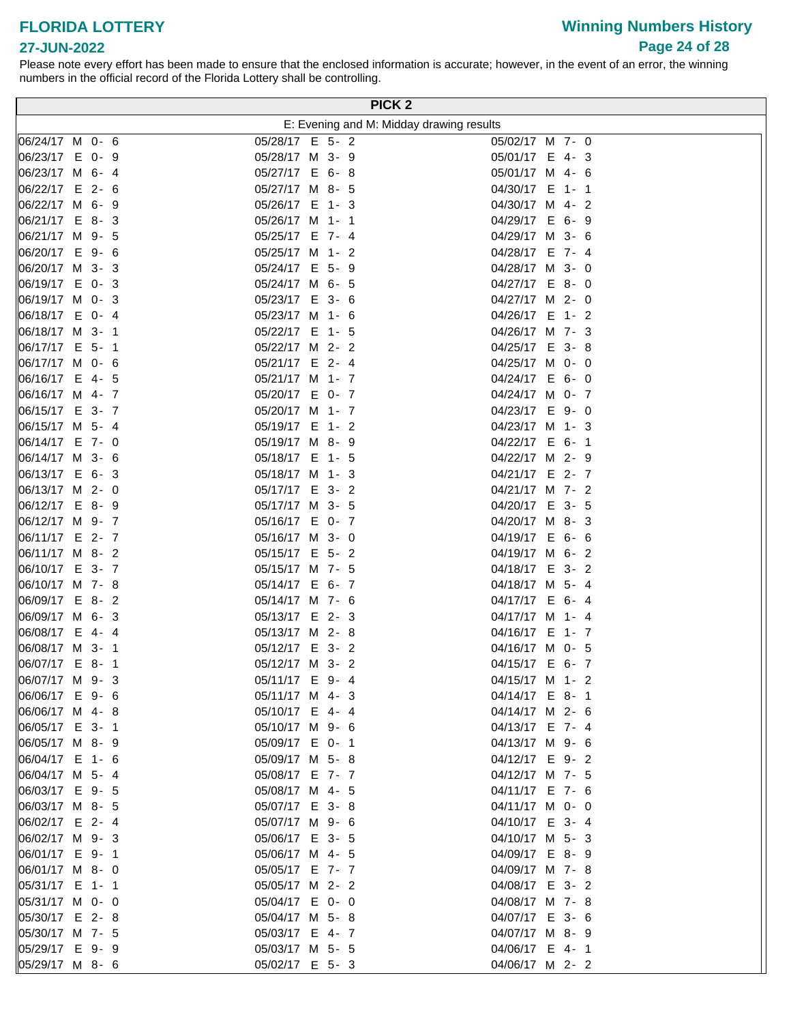# **Winning Numbers History Page 24 of 28**

### **27-JUN-2022**

|                                   |  |                                    |         |  | <b>PICK 2</b>                            |
|-----------------------------------|--|------------------------------------|---------|--|------------------------------------------|
|                                   |  |                                    |         |  | E: Evening and M: Midday drawing results |
| 06/24/17 M 0- 6                   |  | 05/28/17 E 5- 2                    |         |  | 05/02/17 M 7- 0                          |
| 06/23/17 E 0- 9                   |  | 05/28/17 M 3- 9                    |         |  | 05/01/17 E 4-3                           |
| 06/23/17 M 6-4                    |  | 05/27/17 E 6-8                     |         |  | 05/01/17 M 4- 6                          |
| 06/22/17 E 2- 6                   |  | 05/27/17 M 8- 5                    |         |  | 04/30/17 E 1- 1                          |
| 06/22/17 M 6- 9                   |  | 05/26/17 E 1- 3                    |         |  | 04/30/17 M 4- 2                          |
| 06/21/17 E 8-3                    |  | 05/26/17 M 1- 1                    |         |  | 04/29/17 E 6- 9                          |
| 06/21/17 M 9- 5                   |  | 05/25/17 E 7- 4                    |         |  | 04/29/17 M 3- 6                          |
| 06/20/17 E 9- 6                   |  | 05/25/17 M 1- 2                    |         |  | 04/28/17 E 7- 4                          |
| 06/20/17 M 3- 3                   |  | 05/24/17 E 5- 9                    |         |  | 04/28/17 M 3- 0                          |
| 06/19/17 E 0-3                    |  | 05/24/17 M 6- 5                    |         |  | 04/27/17 E 8-0                           |
| 06/19/17 M 0- 3                   |  | 05/23/17 E 3- 6                    |         |  | 04/27/17 M 2- 0                          |
| 06/18/17 E 0- 4                   |  | 05/23/17 M 1- 6                    |         |  | 04/26/17 E 1-2                           |
| 06/18/17 M 3- 1                   |  | 05/22/17 E 1- 5                    |         |  | 04/26/17 M 7- 3                          |
| 06/17/17 E 5- 1                   |  | 05/22/17 M 2- 2                    |         |  | 04/25/17 E 3-8                           |
| 06/17/17 M 0- 6                   |  | 05/21/17 E 2- 4                    |         |  | 04/25/17 M 0- 0                          |
| 06/16/17 E 4- 5                   |  | 05/21/17 M 1- 7                    |         |  | 04/24/17 E 6- 0                          |
| 06/16/17 M 4- 7                   |  | 05/20/17 E 0- 7                    |         |  | 04/24/17 M 0- 7                          |
| 06/15/17 E 3- 7                   |  | 05/20/17 M 1- 7                    |         |  | 04/23/17 E 9-0                           |
| 06/15/17 M 5- 4                   |  | 05/19/17 E                         | $1 - 2$ |  | 04/23/17 M 1- 3                          |
| 06/14/17 E 7- 0                   |  | 05/19/17 M 8- 9                    |         |  | 04/22/17 E 6- 1                          |
| 06/14/17 M 3- 6                   |  | 05/18/17 E 1- 5                    |         |  | 04/22/17 M 2- 9                          |
| $ 06/13/17 \tE 6 - 3$             |  | 05/18/17 M 1- 3                    |         |  | 04/21/17 E 2- 7                          |
| 06/13/17 M 2- 0                   |  | 05/17/17 E 3- 2                    |         |  | 04/21/17 M 7- 2                          |
| 06/12/17 E 8-9                    |  | 05/17/17 M 3- 5                    |         |  | 04/20/17 E 3- 5                          |
| 06/12/17 M 9- 7                   |  | 05/16/17 E 0- 7                    |         |  | 04/20/17 M 8-3                           |
| 06/11/17 E 2- 7                   |  | 05/16/17 M 3- 0                    |         |  | 04/19/17 E 6- 6                          |
| 06/11/17 M 8- 2                   |  | 05/15/17 E 5- 2                    |         |  | 04/19/17 M 6- 2                          |
| 06/10/17 E 3-7                    |  | 05/15/17 M 7- 5                    |         |  | 04/18/17 E 3- 2                          |
| 06/10/17 M 7-8                    |  | 05/14/17 E 6- 7                    |         |  | 04/18/17 M 5- 4                          |
| 06/09/17 E 8-2<br>06/09/17 M 6- 3 |  | 05/14/17 M 7- 6<br>05/13/17 E 2- 3 |         |  | 04/17/17 E 6-4<br>04/17/17 M 1- 4        |
| 06/08/17 E 4-4                    |  | 05/13/17 M 2-8                     |         |  | 04/16/17 E 1- 7                          |
| 06/08/17 M 3- 1                   |  | 05/12/17 E 3- 2                    |         |  | 04/16/17 M 0- 5                          |
| 06/07/17 E 8-1                    |  | 05/12/17 M 3- 2                    |         |  | 04/15/17 E 6- 7                          |
| 06/07/17 M 9-3                    |  | 05/11/17 E 9- 4                    |         |  | 04/15/17 M 1- 2                          |
| 06/06/17 E 9-6                    |  | 05/11/17 M 4- 3                    |         |  | 04/14/17 E 8-1                           |
| 06/06/17 M 4-8                    |  | 05/10/17 E 4-4                     |         |  | 04/14/17 M 2- 6                          |
| 06/05/17 E 3-1                    |  | 05/10/17 M 9- 6                    |         |  | 04/13/17 E 7- 4                          |
| 06/05/17 M 8-9                    |  | 05/09/17 E 0- 1                    |         |  | 04/13/17 M 9- 6                          |
| 06/04/17 E 1- 6                   |  | 05/09/17 M 5-8                     |         |  | 04/12/17 E 9- 2                          |
| 06/04/17 M 5- 4                   |  | 05/08/17 E 7- 7                    |         |  | 04/12/17 M 7- 5                          |
| 06/03/17 E 9- 5                   |  | 05/08/17 M 4- 5                    |         |  | 04/11/17 E 7- 6                          |
| 06/03/17 M 8- 5                   |  | 05/07/17 E 3-8                     |         |  | 04/11/17 M 0- 0                          |
| 06/02/17 E 2- 4                   |  | 05/07/17 M 9- 6                    |         |  | 04/10/17 E 3- 4                          |
| 06/02/17 M 9-3                    |  | 05/06/17 E 3- 5                    |         |  | 04/10/17 M 5- 3                          |
| 06/01/17 E 9- 1                   |  | 05/06/17 M 4- 5                    |         |  | 04/09/17 E 8-9                           |
| 06/01/17 M 8-0                    |  | 05/05/17 E 7- 7                    |         |  | 04/09/17 M 7-8                           |
| 05/31/17 E 1- 1                   |  | 05/05/17 M 2- 2                    |         |  | 04/08/17 E 3- 2                          |
| 05/31/17 M 0- 0                   |  | 05/04/17 E 0- 0                    |         |  | 04/08/17 M 7-8                           |
| 05/30/17 E 2-8                    |  | 05/04/17 M 5-8                     |         |  | 04/07/17 E 3- 6                          |
| 05/30/17 M 7- 5                   |  | 05/03/17 E 4- 7                    |         |  | 04/07/17 M 8- 9                          |
| 05/29/17 E 9-9                    |  | 05/03/17 M 5- 5                    |         |  | 04/06/17 E 4- 1                          |
| 05/29/17 M 8- 6                   |  | 05/02/17 E 5- 3                    |         |  | 04/06/17 M 2- 2                          |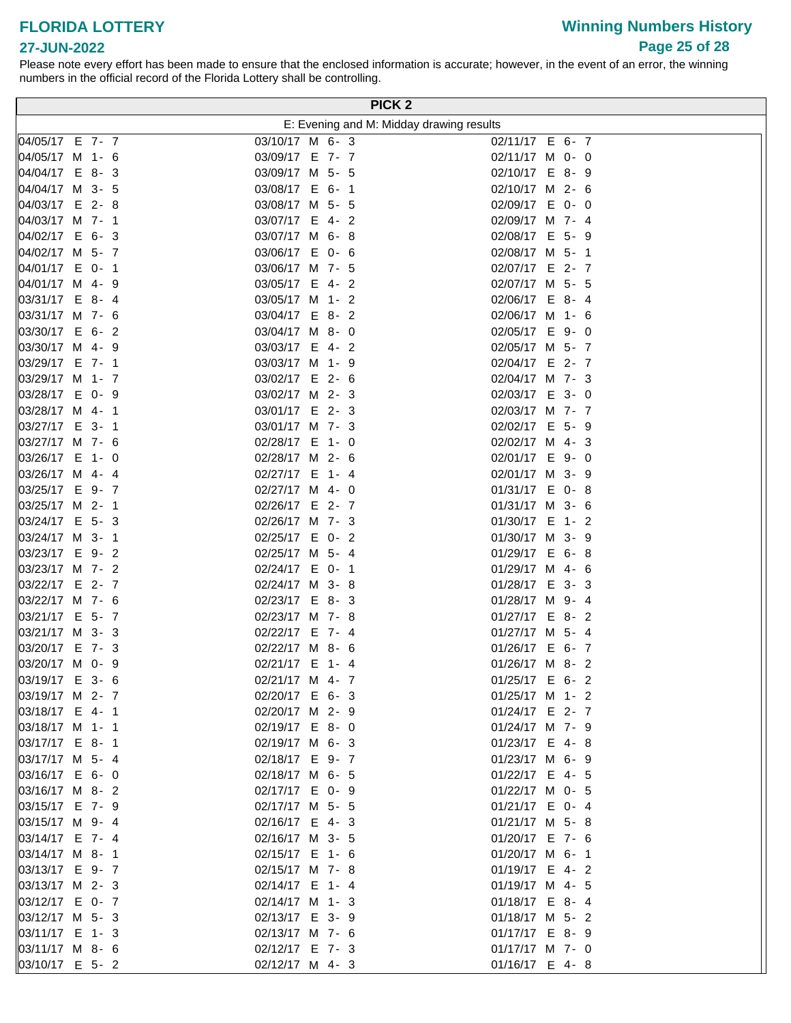# **Winning Numbers History Page 25 of 28**

#### **27-JUN-2022**

|                                    |                                  |  | <b>PICK 2</b>                            |                                   |  |  |
|------------------------------------|----------------------------------|--|------------------------------------------|-----------------------------------|--|--|
|                                    |                                  |  | E: Evening and M: Midday drawing results |                                   |  |  |
| 04/05/17 E 7- 7                    | 03/10/17 M 6- 3                  |  |                                          | 02/11/17 E 6- 7                   |  |  |
| 04/05/17 M 1- 6                    | 03/09/17 E 7- 7                  |  |                                          | 02/11/17 M 0- 0                   |  |  |
| 04/04/17 E 8-3                     | 03/09/17 M 5- 5                  |  |                                          | 02/10/17 E 8- 9                   |  |  |
| 04/04/17 M 3- 5                    | 03/08/17 E 6- 1                  |  |                                          | 02/10/17 M 2- 6                   |  |  |
| 04/03/17 E 2-8                     | 03/08/17 M 5- 5                  |  |                                          | 02/09/17 E 0- 0                   |  |  |
| 04/03/17 M 7- 1                    | 03/07/17 E 4-2                   |  |                                          | 02/09/17 M 7- 4                   |  |  |
| 04/02/17 E 6-3                     | 03/07/17 M 6-8                   |  |                                          | 02/08/17 E 5- 9                   |  |  |
| 04/02/17 M 5- 7                    | 03/06/17 E 0- 6                  |  |                                          | 02/08/17 M 5- 1                   |  |  |
| 04/01/17 E 0- 1                    | 03/06/17 M 7- 5                  |  |                                          | 02/07/17 E 2-7                    |  |  |
| 04/01/17 M 4-9                     | 03/05/17 E 4- 2                  |  |                                          | 02/07/17 M 5- 5                   |  |  |
| 03/31/17 E 8-4                     | 03/05/17 M 1- 2                  |  |                                          | 02/06/17 E 8-4                    |  |  |
| 03/31/17 M 7- 6                    | 03/04/17 E 8-2                   |  |                                          | 02/06/17 M 1- 6                   |  |  |
| 03/30/17 E 6- 2                    | 03/04/17 M 8- 0                  |  |                                          | 02/05/17 E 9- 0                   |  |  |
| 03/30/17 M 4-9                     | 03/03/17 E 4- 2                  |  |                                          | 02/05/17 M 5- 7                   |  |  |
| 03/29/17 E 7-1                     | 03/03/17 M 1- 9                  |  |                                          | 02/04/17 E 2- 7                   |  |  |
| 03/29/17 M 1- 7                    | 03/02/17 E 2- 6                  |  |                                          | 02/04/17 M 7- 3                   |  |  |
| 03/28/17 E 0- 9                    | 03/02/17 M 2- 3                  |  |                                          | 02/03/17 E 3- 0                   |  |  |
| 03/28/17 M 4- 1                    | 03/01/17 E 2-3                   |  |                                          | 02/03/17 M 7- 7                   |  |  |
| 03/27/17 E 3- 1                    | 03/01/17 M 7- 3                  |  |                                          | 02/02/17 E 5- 9                   |  |  |
| 03/27/17 M 7- 6                    | 02/28/17 E 1- 0                  |  |                                          | 02/02/17 M 4- 3                   |  |  |
| 03/26/17 E 1- 0                    | 02/28/17 M 2- 6                  |  |                                          | 02/01/17 E 9-0                    |  |  |
| 03/26/17 M 4- 4                    | 02/27/17 E 1- 4                  |  |                                          | 02/01/17 M 3- 9                   |  |  |
| 03/25/17 E 9-7                     | 02/27/17 M 4- 0                  |  |                                          | 01/31/17 E 0-8                    |  |  |
| 03/25/17 M 2- 1                    | 02/26/17 E 2- 7                  |  |                                          | 01/31/17 M 3- 6                   |  |  |
| 03/24/17 E 5- 3                    | 02/26/17 M 7- 3                  |  |                                          | 01/30/17 E 1- 2                   |  |  |
| 03/24/17 M 3- 1                    | 02/25/17 E 0- 2                  |  |                                          | 01/30/17 M 3- 9                   |  |  |
| 03/23/17 E 9-2                     | 02/25/17 M 5- 4                  |  |                                          | 01/29/17 E 6-8                    |  |  |
| 03/23/17 M 7- 2                    | 02/24/17 E 0- 1                  |  |                                          | 01/29/17 M 4- 6                   |  |  |
| 03/22/17 E 2- 7<br>03/22/17 M 7- 6 | 02/24/17 M 3-8<br>02/23/17 E 8-3 |  |                                          | 01/28/17 E 3- 3                   |  |  |
| 03/21/17 E 5- 7                    | 02/23/17 M 7-8                   |  |                                          | 01/28/17 M 9- 4<br>01/27/17 E 8-2 |  |  |
| 03/21/17 M 3- 3                    | 02/22/17 E 7- 4                  |  |                                          | 01/27/17 M 5- 4                   |  |  |
| 03/20/17 E 7- 3                    | 02/22/17 M 8- 6                  |  |                                          | 01/26/17 E 6- 7                   |  |  |
| 03/20/17 M 0- 9                    | 02/21/17 E 1- 4                  |  |                                          | 01/26/17 M 8-2                    |  |  |
| 03/19/17 E 3- 6                    | 02/21/17 M 4- 7                  |  |                                          | 01/25/17 E 6- 2                   |  |  |
| 03/19/17 M 2- 7                    | 02/20/17 E 6- 3                  |  |                                          | 01/25/17 M 1- 2                   |  |  |
| 03/18/17 E 4- 1                    | 02/20/17 M 2- 9                  |  |                                          | 01/24/17 E 2- 7                   |  |  |
| 03/18/17 M 1- 1                    | 02/19/17 E 8-0                   |  |                                          | 01/24/17 M 7- 9                   |  |  |
| 03/17/17 E 8-1                     | 02/19/17 M 6- 3                  |  |                                          | 01/23/17 E 4-8                    |  |  |
| 03/17/17 M 5- 4                    | 02/18/17 E 9- 7                  |  |                                          | 01/23/17 M 6- 9                   |  |  |
| 03/16/17 E 6- 0                    | 02/18/17 M 6- 5                  |  |                                          | 01/22/17 E 4- 5                   |  |  |
| 03/16/17 M 8-2                     | 02/17/17 E 0- 9                  |  |                                          | 01/22/17 M 0- 5                   |  |  |
| 03/15/17 E 7- 9                    | 02/17/17 M 5- 5                  |  |                                          | 01/21/17 E 0- 4                   |  |  |
| 03/15/17 M 9-4                     | 02/16/17 E 4-3                   |  |                                          | 01/21/17 M 5-8                    |  |  |
| 03/14/17 E 7-4                     | 02/16/17 M 3- 5                  |  |                                          | 01/20/17 E 7- 6                   |  |  |
| 03/14/17 M 8-1                     | 02/15/17 E 1- 6                  |  |                                          | 01/20/17 M 6- 1                   |  |  |
| 03/13/17 E 9- 7                    | 02/15/17 M 7-8                   |  |                                          | 01/19/17 E 4-2                    |  |  |
| 03/13/17 M 2- 3                    | 02/14/17 E 1- 4                  |  |                                          | 01/19/17 M 4- 5                   |  |  |
| 03/12/17 E 0- 7                    | 02/14/17 M 1- 3                  |  |                                          | 01/18/17 E 8-4                    |  |  |
| 03/12/17 M 5- 3                    | 02/13/17 E 3- 9                  |  |                                          | 01/18/17 M 5- 2                   |  |  |
| 03/11/17 E 1- 3                    | 02/13/17 M 7- 6                  |  |                                          | 01/17/17 E 8- 9                   |  |  |
| 03/11/17 M 8- 6                    | 02/12/17 E 7- 3                  |  |                                          | 01/17/17 M 7- 0                   |  |  |
| 03/10/17 E 5- 2                    | 02/12/17 M 4- 3                  |  |                                          | 01/16/17 E 4-8                    |  |  |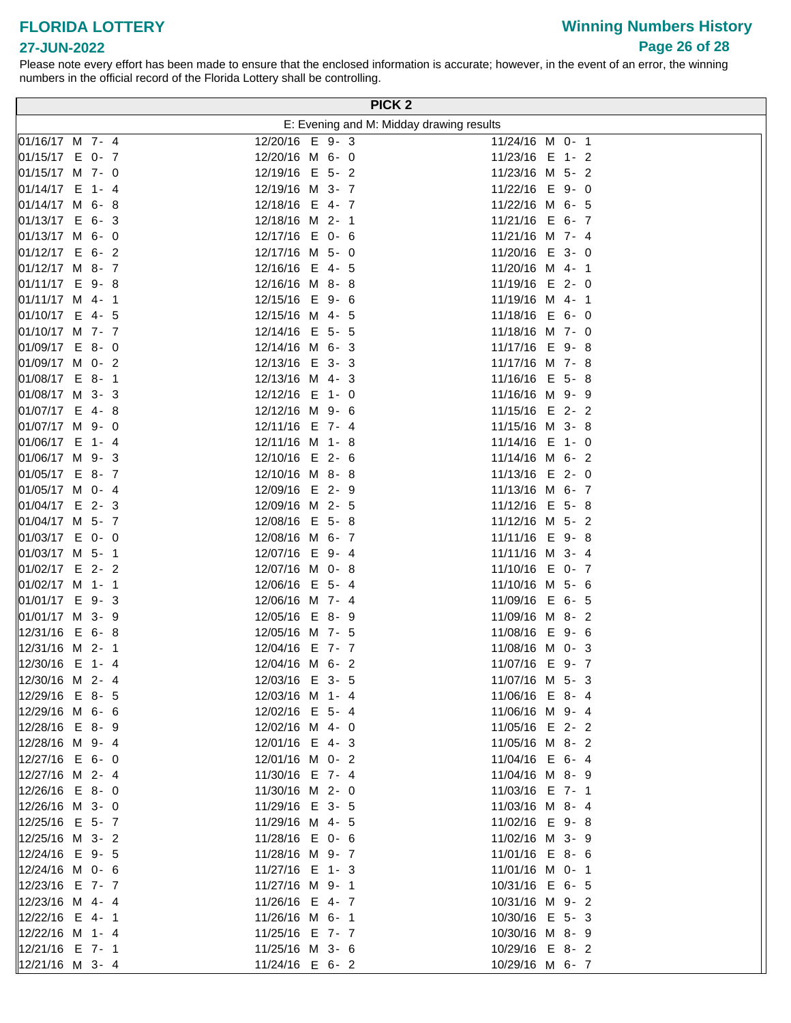# **Winning Numbers History Page 26 of 28**

### **27-JUN-2022**

|                                   |                                   | PICK <sub>2</sub>                        |
|-----------------------------------|-----------------------------------|------------------------------------------|
|                                   |                                   | E: Evening and M: Midday drawing results |
| 01/16/17 M 7- 4                   | 12/20/16 E 9-3                    | 11/24/16 M 0- 1                          |
| 01/15/17 E 0- 7                   | 12/20/16 M 6- 0                   | 11/23/16 E 1- 2                          |
| 01/15/17 M 7- 0                   | 12/19/16 E 5- 2                   | 11/23/16 M 5- 2                          |
| 01/14/17 E 1- 4                   | 12/19/16 M 3- 7                   | 11/22/16 E 9-0                           |
| 01/14/17 M 6-8                    | 12/18/16 E 4- 7                   | 11/22/16 M 6- 5                          |
| $ 01/13/17 \tE 6 - 3$             | 12/18/16 M 2- 1                   | 11/21/16 E 6- 7                          |
| 01/13/17 M 6- 0                   | 12/17/16 E 0- 6                   | 11/21/16 M 7- 4                          |
| $ 01/12/17 \t E 6 - 2$            | 12/17/16 M 5- 0                   | 11/20/16 E 3- 0                          |
| 01/12/17 M 8- 7                   | 12/16/16 E 4- 5                   | 11/20/16 M 4- 1                          |
| 01/11/17 E 9-8                    | 12/16/16 M 8-8                    | 11/19/16 E 2- 0                          |
| 01/11/17 M 4- 1                   | 12/15/16 E 9- 6                   | 11/19/16 M 4- 1                          |
| 01/10/17 E 4- 5                   | 12/15/16 M 4- 5                   | 11/18/16 E 6-0                           |
| 01/10/17 M 7- 7                   | 12/14/16 E 5- 5                   | 11/18/16 M 7- 0                          |
| 01/09/17 E 8-0                    | 12/14/16 M 6- 3                   | 11/17/16 E 9-8                           |
| 01/09/17 M 0- 2                   | 12/13/16 E 3- 3                   | 11/17/16 M 7-8                           |
| 01/08/17 E 8-1                    | 12/13/16 M 4-3                    | 11/16/16 E 5-8                           |
| 01/08/17 M 3- 3                   | 12/12/16 E 1- 0                   | 11/16/16 M 9- 9                          |
| 01/07/17 E 4-8                    | 12/12/16 M 9- 6                   | 11/15/16 E 2-2                           |
| 01/07/17 M 9- 0                   | 12/11/16 E 7- 4                   | 11/15/16 M 3- 8                          |
| 01/06/17 E 1-4                    | 12/11/16 M 1-8                    | 11/14/16 E 1- 0                          |
| 01/06/17 M 9-3                    | 12/10/16 E 2- 6                   | 11/14/16 M 6- 2                          |
| 01/05/17 E 8- 7                   | 12/10/16 M 8-8                    | 11/13/16 E 2- 0                          |
| 01/05/17 M 0- 4                   | 12/09/16 E 2- 9                   | 11/13/16 M 6- 7                          |
| 01/04/17 E 2-3                    | 12/09/16 M 2- 5                   | 11/12/16 E 5-8                           |
| 01/04/17 M 5- 7                   | 12/08/16 E 5-8                    | 11/12/16 M 5- 2                          |
| 01/03/17 E 0- 0                   | 12/08/16 M 6- 7                   | 11/11/16 E 9-8                           |
| 01/03/17 M 5- 1                   | 12/07/16 E 9-4                    | 11/11/16 M 3- 4                          |
| 01/02/17 E 2- 2                   | 12/07/16 M 0-8                    | 11/10/16 E 0- 7                          |
| 01/02/17 M 1- 1                   | 12/06/16 E 5- 4                   | 11/10/16 M 5- 6                          |
| 01/01/17 E 9-3<br>01/01/17 M 3- 9 | 12/06/16 M 7- 4<br>12/05/16 E 8-9 | 11/09/16 E 6- 5                          |
| 12/31/16 E 6-8                    | 12/05/16 M 7- 5                   | 11/09/16 M 8-2<br>11/08/16 E 9- 6        |
| 12/31/16 M 2- 1                   | 12/04/16 E 7- 7                   | 11/08/16 M 0- 3                          |
| 12/30/16 E 1-4                    | 12/04/16 M 6- 2                   | 11/07/16 E 9- 7                          |
| 12/30/16 M 2- 4                   | 12/03/16 E 3- 5                   | 11/07/16 M 5- 3                          |
| 12/29/16 E 8- 5                   | 12/03/16 M 1- 4                   | 11/06/16 E 8-4                           |
| 12/29/16 M 6- 6                   | 12/02/16 E 5- 4                   | 11/06/16 M 9- 4                          |
| 12/28/16 E 8-9                    | 12/02/16 M 4- 0                   | 11/05/16 E 2- 2                          |
| 12/28/16 M 9-4                    | 12/01/16 E 4-3                    | 11/05/16 M 8- 2                          |
| 12/27/16 E 6- 0                   | 12/01/16 M 0- 2                   | 11/04/16 E 6-4                           |
| 12/27/16 M 2- 4                   | 11/30/16 E 7- 4                   | 11/04/16 M 8- 9                          |
| 12/26/16 E 8-0                    | 11/30/16 M 2- 0                   | 11/03/16 E 7- 1                          |
| 12/26/16 M 3- 0                   | 11/29/16 E 3- 5                   | 11/03/16 M 8- 4                          |
| 12/25/16 E 5-7                    | 11/29/16 M 4- 5                   | 11/02/16 E 9-8                           |
| 12/25/16 M 3- 2                   | 11/28/16 E 0- 6                   | 11/02/16 M 3- 9                          |
| 12/24/16 E 9- 5                   | 11/28/16 M 9- 7                   | 11/01/16 E 8- 6                          |
|                                   | 11/27/16 E 1- 3                   | 11/01/16 M 0- 1                          |
| 12/23/16 E 7- 7                   | 11/27/16 M 9- 1                   | 10/31/16 E 6- 5                          |
| 12/23/16 M 4- 4                   | 11/26/16 E 4- 7                   | 10/31/16 M 9- 2                          |
| 12/22/16 E 4- 1                   | 11/26/16 M 6- 1                   | 10/30/16 E 5- 3                          |
| 12/22/16 M 1- 4                   | 11/25/16 E 7- 7                   | 10/30/16 M 8- 9                          |
| 12/21/16 E 7- 1                   | 11/25/16 M 3- 6                   | 10/29/16 E 8-2                           |
| 12/21/16 M 3- 4                   | 11/24/16 E 6- 2                   | 10/29/16 M 6- 7                          |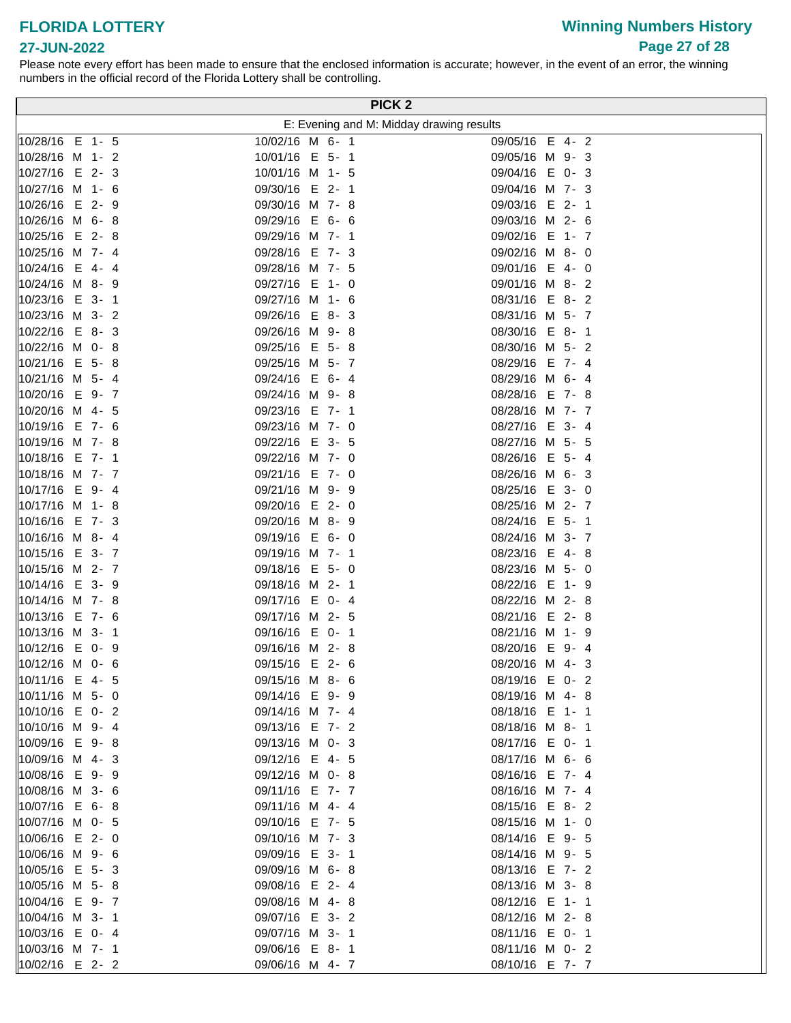# **Winning Numbers History Page 27 of 28**

### **27-JUN-2022**

|                        |                 | PICK <sub>2</sub>                        |
|------------------------|-----------------|------------------------------------------|
|                        |                 | E: Evening and M: Midday drawing results |
| 10/28/16 E 1- 5        | 10/02/16 M 6- 1 | 09/05/16 E 4-2                           |
| 10/28/16 M 1- 2        | 10/01/16 E 5- 1 | 09/05/16 M 9-3                           |
| 10/27/16 E 2-3         | 10/01/16 M 1- 5 | 09/04/16 E 0-3                           |
| 10/27/16 M 1- 6        | 09/30/16 E 2-1  | 09/04/16 M 7- 3                          |
| 10/26/16 E 2- 9        | 09/30/16 M 7-8  | 09/03/16 E 2- 1                          |
| $ 10/26/16 \, M 6 - 8$ | 09/29/16 E 6- 6 | 09/03/16 M 2- 6                          |
| 10/25/16 E 2-8         | 09/29/16 M 7- 1 | 09/02/16 E 1- 7                          |
| 10/25/16 M 7- 4        | 09/28/16 E 7-3  | 09/02/16 M 8- 0                          |
| 10/24/16 E 4-4         | 09/28/16 M 7- 5 | 09/01/16 E 4- 0                          |
| 10/24/16 M 8- 9        | 09/27/16 E 1- 0 | 09/01/16 M 8-2                           |
| 10/23/16 E 3- 1        | 09/27/16 M 1- 6 | 08/31/16 E 8-2                           |
| 10/23/16 M 3- 2        | 09/26/16 E 8-3  | 08/31/16 M 5- 7                          |
| $ 10/22/16 \t E 8 - 3$ | 09/26/16 M 9-8  | 08/30/16 E 8-1                           |
| 10/22/16 M 0-8         | 09/25/16 E 5-8  | 08/30/16 M 5- 2                          |
| 10/21/16 E 5-8         | 09/25/16 M 5- 7 | 08/29/16 E 7- 4                          |
| 10/21/16 M 5- 4        | 09/24/16 E 6-4  | 08/29/16 M 6-4                           |
| 10/20/16 E 9-7         | 09/24/16 M 9-8  | 08/28/16 E 7-8                           |
| 10/20/16 M 4- 5        | 09/23/16 E 7- 1 | 08/28/16 M 7- 7                          |
| 10/19/16 E 7- 6        | 09/23/16 M 7- 0 | 08/27/16 E 3- 4                          |
| 10/19/16 M 7-8         | 09/22/16 E 3- 5 | 08/27/16 M 5- 5                          |
| 10/18/16 E 7-1         | 09/22/16 M 7- 0 | 08/26/16 E 5- 4                          |
| 10/18/16 M 7- 7        | 09/21/16 E 7- 0 | 08/26/16 M 6- 3                          |
| 10/17/16 E 9-4         | 09/21/16 M 9- 9 | 08/25/16 E 3- 0                          |
| 10/17/16 M 1-8         | 09/20/16 E 2- 0 | 08/25/16 M 2- 7                          |
| 10/16/16 E 7- 3        | 09/20/16 M 8- 9 | 08/24/16 E 5- 1                          |
| 10/16/16 M 8-4         | 09/19/16 E 6- 0 | 08/24/16 M 3- 7                          |
| 10/15/16 E 3-7         | 09/19/16 M 7- 1 | 08/23/16 E 4-8                           |
| 10/15/16 M 2- 7        | 09/18/16 E 5- 0 | 08/23/16 M 5- 0                          |
| 10/14/16 E 3-9         | 09/18/16 M 2- 1 | 08/22/16 E 1- 9                          |
| 10/14/16 M 7- 8        | 09/17/16 E 0-4  | 08/22/16 M 2-8                           |
| 10/13/16 E 7- 6        | 09/17/16 M 2- 5 | 08/21/16 E 2-8                           |
| 10/13/16 M 3- 1        | 09/16/16 E 0- 1 | 08/21/16 M 1- 9                          |
| 10/12/16 E 0- 9        | 09/16/16 M 2-8  | 08/20/16 E 9-4                           |
| 10/12/16 M 0- 6        | 09/15/16 E 2- 6 | 08/20/16 M 4-3                           |
| 10/11/16 E 4- 5        | 09/15/16 M 8- 6 | 08/19/16 E 0-2                           |
| 10/11/16 M 5- 0        | 09/14/16 E 9- 9 | 08/19/16 M 4-8                           |
| 10/10/16 E 0-2         | 09/14/16 M 7- 4 | 08/18/16 E 1- 1                          |
| 10/10/16 M 9-4         | 09/13/16 E 7- 2 | 08/18/16 M 8- 1                          |
| 10/09/16 E 9-8         | 09/13/16 M 0- 3 | 08/17/16 E 0- 1                          |
| 10/09/16 M 4-3         | 09/12/16 E 4-5  | 08/17/16 M 6- 6                          |
| 10/08/16 E 9-9         | 09/12/16 M 0-8  | 08/16/16 E 7- 4                          |
| 10/08/16 M 3- 6        | 09/11/16 E 7- 7 | 08/16/16 M 7- 4                          |
| 10/07/16 E 6-8         | 09/11/16 M 4-4  | 08/15/16 E 8-2                           |
| 10/07/16 M 0- 5        | 09/10/16 E 7- 5 | 08/15/16 M 1- 0                          |
| 10/06/16 E 2-0         | 09/10/16 M 7- 3 | 08/14/16 E 9- 5                          |
| 10/06/16 M 9- 6        | 09/09/16 E 3- 1 | 08/14/16 M 9- 5                          |
| 10/05/16 E 5-3         | 09/09/16 M 6-8  | 08/13/16 E 7- 2                          |
| 10/05/16 M 5-8         | 09/08/16 E 2- 4 | 08/13/16 M 3-8                           |
| 10/04/16 E 9-7         | 09/08/16 M 4-8  | 08/12/16 E 1-1                           |
| 10/04/16 M 3- 1        | 09/07/16 E 3- 2 | 08/12/16 M 2-8                           |
| 10/03/16 E 0-4         | 09/07/16 M 3- 1 | 08/11/16 E 0- 1                          |
| 10/03/16 M 7- 1        | 09/06/16 E 8-1  | 08/11/16 M 0- 2                          |
| 10/02/16 E 2- 2        | 09/06/16 M 4- 7 | 08/10/16 E 7-7                           |